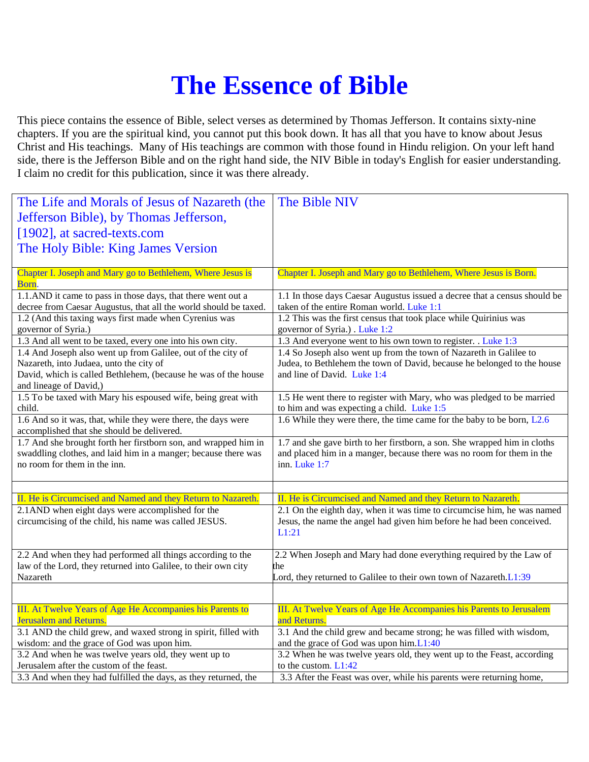## **The Essence of Bible**

This piece contains the essence of Bible, select verses as determined by Thomas Jefferson. It contains sixty-nine chapters. If you are the spiritual kind, you cannot put this book down. It has all that you have to know about Jesus Christ and His teachings. Many of His teachings are common with those found in Hindu religion. On your left hand side, there is the Jefferson Bible and on the right hand side, the NIV Bible in today's English for easier understanding. I claim no credit for this publication, since it was there already.

| The Life and Morals of Jesus of Nazareth (the                                                                                    | The Bible NIV                                                                                                          |
|----------------------------------------------------------------------------------------------------------------------------------|------------------------------------------------------------------------------------------------------------------------|
| Jefferson Bible), by Thomas Jefferson,                                                                                           |                                                                                                                        |
| [1902], at sacred-texts.com                                                                                                      |                                                                                                                        |
| The Holy Bible: King James Version                                                                                               |                                                                                                                        |
|                                                                                                                                  |                                                                                                                        |
| Chapter I. Joseph and Mary go to Bethlehem, Where Jesus is<br>Born.                                                              | Chapter I. Joseph and Mary go to Bethlehem, Where Jesus is Born.                                                       |
| 1.1.AND it came to pass in those days, that there went out a<br>decree from Caesar Augustus, that all the world should be taxed. | 1.1 In those days Caesar Augustus issued a decree that a census should be<br>taken of the entire Roman world. Luke 1:1 |
| 1.2 (And this taxing ways first made when Cyrenius was                                                                           | 1.2 This was the first census that took place while Quirinius was                                                      |
| governor of Syria.)                                                                                                              | governor of Syria.) . Luke 1:2                                                                                         |
| 1.3 And all went to be taxed, every one into his own city.                                                                       | 1.3 And everyone went to his own town to register. . Luke 1:3                                                          |
| 1.4 And Joseph also went up from Galilee, out of the city of                                                                     | 1.4 So Joseph also went up from the town of Nazareth in Galilee to                                                     |
| Nazareth, into Judaea, unto the city of<br>David, which is called Bethlehem, (because he was of the house                        | Judea, to Bethlehem the town of David, because he belonged to the house<br>and line of David. Luke 1:4                 |
| and lineage of David,)                                                                                                           |                                                                                                                        |
| 1.5 To be taxed with Mary his espoused wife, being great with                                                                    | 1.5 He went there to register with Mary, who was pledged to be married                                                 |
| child.                                                                                                                           | to him and was expecting a child. Luke 1:5                                                                             |
| 1.6 And so it was, that, while they were there, the days were<br>accomplished that she should be delivered.                      | 1.6 While they were there, the time came for the baby to be born, L2.6                                                 |
| 1.7 And she brought forth her firstborn son, and wrapped him in                                                                  | 1.7 and she gave birth to her firstborn, a son. She wrapped him in cloths                                              |
| swaddling clothes, and laid him in a manger; because there was<br>no room for them in the inn.                                   | and placed him in a manger, because there was no room for them in the<br>inn. Luke 1:7                                 |
|                                                                                                                                  |                                                                                                                        |
|                                                                                                                                  |                                                                                                                        |
| II. He is Circumcised and Named and they Return to Nazareth.                                                                     | II. He is Circumcised and Named and they Return to Nazareth.                                                           |
| 2.1AND when eight days were accomplished for the                                                                                 | 2.1 On the eighth day, when it was time to circumcise him, he was named                                                |
| circumcising of the child, his name was called JESUS.                                                                            | Jesus, the name the angel had given him before he had been conceived.                                                  |
|                                                                                                                                  | L1:21                                                                                                                  |
| 2.2 And when they had performed all things according to the                                                                      | 2.2 When Joseph and Mary had done everything required by the Law of                                                    |
| law of the Lord, they returned into Galilee, to their own city                                                                   | the                                                                                                                    |
| Nazareth                                                                                                                         | Lord, they returned to Galilee to their own town of Nazareth.L1:39                                                     |
|                                                                                                                                  |                                                                                                                        |
| III. At Twelve Years of Age He Accompanies his Parents to                                                                        | III. At Twelve Years of Age He Accompanies his Parents to Jerusalem                                                    |
| <b>Jerusalem and Returns.</b>                                                                                                    | and Returns.                                                                                                           |
| 3.1 AND the child grew, and waxed strong in spirit, filled with                                                                  | 3.1 And the child grew and became strong; he was filled with wisdom,                                                   |
| wisdom: and the grace of God was upon him.                                                                                       | and the grace of God was upon him.L1:40                                                                                |
| 3.2 And when he was twelve years old, they went up to<br>Jerusalem after the custom of the feast.                                | 3.2 When he was twelve years old, they went up to the Feast, according<br>to the custom. L1:42                         |
| 3.3 And when they had fulfilled the days, as they returned, the                                                                  | 3.3 After the Feast was over, while his parents were returning home,                                                   |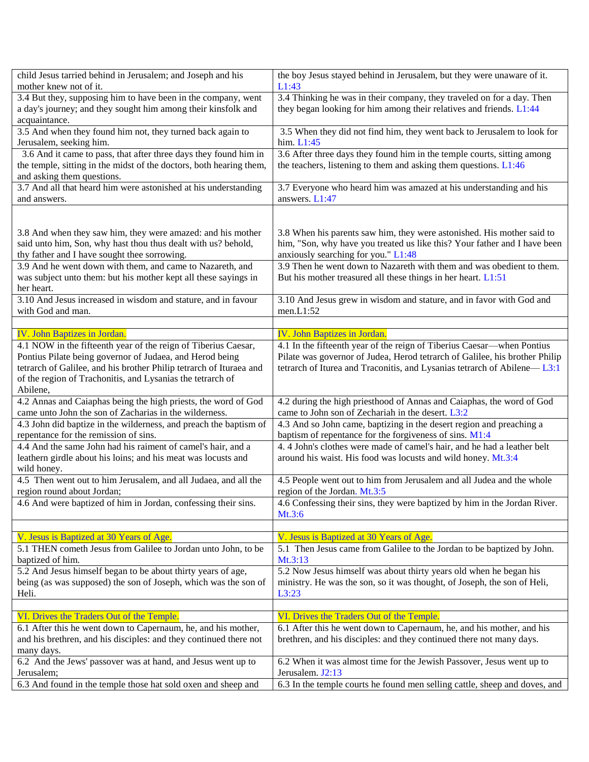| child Jesus tarried behind in Jerusalem; and Joseph and his                 | the boy Jesus stayed behind in Jerusalem, but they were unaware of it.                         |
|-----------------------------------------------------------------------------|------------------------------------------------------------------------------------------------|
| mother knew not of it.                                                      | L1:43                                                                                          |
| 3.4 But they, supposing him to have been in the company, went               | 3.4 Thinking he was in their company, they traveled on for a day. Then                         |
| a day's journey; and they sought him among their kinsfolk and               | they began looking for him among their relatives and friends. L1:44                            |
| acquaintance.                                                               |                                                                                                |
| 3.5 And when they found him not, they turned back again to                  | 3.5 When they did not find him, they went back to Jerusalem to look for                        |
| Jerusalem, seeking him.                                                     | him. $L1:45$                                                                                   |
| 3.6 And it came to pass, that after three days they found him in            | 3.6 After three days they found him in the temple courts, sitting among                        |
| the temple, sitting in the midst of the doctors, both hearing them,         | the teachers, listening to them and asking them questions. L1:46                               |
| and asking them questions.                                                  |                                                                                                |
| 3.7 And all that heard him were astonished at his understanding             | 3.7 Everyone who heard him was amazed at his understanding and his                             |
| and answers.                                                                | answers. L1:47                                                                                 |
|                                                                             |                                                                                                |
|                                                                             |                                                                                                |
| 3.8 And when they saw him, they were amazed: and his mother                 | 3.8 When his parents saw him, they were astonished. His mother said to                         |
| said unto him, Son, why hast thou thus dealt with us? behold,               | him, "Son, why have you treated us like this? Your father and I have been                      |
| thy father and I have sought thee sorrowing.                                | anxiously searching for you." L1:48                                                            |
| 3.9 And he went down with them, and came to Nazareth, and                   | 3.9 Then he went down to Nazareth with them and was obedient to them.                          |
| was subject unto them: but his mother kept all these sayings in             | But his mother treasured all these things in her heart. L1:51                                  |
| her heart.                                                                  |                                                                                                |
| 3.10 And Jesus increased in wisdom and stature, and in favour               | 3.10 And Jesus grew in wisdom and stature, and in favor with God and                           |
| with God and man.                                                           | men.L1:52                                                                                      |
|                                                                             |                                                                                                |
| <b>IV. John Baptizes in Jordan.</b>                                         | <b>IV. John Baptizes in Jordan.</b>                                                            |
| 4.1 NOW in the fifteenth year of the reign of Tiberius Caesar,              | 4.1 In the fifteenth year of the reign of Tiberius Caesar—when Pontius                         |
| Pontius Pilate being governor of Judaea, and Herod being                    | Pilate was governor of Judea, Herod tetrarch of Galilee, his brother Philip                    |
| tetrarch of Galilee, and his brother Philip tetrarch of Ituraea and         | tetrarch of Iturea and Traconitis, and Lysanias tetrarch of Abilene—L3:1                       |
| of the region of Trachonitis, and Lysanias the tetrarch of                  |                                                                                                |
| Abilene,                                                                    |                                                                                                |
| 4.2 Annas and Caiaphas being the high priests, the word of God              | 4.2 during the high priesthood of Annas and Caiaphas, the word of God                          |
| came unto John the son of Zacharias in the wilderness.                      | came to John son of Zechariah in the desert. L3:2                                              |
| 4.3 John did baptize in the wilderness, and preach the baptism of           | 4.3 And so John came, baptizing in the desert region and preaching a                           |
| repentance for the remission of sins.                                       | baptism of repentance for the forgiveness of sins. M1:4                                        |
| 4.4 And the same John had his raiment of camel's hair, and a                | 4.4 John's clothes were made of camel's hair, and he had a leather belt                        |
| leathern girdle about his loins; and his meat was locusts and               | around his waist. His food was locusts and wild honey. Mt.3:4                                  |
| wild honey.                                                                 |                                                                                                |
| 4.5 Then went out to him Jerusalem, and all Judaea, and all the             | 4.5 People went out to him from Jerusalem and all Judea and the whole                          |
| region round about Jordan;                                                  | region of the Jordan. Mt.3:5                                                                   |
| 4.6 And were baptized of him in Jordan, confessing their sins.              | 4.6 Confessing their sins, they were baptized by him in the Jordan River.                      |
|                                                                             | Mt.3:6                                                                                         |
|                                                                             |                                                                                                |
| V. Jesus is Baptized at 30 Years of Age.                                    | V. Jesus is Baptized at 30 Years of Age.                                                       |
| 5.1 THEN cometh Jesus from Galilee to Jordan unto John, to be               | 5.1 Then Jesus came from Galilee to the Jordan to be baptized by John.                         |
| baptized of him.                                                            | Mt.3:13                                                                                        |
| 5.2 And Jesus himself began to be about thirty years of age,                | 5.2 Now Jesus himself was about thirty years old when he began his                             |
| being (as was supposed) the son of Joseph, which was the son of             | ministry. He was the son, so it was thought, of Joseph, the son of Heli,                       |
| Heli.                                                                       | L3:23                                                                                          |
|                                                                             |                                                                                                |
| VI. Drives the Traders Out of the Temple.                                   | VI. Drives the Traders Out of the Temple.                                                      |
| 6.1 After this he went down to Capernaum, he, and his mother,               | 6.1 After this he went down to Capernaum, he, and his mother, and his                          |
| and his brethren, and his disciples: and they continued there not           | brethren, and his disciples: and they continued there not many days.                           |
|                                                                             |                                                                                                |
| many days.<br>6.2 And the Jews' passover was at hand, and Jesus went up to  |                                                                                                |
|                                                                             | 6.2 When it was almost time for the Jewish Passover, Jesus went up to                          |
| Jerusalem;<br>6.3 And found in the temple those hat sold oxen and sheep and | Jerusalem. J2:13<br>6.3 In the temple courts he found men selling cattle, sheep and doves, and |
|                                                                             |                                                                                                |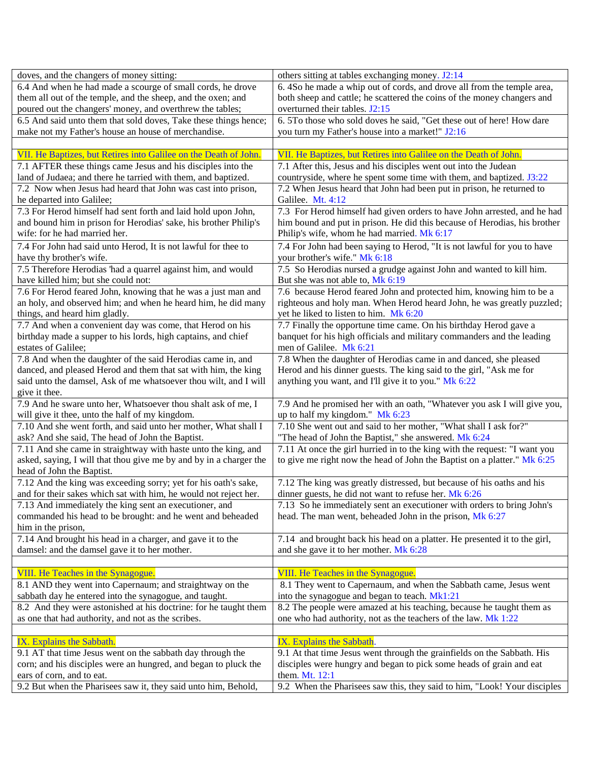| doves, and the changers of money sitting:                          | others sitting at tables exchanging money. J2:14                           |
|--------------------------------------------------------------------|----------------------------------------------------------------------------|
| 6.4 And when he had made a scourge of small cords, he drove        | 6. 4So he made a whip out of cords, and drove all from the temple area,    |
| them all out of the temple, and the sheep, and the oxen; and       | both sheep and cattle; he scattered the coins of the money changers and    |
| poured out the changers' money, and overthrew the tables;          | overturned their tables. J2:15                                             |
| 6.5 And said unto them that sold doves, Take these things hence;   | 6. 5To those who sold doves he said, "Get these out of here! How dare      |
| make not my Father's house an house of merchandise.                | you turn my Father's house into a market!" J2:16                           |
|                                                                    |                                                                            |
| VII. He Baptizes, but Retires into Galilee on the Death of John.   | VII. He Baptizes, but Retires into Galilee on the Death of John.           |
| 7.1 AFTER these things came Jesus and his disciples into the       | 7.1 After this, Jesus and his disciples went out into the Judean           |
| land of Judaea; and there he tarried with them, and baptized.      | countryside, where he spent some time with them, and baptized. J3:22       |
| 7.2 Now when Jesus had heard that John was cast into prison,       | 7.2 When Jesus heard that John had been put in prison, he returned to      |
| he departed into Galilee;                                          | Galilee. Mt. 4:12                                                          |
| 7.3 For Herod himself had sent forth and laid hold upon John,      | 7.3 For Herod himself had given orders to have John arrested, and he had   |
| and bound him in prison for Herodias' sake, his brother Philip's   | him bound and put in prison. He did this because of Herodias, his brother  |
| wife: for he had married her.                                      | Philip's wife, whom he had married. Mk 6:17                                |
| 7.4 For John had said unto Herod, It is not lawful for thee to     | 7.4 For John had been saying to Herod, "It is not lawful for you to have   |
| have thy brother's wife.                                           | your brother's wife." Mk 6:18                                              |
| 7.5 Therefore Herodias 'had a quarrel against him, and would       | 7.5 So Herodias nursed a grudge against John and wanted to kill him.       |
| have killed him; but she could not:                                | But she was not able to, Mk 6:19                                           |
| 7.6 For Herod feared John, knowing that he was a just man and      | 7.6 because Herod feared John and protected him, knowing him to be a       |
| an holy, and observed him; and when he heard him, he did many      | righteous and holy man. When Herod heard John, he was greatly puzzled;     |
| things, and heard him gladly.                                      | yet he liked to listen to him. Mk 6:20                                     |
| 7.7 And when a convenient day was come, that Herod on his          | 7.7 Finally the opportune time came. On his birthday Herod gave a          |
| birthday made a supper to his lords, high captains, and chief      | banquet for his high officials and military commanders and the leading     |
| estates of Galilee;                                                | men of Galilee. Mk 6:21                                                    |
| 7.8 And when the daughter of the said Herodias came in, and        | 7.8 When the daughter of Herodias came in and danced, she pleased          |
| danced, and pleased Herod and them that sat with him, the king     | Herod and his dinner guests. The king said to the girl, "Ask me for        |
| said unto the damsel, Ask of me whatsoever thou wilt, and I will   | anything you want, and I'll give it to you." Mk 6:22                       |
| give it thee.                                                      |                                                                            |
| 7.9 And he sware unto her, Whatsoever thou shalt ask of me, I      | 7.9 And he promised her with an oath, "Whatever you ask I will give you,   |
| will give it thee, unto the half of my kingdom.                    | up to half my kingdom." Mk 6:23                                            |
| 7.10 And she went forth, and said unto her mother, What shall I    | 7.10 She went out and said to her mother, "What shall I ask for?"          |
| ask? And she said, The head of John the Baptist.                   | "The head of John the Baptist," she answered. Mk 6:24                      |
| 7.11 And she came in straightway with haste unto the king, and     | 7.11 At once the girl hurried in to the king with the request: "I want you |
| asked, saying, I will that thou give me by and by in a charger the | to give me right now the head of John the Baptist on a platter." Mk 6:25   |
| head of John the Baptist.                                          |                                                                            |
| 7.12 And the king was exceeding sorry; yet for his oath's sake,    | 7.12 The king was greatly distressed, but because of his oaths and his     |
| and for their sakes which sat with him, he would not reject her.   | dinner guests, he did not want to refuse her. Mk 6:26                      |
| 7.13 And immediately the king sent an executioner, and             | 7.13 So he immediately sent an executioner with orders to bring John's     |
| commanded his head to be brought: and he went and beheaded         | head. The man went, beheaded John in the prison, Mk 6:27                   |
| him in the prison,                                                 |                                                                            |
| 7.14 And brought his head in a charger, and gave it to the         | 7.14 and brought back his head on a platter. He presented it to the girl,  |
| damsel: and the damsel gave it to her mother.                      | and she gave it to her mother. Mk 6:28                                     |
|                                                                    |                                                                            |
| VIII. He Teaches in the Synagogue.                                 | VIII. He Teaches in the Synagogue.                                         |
| 8.1 AND they went into Capernaum; and straightway on the           | 8.1 They went to Capernaum, and when the Sabbath came, Jesus went          |
| sabbath day he entered into the synagogue, and taught.             | into the synagogue and began to teach. Mk1:21                              |
| 8.2 And they were astonished at his doctrine: for he taught them   | 8.2 The people were amazed at his teaching, because he taught them as      |
| as one that had authority, and not as the scribes.                 | one who had authority, not as the teachers of the law. Mk 1:22             |
|                                                                    |                                                                            |
| IX. Explains the Sabbath.                                          | IX. Explains the Sabbath.                                                  |
| 9.1 AT that time Jesus went on the sabbath day through the         | 9.1 At that time Jesus went through the grainfields on the Sabbath. His    |
| corn; and his disciples were an hungred, and began to pluck the    | disciples were hungry and began to pick some heads of grain and eat        |
| ears of corn, and to eat.                                          | them. Mt. 12:1                                                             |
| 9.2 But when the Pharisees saw it, they said unto him, Behold,     | 9.2 When the Pharisees saw this, they said to him, "Look! Your disciples   |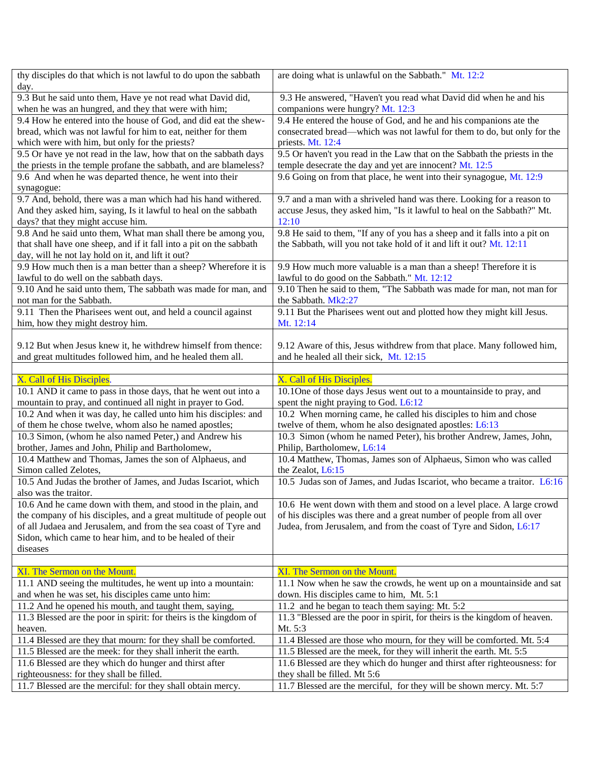| thy disciples do that which is not lawful to do upon the sabbath                                        | are doing what is unlawful on the Sabbath." Mt. 12:2                                                 |
|---------------------------------------------------------------------------------------------------------|------------------------------------------------------------------------------------------------------|
| day.                                                                                                    |                                                                                                      |
| 9.3 But he said unto them, Have ye not read what David did,                                             | 9.3 He answered, "Haven't you read what David did when he and his                                    |
| when he was an hungred, and they that were with him;                                                    | companions were hungry? Mt. 12:3                                                                     |
| 9.4 How he entered into the house of God, and did eat the shew-                                         | 9.4 He entered the house of God, and he and his companions ate the                                   |
| bread, which was not lawful for him to eat, neither for them                                            | consecrated bread—which was not lawful for them to do, but only for the                              |
| which were with him, but only for the priests?                                                          | priests. Mt. 12:4                                                                                    |
| 9.5 Or have ye not read in the law, how that on the sabbath days                                        | 9.5 Or haven't you read in the Law that on the Sabbath the priests in the                            |
| the priests in the temple profane the sabbath, and are blameless?                                       | temple desecrate the day and yet are innocent? Mt. 12:5                                              |
| 9.6 And when he was departed thence, he went into their                                                 | 9.6 Going on from that place, he went into their synagogue, Mt. 12:9                                 |
| synagogue:                                                                                              |                                                                                                      |
| 9.7 And, behold, there was a man which had his hand withered.                                           | 9.7 and a man with a shriveled hand was there. Looking for a reason to                               |
| And they asked him, saying, Is it lawful to heal on the sabbath                                         | accuse Jesus, they asked him, "Is it lawful to heal on the Sabbath?" Mt.                             |
| days? that they might accuse him.                                                                       | 12:10                                                                                                |
| 9.8 And he said unto them, What man shall there be among you,                                           | 9.8 He said to them, "If any of you has a sheep and it falls into a pit on                           |
| that shall have one sheep, and if it fall into a pit on the sabbath                                     | the Sabbath, will you not take hold of it and lift it out? Mt. 12:11                                 |
| day, will he not lay hold on it, and lift it out?                                                       |                                                                                                      |
| 9.9 How much then is a man better than a sheep? Wherefore it is                                         | 9.9 How much more valuable is a man than a sheep! Therefore it is                                    |
| lawful to do well on the sabbath days.                                                                  | lawful to do good on the Sabbath." Mt. 12:12                                                         |
| 9.10 And he said unto them, The sabbath was made for man, and                                           | 9.10 Then he said to them, "The Sabbath was made for man, not man for                                |
| not man for the Sabbath.                                                                                | the Sabbath. Mk2:27                                                                                  |
| 9.11 Then the Pharisees went out, and held a council against                                            | 9.11 But the Pharisees went out and plotted how they might kill Jesus.                               |
| him, how they might destroy him.                                                                        | Mt. 12:14                                                                                            |
| 9.12 But when Jesus knew it, he withdrew himself from thence:                                           | 9.12 Aware of this, Jesus withdrew from that place. Many followed him,                               |
| and great multitudes followed him, and he healed them all.                                              | and he healed all their sick, Mt. 12:15                                                              |
|                                                                                                         |                                                                                                      |
| X. Call of His Disciples.                                                                               | X. Call of His Disciples.                                                                            |
| 10.1 AND it came to pass in those days, that he went out into a                                         | 10.1 One of those days Jesus went out to a mountainside to pray, and                                 |
| mountain to pray, and continued all night in prayer to God.                                             | spent the night praying to God. L6:12                                                                |
| 10.2 And when it was day, he called unto him his disciples: and                                         | 10.2 When morning came, he called his disciples to him and chose                                     |
| of them he chose twelve, whom also he named apostles;                                                   | twelve of them, whom he also designated apostles: L6:13                                              |
| 10.3 Simon, (whom he also named Peter,) and Andrew his                                                  | 10.3 Simon (whom he named Peter), his brother Andrew, James, John,                                   |
| brother, James and John, Philip and Bartholomew,                                                        | Philip, Bartholomew, L6:14                                                                           |
| 10.4 Matthew and Thomas, James the son of Alphaeus, and                                                 | 10.4 Matthew, Thomas, James son of Alphaeus, Simon who was called                                    |
| Simon called Zelotes,                                                                                   | the Zealot, L6:15                                                                                    |
| 10.5 And Judas the brother of James, and Judas Iscariot, which                                          | 10.5 Judas son of James, and Judas Iscariot, who became a traitor. L6:16                             |
| also was the traitor.                                                                                   |                                                                                                      |
| 10.6 And he came down with them, and stood in the plain, and                                            | 10.6 He went down with them and stood on a level place. A large crowd                                |
| the company of his disciples, and a great multitude of people out                                       | of his disciples was there and a great number of people from all over                                |
| of all Judaea and Jerusalem, and from the sea coast of Tyre and                                         | Judea, from Jerusalem, and from the coast of Tyre and Sidon, L6:17                                   |
| Sidon, which came to hear him, and to be healed of their                                                |                                                                                                      |
| diseases                                                                                                |                                                                                                      |
|                                                                                                         |                                                                                                      |
| XI. The Sermon on the Mount.                                                                            | XI. The Sermon on the Mount.                                                                         |
| 11.1 AND seeing the multitudes, he went up into a mountain:                                             | 11.1 Now when he saw the crowds, he went up on a mountainside and sat                                |
| and when he was set, his disciples came unto him:                                                       | down. His disciples came to him, Mt. 5:1                                                             |
| 11.2 And he opened his mouth, and taught them, saying,                                                  | 11.2 and he began to teach them saying: Mt. 5:2                                                      |
| 11.3 Blessed are the poor in spirit: for theirs is the kingdom of                                       | 11.3 "Blessed are the poor in spirit, for theirs is the kingdom of heaven.                           |
| heaven.                                                                                                 | Mt. 5:3                                                                                              |
| 11.4 Blessed are they that mourn: for they shall be comforted.                                          | 11.4 Blessed are those who mourn, for they will be comforted. Mt. 5:4                                |
| 11.5 Blessed are the meek: for they shall inherit the earth.                                            | 11.5 Blessed are the meek, for they will inherit the earth. Mt. 5:5                                  |
| 11.6 Blessed are they which do hunger and thirst after                                                  | 11.6 Blessed are they which do hunger and thirst after righteousness: for                            |
|                                                                                                         |                                                                                                      |
| righteousness: for they shall be filled.<br>11.7 Blessed are the merciful: for they shall obtain mercy. | they shall be filled. Mt 5:6<br>11.7 Blessed are the merciful, for they will be shown mercy. Mt. 5:7 |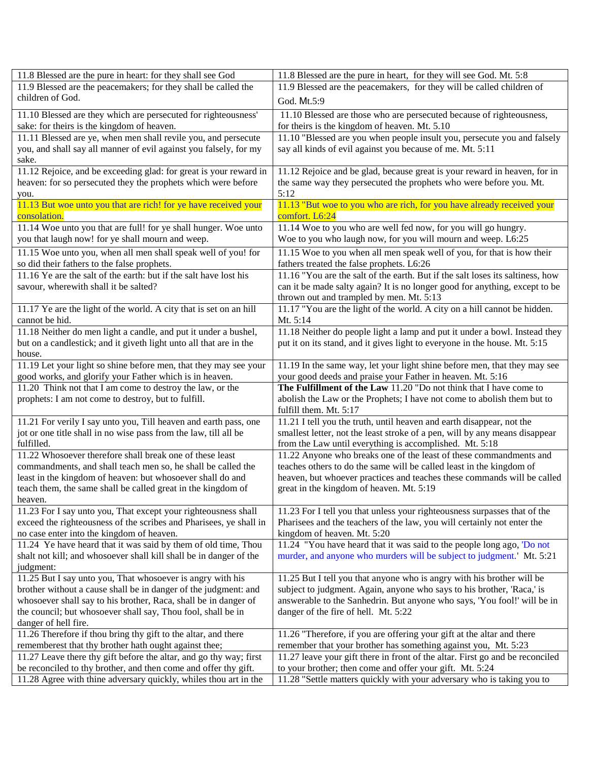| 11.8 Blessed are the pure in heart: for they shall see God                                                                          | 11.8 Blessed are the pure in heart, for they will see God. Mt. 5:8                                                                     |
|-------------------------------------------------------------------------------------------------------------------------------------|----------------------------------------------------------------------------------------------------------------------------------------|
| 11.9 Blessed are the peacemakers; for they shall be called the                                                                      | 11.9 Blessed are the peacemakers, for they will be called children of                                                                  |
| children of God.                                                                                                                    | God. Mt.5:9                                                                                                                            |
| 11.10 Blessed are they which are persecuted for righteousness'                                                                      | 11.10 Blessed are those who are persecuted because of righteousness,                                                                   |
| sake: for theirs is the kingdom of heaven.                                                                                          | for theirs is the kingdom of heaven. Mt. 5.10                                                                                          |
| 11.11 Blessed are ye, when men shall revile you, and persecute                                                                      | 11.10 "Blessed are you when people insult you, persecute you and falsely                                                               |
| you, and shall say all manner of evil against you falsely, for my                                                                   | say all kinds of evil against you because of me. Mt. 5:11                                                                              |
| sake.                                                                                                                               |                                                                                                                                        |
| 11.12 Rejoice, and be exceeding glad: for great is your reward in                                                                   | 11.12 Rejoice and be glad, because great is your reward in heaven, for in                                                              |
| heaven: for so persecuted they the prophets which were before                                                                       | the same way they persecuted the prophets who were before you. Mt.                                                                     |
| you.                                                                                                                                | 5:12                                                                                                                                   |
| 11.13 But woe unto you that are rich! for ye have received your                                                                     | 11.13 "But woe to you who are rich, for you have already received your                                                                 |
| consolation.                                                                                                                        | comfort. L6:24                                                                                                                         |
| 11.14 Woe unto you that are full! for ye shall hunger. Woe unto                                                                     | 11.14 Woe to you who are well fed now, for you will go hungry.                                                                         |
| you that laugh now! for ye shall mourn and weep.                                                                                    | Woe to you who laugh now, for you will mourn and weep. L6:25                                                                           |
| 11.15 Woe unto you, when all men shall speak well of you! for                                                                       | 11.15 Woe to you when all men speak well of you, for that is how their                                                                 |
| so did their fathers to the false prophets.                                                                                         | fathers treated the false prophets. L6:26                                                                                              |
| 11.16 Ye are the salt of the earth: but if the salt have lost his                                                                   | 11.16 "You are the salt of the earth. But if the salt loses its saltiness, how                                                         |
| savour, wherewith shall it be salted?                                                                                               | can it be made salty again? It is no longer good for anything, except to be                                                            |
|                                                                                                                                     | thrown out and trampled by men. Mt. 5:13                                                                                               |
| 11.17 Ye are the light of the world. A city that is set on an hill                                                                  | 11.17 "You are the light of the world. A city on a hill cannot be hidden.                                                              |
| cannot be hid.                                                                                                                      | Mt. 5:14                                                                                                                               |
| 11.18 Neither do men light a candle, and put it under a bushel,                                                                     | 11.18 Neither do people light a lamp and put it under a bowl. Instead they                                                             |
| but on a candlestick; and it giveth light unto all that are in the                                                                  | put it on its stand, and it gives light to everyone in the house. Mt. 5:15                                                             |
| house.                                                                                                                              |                                                                                                                                        |
| 11.19 Let your light so shine before men, that they may see your                                                                    | 11.19 In the same way, let your light shine before men, that they may see                                                              |
| good works, and glorify your Father which is in heaven.                                                                             | your good deeds and praise your Father in heaven. Mt. 5:16                                                                             |
| 11.20 Think not that I am come to destroy the law, or the                                                                           | The Fulfillment of the Law 11.20 "Do not think that I have come to                                                                     |
| prophets: I am not come to destroy, but to fulfill.                                                                                 | abolish the Law or the Prophets; I have not come to abolish them but to                                                                |
|                                                                                                                                     | fulfill them. Mt. 5:17                                                                                                                 |
| 11.21 For verily I say unto you, Till heaven and earth pass, one                                                                    | 11.21 I tell you the truth, until heaven and earth disappear, not the                                                                  |
| jot or one title shall in no wise pass from the law, till all be<br>fulfilled.                                                      | smallest letter, not the least stroke of a pen, will by any means disappear<br>from the Law until everything is accomplished. Mt. 5:18 |
| 11.22 Whosoever therefore shall break one of these least                                                                            | 11.22 Anyone who breaks one of the least of these commandments and                                                                     |
| commandments, and shall teach men so, he shall be called the                                                                        | teaches others to do the same will be called least in the kingdom of                                                                   |
| least in the kingdom of heaven: but whosoever shall do and                                                                          | heaven, but whoever practices and teaches these commands will be called                                                                |
| teach them, the same shall be called great in the kingdom of                                                                        | great in the kingdom of heaven. Mt. 5:19                                                                                               |
| heaven.                                                                                                                             |                                                                                                                                        |
| 11.23 For I say unto you, That except your righteousness shall                                                                      | 11.23 For I tell you that unless your righteousness surpasses that of the                                                              |
| exceed the righteousness of the scribes and Pharisees, ye shall in                                                                  | Pharisees and the teachers of the law, you will certainly not enter the                                                                |
| no case enter into the kingdom of heaven.                                                                                           | kingdom of heaven. Mt. 5:20                                                                                                            |
| 11.24 Ye have heard that it was said by them of old time, Thou                                                                      | 11.24 "You have heard that it was said to the people long ago, 'Do not                                                                 |
| shalt not kill; and whosoever shall kill shall be in danger of the                                                                  | murder, and anyone who murders will be subject to judgment.' Mt. 5:21                                                                  |
| judgment:                                                                                                                           |                                                                                                                                        |
| 11.25 But I say unto you, That whosoever is angry with his                                                                          | 11.25 But I tell you that anyone who is angry with his brother will be                                                                 |
| brother without a cause shall be in danger of the judgment: and                                                                     | subject to judgment. Again, anyone who says to his brother, 'Raca,' is                                                                 |
| whosoever shall say to his brother, Raca, shall be in danger of                                                                     | answerable to the Sanhedrin. But anyone who says, 'You fool!' will be in                                                               |
| the council; but whosoever shall say, Thou fool, shall be in                                                                        |                                                                                                                                        |
|                                                                                                                                     | danger of the fire of hell. Mt. 5:22                                                                                                   |
| danger of hell fire.                                                                                                                |                                                                                                                                        |
| 11.26 Therefore if thou bring thy gift to the altar, and there                                                                      | 11.26 "Therefore, if you are offering your gift at the altar and there                                                                 |
| rememberest that thy brother hath ought against thee;                                                                               | remember that your brother has something against you, Mt. 5:23                                                                         |
| 11.27 Leave there thy gift before the altar, and go thy way; first                                                                  | 11.27 leave your gift there in front of the altar. First go and be reconciled                                                          |
| be reconciled to thy brother, and then come and offer thy gift.<br>11.28 Agree with thine adversary quickly, whiles thou art in the | to your brother; then come and offer your gift. Mt. 5:24<br>11.28 "Settle matters quickly with your adversary who is taking you to     |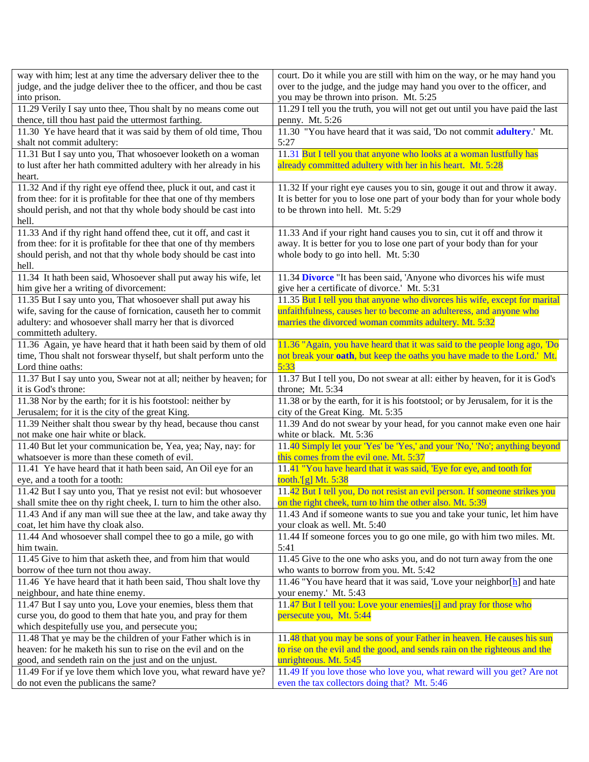| way with him; lest at any time the adversary deliver thee to the                                      | court. Do it while you are still with him on the way, or he may hand you                                                |
|-------------------------------------------------------------------------------------------------------|-------------------------------------------------------------------------------------------------------------------------|
| judge, and the judge deliver thee to the officer, and thou be cast                                    | over to the judge, and the judge may hand you over to the officer, and                                                  |
| into prison.                                                                                          | you may be thrown into prison. Mt. 5:25                                                                                 |
| 11.29 Verily I say unto thee, Thou shalt by no means come out                                         | 11.29 I tell you the truth, you will not get out until you have paid the last                                           |
| thence, till thou hast paid the uttermost farthing.                                                   | penny. Mt. 5:26                                                                                                         |
| 11.30 Ye have heard that it was said by them of old time, Thou                                        | 11.30 "You have heard that it was said, 'Do not commit adultery.' Mt.                                                   |
| shalt not commit adultery:                                                                            | 5:27                                                                                                                    |
| 11.31 But I say unto you, That whosoever looketh on a woman                                           | 11.31 But I tell you that anyone who looks at a woman lustfully has                                                     |
| to lust after her hath committed adultery with her already in his                                     | already committed adultery with her in his heart. Mt. 5:28                                                              |
| heart.                                                                                                |                                                                                                                         |
| 11.32 And if thy right eye offend thee, pluck it out, and cast it                                     | 11.32 If your right eye causes you to sin, gouge it out and throw it away.                                              |
| from thee: for it is profitable for thee that one of thy members                                      | It is better for you to lose one part of your body than for your whole body                                             |
| should perish, and not that thy whole body should be cast into                                        | to be thrown into hell. Mt. 5:29                                                                                        |
| hell.                                                                                                 |                                                                                                                         |
| 11.33 And if thy right hand offend thee, cut it off, and cast it                                      | 11.33 And if your right hand causes you to sin, cut it off and throw it                                                 |
| from thee: for it is profitable for thee that one of thy members                                      | away. It is better for you to lose one part of your body than for your                                                  |
| should perish, and not that thy whole body should be cast into                                        | whole body to go into hell. Mt. 5:30                                                                                    |
| hell.                                                                                                 |                                                                                                                         |
| 11.34 It hath been said, Whosoever shall put away his wife, let                                       | 11.34 Divorce "It has been said, 'Anyone who divorces his wife must                                                     |
| him give her a writing of divorcement:                                                                | give her a certificate of divorce.' Mt. 5:31                                                                            |
| 11.35 But I say unto you, That whosoever shall put away his                                           | 11.35 But I tell you that anyone who divorces his wife, except for marital                                              |
| wife, saving for the cause of fornication, causeth her to commit                                      | unfaithfulness, causes her to become an adulteress, and anyone who                                                      |
| adultery: and whosoever shall marry her that is divorced                                              | marries the divorced woman commits adultery. Mt. 5:32                                                                   |
| committeth adultery.                                                                                  |                                                                                                                         |
| 11.36 Again, ye have heard that it hath been said by them of old                                      | 11.36 "Again, you have heard that it was said to the people long ago, 'Do                                               |
| time, Thou shalt not forswear thyself, but shalt perform unto the<br>Lord thine oaths:                | not break your <b>oath</b> , but keep the oaths you have made to the Lord.' Mt.<br>5:33                                 |
| 11.37 But I say unto you, Swear not at all; neither by heaven; for                                    | 11.37 But I tell you, Do not swear at all: either by heaven, for it is God's                                            |
| it is God's throne:                                                                                   | throne; Mt. 5:34                                                                                                        |
| 11.38 Nor by the earth; for it is his footstool: neither by                                           | 11.38 or by the earth, for it is his footstool; or by Jerusalem, for it is the                                          |
| Jerusalem; for it is the city of the great King.                                                      | city of the Great King. Mt. 5:35                                                                                        |
| 11.39 Neither shalt thou swear by thy head, because thou canst                                        | 11.39 And do not swear by your head, for you cannot make even one hair                                                  |
| not make one hair white or black.                                                                     | white or black. Mt. 5:36                                                                                                |
| 11.40 But let your communication be, Yea, yea; Nay, nay: for                                          | 11.40 Simply let your 'Yes' be 'Yes,' and your 'No,' 'No'; anything beyond                                              |
| whatsoever is more than these cometh of evil.                                                         | this comes from the evil one. Mt. 5:37                                                                                  |
| 11.41 Ye have heard that it hath been said, An Oil eye for an                                         | 11.41 "You have heard that it was said, 'Eye for eye, and tooth for                                                     |
| eye, and a tooth for a tooth:                                                                         | tooth.' $[g]$ Mt. 5:38                                                                                                  |
| 11.42 But I say unto you, That ye resist not evil: but whosoever                                      | 11.42 But I tell you, Do not resist an evil person. If someone strikes you                                              |
| shall smite thee on thy right cheek, I. turn to him the other also.                                   | on the right cheek, turn to him the other also. Mt. 5:39                                                                |
| 11.43 And if any man will sue thee at the law, and take away thy                                      | 11.43 And if someone wants to sue you and take your tunic, let him have                                                 |
| coat, let him have thy cloak also.                                                                    | your cloak as well. Mt. 5:40<br>11.44 If someone forces you to go one mile, go with him two miles. Mt.                  |
| 11.44 And whosoever shall compel thee to go a mile, go with<br>him twain.                             | 5:41                                                                                                                    |
| 11.45 Give to him that asketh thee, and from him that would                                           | 11.45 Give to the one who asks you, and do not turn away from the one                                                   |
| borrow of thee turn not thou away.                                                                    | who wants to borrow from you. Mt. 5:42                                                                                  |
| 11.46 Ye have heard that it hath been said, Thou shalt love thy                                       | 11.46 "You have heard that it was said, 'Love your neighbor[h] and hate                                                 |
| neighbour, and hate thine enemy.                                                                      | your enemy.' Mt. 5:43                                                                                                   |
| 11.47 But I say unto you, Love your enemies, bless them that                                          | 11.47 But I tell you: Love your enemies[i] and pray for those who                                                       |
| curse you, do good to them that hate you, and pray for them                                           | persecute you, Mt. 5:44                                                                                                 |
| which despitefully use you, and persecute you;                                                        |                                                                                                                         |
| 11.48 That ye may be the children of your Father which is in                                          | 11.48 that you may be sons of your Father in heaven. He causes his sun                                                  |
| heaven: for he maketh his sun to rise on the evil and on the                                          | to rise on the evil and the good, and sends rain on the righteous and the                                               |
| good, and sendeth rain on the just and on the unjust.                                                 |                                                                                                                         |
|                                                                                                       | unrighteous. Mt. 5:45                                                                                                   |
| 11.49 For if ye love them which love you, what reward have ye?<br>do not even the publicans the same? | 11.49 If you love those who love you, what reward will you get? Are not<br>even the tax collectors doing that? Mt. 5:46 |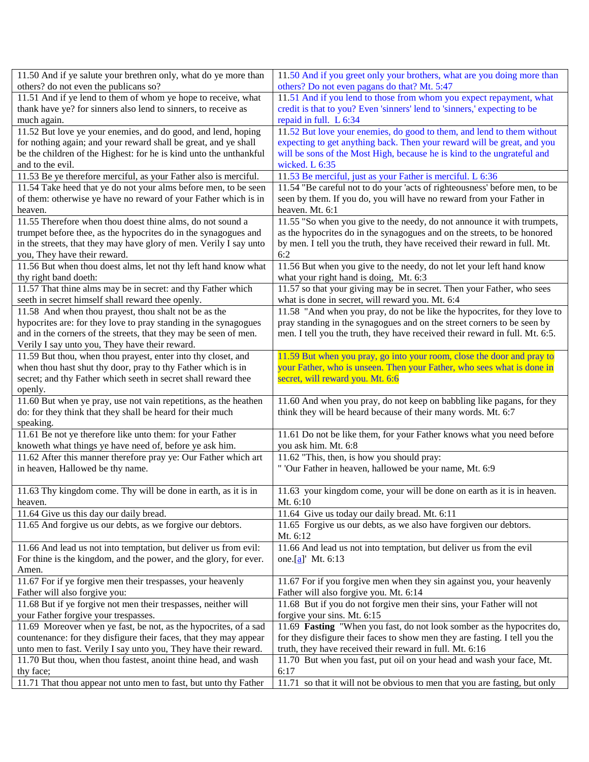| 11.50 And if ye salute your brethren only, what do ye more than                                            | 11.50 And if you greet only your brothers, what are you doing more than                                                    |
|------------------------------------------------------------------------------------------------------------|----------------------------------------------------------------------------------------------------------------------------|
| others? do not even the publicans so?                                                                      | others? Do not even pagans do that? Mt. 5:47                                                                               |
| 11.51 And if ye lend to them of whom ye hope to receive, what                                              | 11.51 And if you lend to those from whom you expect repayment, what                                                        |
| thank have ye? for sinners also lend to sinners, to receive as                                             | credit is that to you? Even 'sinners' lend to 'sinners,' expecting to be                                                   |
| much again.                                                                                                | repaid in full. L 6:34                                                                                                     |
| 11.52 But love ye your enemies, and do good, and lend, hoping                                              | 11.52 But love your enemies, do good to them, and lend to them without                                                     |
| for nothing again; and your reward shall be great, and ye shall                                            | expecting to get anything back. Then your reward will be great, and you                                                    |
| be the children of the Highest: for he is kind unto the unthankful                                         | will be sons of the Most High, because he is kind to the ungrateful and                                                    |
| and to the evil.                                                                                           | wicked. L 6:35                                                                                                             |
| 11.53 Be ye therefore merciful, as your Father also is merciful.                                           | 11.53 Be merciful, just as your Father is merciful. L 6:36                                                                 |
| 11.54 Take heed that ye do not your alms before men, to be seen                                            | 11.54 "Be careful not to do your 'acts of righteousness' before men, to be                                                 |
| of them: otherwise ye have no reward of your Father which is in                                            | seen by them. If you do, you will have no reward from your Father in                                                       |
| heaven.                                                                                                    | heaven. Mt. 6:1                                                                                                            |
| 11.55 Therefore when thou doest thine alms, do not sound a                                                 | 11.55 "So when you give to the needy, do not announce it with trumpets,                                                    |
| trumpet before thee, as the hypocrites do in the synagogues and                                            | as the hypocrites do in the synagogues and on the streets, to be honored                                                   |
| in the streets, that they may have glory of men. Verily I say unto                                         | by men. I tell you the truth, they have received their reward in full. Mt.                                                 |
| you, They have their reward.                                                                               | 6:2                                                                                                                        |
| 11.56 But when thou doest alms, let not thy left hand know what                                            | 11.56 But when you give to the needy, do not let your left hand know                                                       |
| thy right band doeth:                                                                                      | what your right hand is doing, Mt. 6:3                                                                                     |
| 11.57 That thine alms may be in secret: and thy Father which                                               | 11.57 so that your giving may be in secret. Then your Father, who sees<br>what is done in secret, will reward you. Mt. 6:4 |
| seeth in secret himself shall reward thee openly.<br>11.58 And when thou prayest, thou shalt not be as the | 11.58 "And when you pray, do not be like the hypocrites, for they love to                                                  |
| hypocrites are: for they love to pray standing in the synagogues                                           | pray standing in the synagogues and on the street corners to be seen by                                                    |
| and in the corners of the streets, that they may be seen of men.                                           | men. I tell you the truth, they have received their reward in full. Mt. 6:5.                                               |
| Verily I say unto you, They have their reward.                                                             |                                                                                                                            |
| 11.59 But thou, when thou prayest, enter into thy closet, and                                              | 11.59 But when you pray, go into your room, close the door and pray to                                                     |
| when thou hast shut thy door, pray to thy Father which is in                                               | your Father, who is unseen. Then your Father, who sees what is done in                                                     |
| secret; and thy Father which seeth in secret shall reward thee                                             | secret, will reward you. Mt. 6:6                                                                                           |
| openly.                                                                                                    |                                                                                                                            |
| 11.60 But when ye pray, use not vain repetitions, as the heathen                                           | 11.60 And when you pray, do not keep on babbling like pagans, for they                                                     |
| do: for they think that they shall be heard for their much                                                 | think they will be heard because of their many words. Mt. 6:7                                                              |
| speaking.                                                                                                  |                                                                                                                            |
| 11.61 Be not ye therefore like unto them: for your Father                                                  | 11.61 Do not be like them, for your Father knows what you need before                                                      |
| knoweth what things ye have need of, before ye ask him.                                                    | you ask him. Mt. 6:8                                                                                                       |
| 11.62 After this manner therefore pray ye: Our Father which art                                            | 11.62 "This, then, is how you should pray:                                                                                 |
| in heaven, Hallowed be thy name.                                                                           | " 'Our Father in heaven, hallowed be your name, Mt. 6:9                                                                    |
|                                                                                                            |                                                                                                                            |
| 11.63 Thy kingdom come. Thy will be done in earth, as it is in                                             | 11.63 your kingdom come, your will be done on earth as it is in heaven.                                                    |
| heaven.                                                                                                    | Mt. 6:10                                                                                                                   |
| 11.64 Give us this day our daily bread.                                                                    | 11.64 Give us today our daily bread. Mt. 6:11                                                                              |
| 11.65 And forgive us our debts, as we forgive our debtors.                                                 | 11.65 Forgive us our debts, as we also have forgiven our debtors.                                                          |
|                                                                                                            | Mt. 6:12                                                                                                                   |
| 11.66 And lead us not into temptation, but deliver us from evil:                                           | 11.66 And lead us not into temptation, but deliver us from the evil                                                        |
| For thine is the kingdom, and the power, and the glory, for ever.                                          | one. $[a]$ Mt. 6:13                                                                                                        |
| Amen.                                                                                                      |                                                                                                                            |
| 11.67 For if ye forgive men their trespasses, your heavenly                                                | 11.67 For if you forgive men when they sin against you, your heavenly                                                      |
| Father will also forgive you:                                                                              | Father will also forgive you. Mt. 6:14                                                                                     |
| 11.68 But if ye forgive not men their trespasses, neither will                                             | 11.68 But if you do not forgive men their sins, your Father will not                                                       |
| your Father forgive your trespasses.                                                                       | forgive your sins. Mt. 6:15                                                                                                |
| 11.69 Moreover when ye fast, be not, as the hypocrites, of a sad                                           | 11.69 Fasting "When you fast, do not look somber as the hypocrites do,                                                     |
| countenance: for they disfigure their faces, that they may appear                                          | for they disfigure their faces to show men they are fasting. I tell you the                                                |
| unto men to fast. Verily I say unto you, They have their reward.                                           | truth, they have received their reward in full. Mt. 6:16                                                                   |
| 11.70 But thou, when thou fastest, anoint thine head, and wash                                             | 11.70 But when you fast, put oil on your head and wash your face, Mt.                                                      |
| thy face;<br>11.71 That thou appear not unto men to fast, but unto thy Father                              | 6:17<br>11.71 so that it will not be obvious to men that you are fasting, but only                                         |
|                                                                                                            |                                                                                                                            |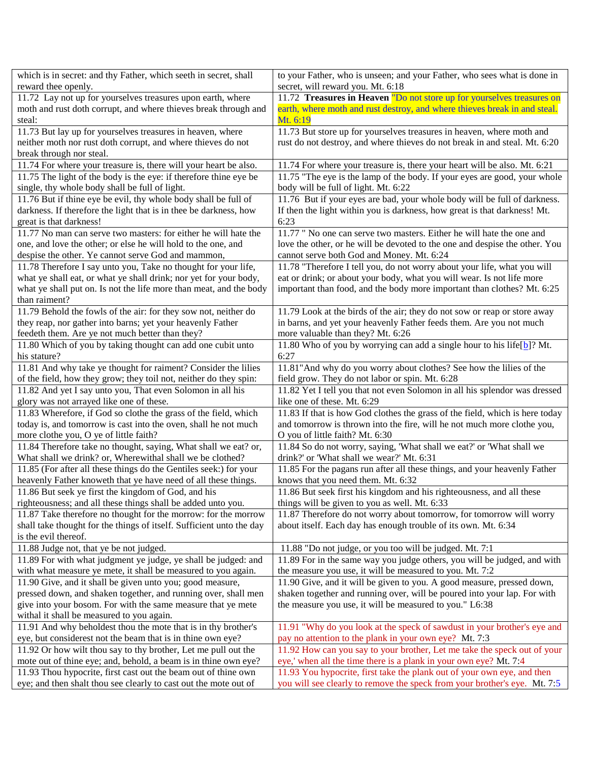| which is in secret: and thy Father, which seeth in secret, shall                                                                  | to your Father, who is unseen; and your Father, who sees what is done in                                                                     |
|-----------------------------------------------------------------------------------------------------------------------------------|----------------------------------------------------------------------------------------------------------------------------------------------|
| reward thee openly.                                                                                                               | secret, will reward you. Mt. 6:18                                                                                                            |
| 11.72 Lay not up for yourselves treasures upon earth, where                                                                       | 11.72 Treasures in Heaven "Do not store up for yourselves treasures on                                                                       |
| moth and rust doth corrupt, and where thieves break through and                                                                   | earth, where moth and rust destroy, and where thieves break in and steal.                                                                    |
| steal:                                                                                                                            | Mt. 6:19                                                                                                                                     |
| 11.73 But lay up for yourselves treasures in heaven, where                                                                        | 11.73 But store up for yourselves treasures in heaven, where moth and                                                                        |
| neither moth nor rust doth corrupt, and where thieves do not                                                                      | rust do not destroy, and where thieves do not break in and steal. Mt. 6:20                                                                   |
| break through nor steal.                                                                                                          |                                                                                                                                              |
| 11.74 For where your treasure is, there will your heart be also.                                                                  | 11.74 For where your treasure is, there your heart will be also. Mt. 6:21                                                                    |
| 11.75 The light of the body is the eye: if therefore thine eye be                                                                 | 11.75 "The eye is the lamp of the body. If your eyes are good, your whole                                                                    |
| single, thy whole body shall be full of light.                                                                                    | body will be full of light. Mt. 6:22                                                                                                         |
| 11.76 But if thine eye be evil, thy whole body shall be full of                                                                   | 11.76 But if your eyes are bad, your whole body will be full of darkness.                                                                    |
| darkness. If therefore the light that is in thee be darkness, how                                                                 | If then the light within you is darkness, how great is that darkness! Mt.                                                                    |
| great is that darkness!                                                                                                           | 6:23                                                                                                                                         |
| 11.77 No man can serve two masters: for either he will hate the                                                                   | 11.77 " No one can serve two masters. Either he will hate the one and                                                                        |
| one, and love the other; or else he will hold to the one, and                                                                     | love the other, or he will be devoted to the one and despise the other. You                                                                  |
| despise the other. Ye cannot serve God and mammon,                                                                                | cannot serve both God and Money. Mt. 6:24                                                                                                    |
| 11.78 Therefore I say unto you, Take no thought for your life,                                                                    | 11.78 "Therefore I tell you, do not worry about your life, what you will                                                                     |
| what ye shall eat, or what ye shall drink; nor yet for your body,                                                                 | eat or drink; or about your body, what you will wear. Is not life more                                                                       |
| what ye shall put on. Is not the life more than meat, and the body                                                                | important than food, and the body more important than clothes? Mt. 6:25                                                                      |
| than raiment?                                                                                                                     |                                                                                                                                              |
| 11.79 Behold the fowls of the air: for they sow not, neither do                                                                   | 11.79 Look at the birds of the air; they do not sow or reap or store away                                                                    |
| they reap, nor gather into barns; yet your heavenly Father                                                                        | in barns, and yet your heavenly Father feeds them. Are you not much                                                                          |
| feedeth them. Are ye not much better than they?<br>11.80 Which of you by taking thought can add one cubit unto                    | more valuable than they? Mt. 6:26                                                                                                            |
| his stature?                                                                                                                      | 11.80 Who of you by worrying can add a single hour to his life[b]? Mt.<br>6:27                                                               |
| 11.81 And why take ye thought for raiment? Consider the lilies                                                                    | 11.81" And why do you worry about clothes? See how the lilies of the                                                                         |
| of the field, how they grow; they toil not, neither do they spin:                                                                 | field grow. They do not labor or spin. Mt. 6:28                                                                                              |
| 11.82 And yet I say unto you, That even Solomon in all his                                                                        | 11.82 Yet I tell you that not even Solomon in all his splendor was dressed                                                                   |
| glory was not arrayed like one of these.                                                                                          | like one of these. Mt. 6:29                                                                                                                  |
| 11.83 Wherefore, if God so clothe the grass of the field, which                                                                   | 11.83 If that is how God clothes the grass of the field, which is here today                                                                 |
| today is, and tomorrow is cast into the oven, shall he not much                                                                   | and tomorrow is thrown into the fire, will he not much more clothe you,                                                                      |
| more clothe you, O ye of little faith?                                                                                            | O you of little faith? Mt. 6:30                                                                                                              |
| 11.84 Therefore take no thought, saying, What shall we eat? or,                                                                   | 11.84 So do not worry, saying, 'What shall we eat?' or 'What shall we                                                                        |
| What shall we drink? or, Wherewithal shall we be clothed?                                                                         | drink?' or 'What shall we wear?' Mt. 6:31                                                                                                    |
| 11.85 (For after all these things do the Gentiles seek:) for your                                                                 | 11.85 For the pagans run after all these things, and your heavenly Father                                                                    |
| heavenly Father knoweth that ye have need of all these things.                                                                    | knows that you need them. Mt. 6:32                                                                                                           |
| 11.86 But seek ye first the kingdom of God, and his                                                                               | 11.86 But seek first his kingdom and his righteousness, and all these                                                                        |
| righteousness; and all these things shall be added unto you.                                                                      | things will be given to you as well. Mt. 6:33                                                                                                |
| 11.87 Take therefore no thought for the morrow: for the morrow                                                                    | 11.87 Therefore do not worry about tomorrow, for tomorrow will worry                                                                         |
| shall take thought for the things of itself. Sufficient unto the day                                                              | about itself. Each day has enough trouble of its own. Mt. 6:34                                                                               |
| is the evil thereof.                                                                                                              |                                                                                                                                              |
| 11.88 Judge not, that ye be not judged.                                                                                           | 11.88 "Do not judge, or you too will be judged. Mt. 7:1                                                                                      |
| 11.89 For with what judgment ye judge, ye shall be judged: and                                                                    | 11.89 For in the same way you judge others, you will be judged, and with                                                                     |
| with what measure ye mete, it shall be measured to you again.                                                                     | the measure you use, it will be measured to you. Mt. 7:2                                                                                     |
| 11.90 Give, and it shall be given unto you; good measure,                                                                         | 11.90 Give, and it will be given to you. A good measure, pressed down,                                                                       |
| pressed down, and shaken together, and running over, shall men                                                                    | shaken together and running over, will be poured into your lap. For with                                                                     |
| give into your bosom. For with the same measure that ye mete                                                                      | the measure you use, it will be measured to you." L6:38                                                                                      |
| withal it shall be measured to you again.                                                                                         |                                                                                                                                              |
| 11.91 And why beholdest thou the mote that is in thy brother's                                                                    | 11.91 "Why do you look at the speck of sawdust in your brother's eye and                                                                     |
| eye, but considerest not the beam that is in thine own eye?                                                                       | pay no attention to the plank in your own eye? Mt. 7:3                                                                                       |
| 11.92 Or how wilt thou say to thy brother, Let me pull out the                                                                    | 11.92 How can you say to your brother, Let me take the speck out of your                                                                     |
| mote out of thine eye; and, behold, a beam is in thine own eye?<br>11.93 Thou hypocrite, first cast out the beam out of thine own | eye,' when all the time there is a plank in your own eye? Mt. 7:4<br>11.93 You hypocrite, first take the plank out of your own eye, and then |
| eye; and then shalt thou see clearly to cast out the mote out of                                                                  | you will see clearly to remove the speck from your brother's eye. Mt. 7:5                                                                    |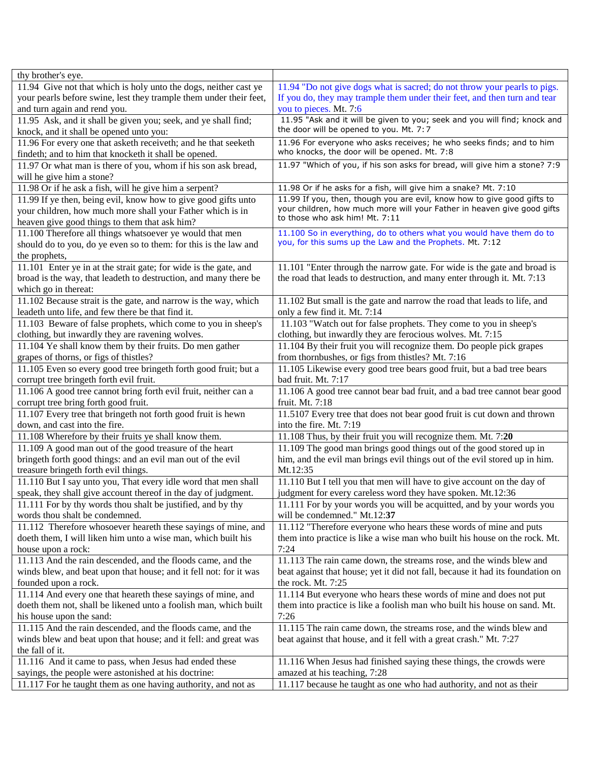| thy brother's eye.                                                 |                                                                                |
|--------------------------------------------------------------------|--------------------------------------------------------------------------------|
| 11.94 Give not that which is holy unto the dogs, neither cast ye   | 11.94 "Do not give dogs what is sacred; do not throw your pearls to pigs.      |
| your pearls before swine, lest they trample them under their feet, | If you do, they may trample them under their feet, and then turn and tear      |
| and turn again and rend you.                                       | you to pieces. Mt. 7:6                                                         |
| 11.95 Ask, and it shall be given you; seek, and ye shall find;     | 11.95 "Ask and it will be given to you; seek and you will find; knock and      |
| knock, and it shall be opened unto you:                            | the door will be opened to you. Mt. 7:7                                        |
| 11.96 For every one that asketh receiveth; and he that seeketh     | 11.96 For everyone who asks receives; he who seeks finds; and to him           |
| findeth; and to him that knocketh it shall be opened.              | who knocks, the door will be opened. Mt. 7:8                                   |
| 11.97 Or what man is there of you, whom if his son ask bread,      | 11.97 "Which of you, if his son asks for bread, will give him a stone? 7:9     |
| will he give him a stone?                                          |                                                                                |
| 11.98 Or if he ask a fish, will he give him a serpent?             | 11.98 Or if he asks for a fish, will give him a snake? Mt. 7:10                |
| 11.99 If ye then, being evil, know how to give good gifts unto     | 11.99 If you, then, though you are evil, know how to give good gifts to        |
| your children, how much more shall your Father which is in         | your children, how much more will your Father in heaven give good gifts        |
| heaven give good things to them that ask him?                      | to those who ask him! Mt. 7:11                                                 |
| 11.100 Therefore all things whatsoever ye would that men           | 11.100 So in everything, do to others what you would have them do to           |
| should do to you, do ye even so to them: for this is the law and   | you, for this sums up the Law and the Prophets. Mt. 7:12                       |
| the prophets,                                                      |                                                                                |
| 11.101 Enter ye in at the strait gate; for wide is the gate, and   | 11.101 "Enter through the narrow gate. For wide is the gate and broad is       |
| broad is the way, that leadeth to destruction, and many there be   | the road that leads to destruction, and many enter through it. Mt. 7:13        |
| which go in thereat:                                               |                                                                                |
| 11.102 Because strait is the gate, and narrow is the way, which    | 11.102 But small is the gate and narrow the road that leads to life, and       |
| leadeth unto life, and few there be that find it.                  | only a few find it. Mt. 7:14                                                   |
| 11.103 Beware of false prophets, which come to you in sheep's      | 11.103 "Watch out for false prophets. They come to you in sheep's              |
| clothing, but inwardly they are ravening wolves.                   | clothing, but inwardly they are ferocious wolves. Mt. 7:15                     |
| 11.104 Ye shall know them by their fruits. Do men gather           | 11.104 By their fruit you will recognize them. Do people pick grapes           |
| grapes of thorns, or figs of thistles?                             | from thornbushes, or figs from thistles? Mt. 7:16                              |
| 11.105 Even so every good tree bringeth forth good fruit; but a    | 11.105 Likewise every good tree bears good fruit, but a bad tree bears         |
| corrupt tree bringeth forth evil fruit.                            | bad fruit. Mt. 7:17                                                            |
| 11.106 A good tree cannot bring forth evil fruit, neither can a    | 11.106 A good tree cannot bear bad fruit, and a bad tree cannot bear good      |
| corrupt tree bring forth good fruit.                               | fruit. Mt. $7:18$                                                              |
| 11.107 Every tree that bringeth not forth good fruit is hewn       | 11.5107 Every tree that does not bear good fruit is cut down and thrown        |
| down, and cast into the fire.                                      | into the fire. Mt. 7:19                                                        |
| 11.108 Wherefore by their fruits ye shall know them.               | 11.108 Thus, by their fruit you will recognize them. Mt. 7:20                  |
| 11.109 A good man out of the good treasure of the heart            | 11.109 The good man brings good things out of the good stored up in            |
| bringeth forth good things: and an evil man out of the evil        | him, and the evil man brings evil things out of the evil stored up in him.     |
| treasure bringeth forth evil things.                               | Mt.12:35                                                                       |
| 11.110 But I say unto you, That every idle word that men shall     | 11.110 But I tell you that men will have to give account on the day of         |
| speak, they shall give account thereof in the day of judgment.     | judgment for every careless word they have spoken. Mt.12:36                    |
| 11.111 For by thy words thou shalt be justified, and by thy        | 11.111 For by your words you will be acquitted, and by your words you          |
| words thou shalt be condemned.                                     | will be condemned." Mt.12:37                                                   |
| 11.112 Therefore whosoever heareth these sayings of mine, and      | 11.112 "Therefore everyone who hears these words of mine and puts              |
| doeth them, I will liken him unto a wise man, which built his      | them into practice is like a wise man who built his house on the rock. Mt.     |
| house upon a rock:                                                 | 7:24                                                                           |
| 11.113 And the rain descended, and the floods came, and the        | 11.113 The rain came down, the streams rose, and the winds blew and            |
| winds blew, and beat upon that house; and it fell not: for it was  | beat against that house; yet it did not fall, because it had its foundation on |
| founded upon a rock.                                               | the rock. Mt. 7:25                                                             |
| 11.114 And every one that heareth these sayings of mine, and       | 11.114 But everyone who hears these words of mine and does not put             |
| doeth them not, shall be likened unto a foolish man, which built   | them into practice is like a foolish man who built his house on sand. Mt.      |
| his house upon the sand:                                           | 7:26                                                                           |
| 11.115 And the rain descended, and the floods came, and the        | 11.115 The rain came down, the streams rose, and the winds blew and            |
| winds blew and beat upon that house; and it fell: and great was    | beat against that house, and it fell with a great crash." Mt. 7:27             |
| the fall of it.                                                    |                                                                                |
| 11.116 And it came to pass, when Jesus had ended these             | 11.116 When Jesus had finished saying these things, the crowds were            |
| sayings, the people were astonished at his doctrine:               | amazed at his teaching, 7:28                                                   |
| 11.117 For he taught them as one having authority, and not as      | 11.117 because he taught as one who had authority, and not as their            |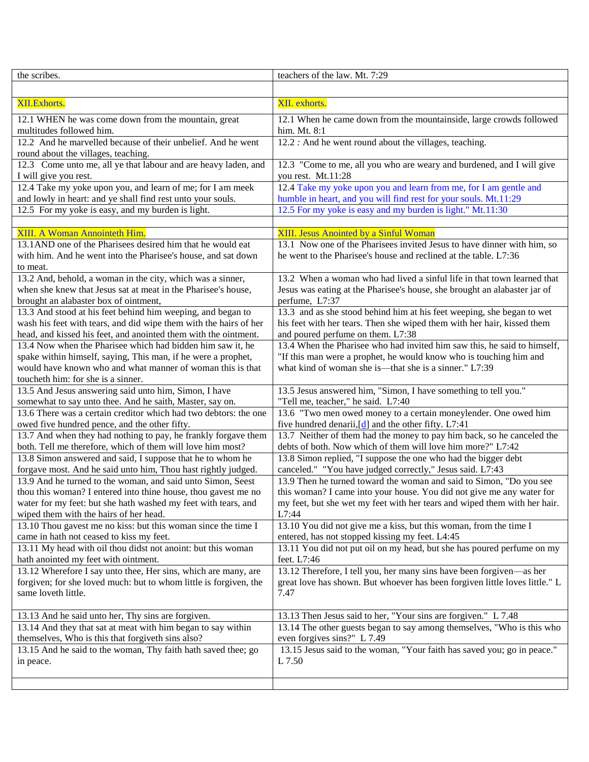| the scribes.                                                                                         | teachers of the law. Mt. 7:29                                                         |
|------------------------------------------------------------------------------------------------------|---------------------------------------------------------------------------------------|
|                                                                                                      |                                                                                       |
| XII.Exhorts.                                                                                         | XII. exhorts.                                                                         |
| 12.1 WHEN he was come down from the mountain, great                                                  | 12.1 When he came down from the mountainside, large crowds followed                   |
| multitudes followed him.                                                                             | him. Mt. 8:1                                                                          |
| 12.2 And he marvelled because of their unbelief. And he went                                         | 12.2 : And he went round about the villages, teaching.                                |
| round about the villages, teaching.                                                                  |                                                                                       |
| 12.3 Come unto me, all ye that labour and are heavy laden, and                                       | 12.3 "Come to me, all you who are weary and burdened, and I will give                 |
| I will give you rest.                                                                                | you rest. Mt.11:28                                                                    |
| 12.4 Take my yoke upon you, and learn of me; for I am meek                                           | 12.4 Take my yoke upon you and learn from me, for I am gentle and                     |
| and lowly in heart: and ye shall find rest unto your souls.                                          | humble in heart, and you will find rest for your souls. Mt.11:29                      |
| 12.5 For my yoke is easy, and my burden is light.                                                    | 12.5 For my yoke is easy and my burden is light." Mt.11:30                            |
|                                                                                                      |                                                                                       |
| XIII. A Woman Annointeth Him.                                                                        | XIII. Jesus Anointed by a Sinful Woman                                                |
| 13.1 AND one of the Pharisees desired him that he would eat                                          | 13.1 Now one of the Pharisees invited Jesus to have dinner with him, so               |
| with him. And he went into the Pharisee's house, and sat down                                        | he went to the Pharisee's house and reclined at the table. L7:36                      |
| to meat.                                                                                             |                                                                                       |
| 13.2 And, behold, a woman in the city, which was a sinner,                                           | 13.2 When a woman who had lived a sinful life in that town learned that               |
| when she knew that Jesus sat at meat in the Pharisee's house,                                        | Jesus was eating at the Pharisee's house, she brought an alabaster jar of             |
| brought an alabaster box of ointment,                                                                | perfume, L7:37                                                                        |
| 13.3 And stood at his feet behind him weeping, and began to                                          | 13.3 and as she stood behind him at his feet weeping, she began to wet                |
| wash his feet with tears, and did wipe them with the hairs of her                                    | his feet with her tears. Then she wiped them with her hair, kissed them               |
| head, and kissed his feet, and anointed them with the ointment.                                      | and poured perfume on them. L7:38                                                     |
| 13.4 Now when the Pharisee which had bidden him saw it, he                                           | 13.4 When the Pharisee who had invited him saw this, he said to himself,              |
| spake within himself, saying, This man, if he were a prophet,                                        | "If this man were a prophet, he would know who is touching him and                    |
| would have known who and what manner of woman this is that                                           | what kind of woman she is—that she is a sinner." L7:39                                |
| toucheth him: for she is a sinner.<br>13.5 And Jesus answering said unto him, Simon, I have          | 13.5 Jesus answered him, "Simon, I have something to tell you."                       |
| somewhat to say unto thee. And he saith, Master, say on.                                             | "Tell me, teacher," he said. L7:40                                                    |
| 13.6 There was a certain creditor which had two debtors: the one                                     | 13.6 "Two men owed money to a certain moneylender. One owed him                       |
| owed five hundred pence, and the other fifty.                                                        | five hundred denarii, [ $d$ ] and the other fifty. L7:41                              |
| 13.7 And when they had nothing to pay, he frankly forgave them                                       | 13.7 Neither of them had the money to pay him back, so he canceled the                |
| both. Tell me therefore, which of them will love him most?                                           | debts of both. Now which of them will love him more?" L7:42                           |
| 13.8 Simon answered and said, I suppose that he to whom he                                           | 13.8 Simon replied, "I suppose the one who had the bigger debt                        |
| forgave most. And he said unto him, Thou hast rightly judged.                                        | canceled." "You have judged correctly," Jesus said. L7:43                             |
| 13.9 And he turned to the woman, and said unto Simon, Seest                                          | 13.9 Then he turned toward the woman and said to Simon, "Do you see                   |
| thou this woman? I entered into thine house, thou gavest me no                                       | this woman? I came into your house. You did not give me any water for                 |
| water for my feet: but she hath washed my feet with tears, and                                       | my feet, but she wet my feet with her tears and wiped them with her hair.             |
| wiped them with the hairs of her head.                                                               | L7:44                                                                                 |
| 13.10 Thou gavest me no kiss: but this woman since the time I                                        | 13.10 You did not give me a kiss, but this woman, from the time I                     |
| came in hath not ceased to kiss my feet.                                                             | entered, has not stopped kissing my feet. L4:45                                       |
| 13.11 My head with oil thou didst not anoint: but this woman<br>hath anointed my feet with ointment. | 13.11 You did not put oil on my head, but she has poured perfume on my<br>feet. L7:46 |
| 13.12 Wherefore I say unto thee, Her sins, which are many, are                                       | 13.12 Therefore, I tell you, her many sins have been forgiven—as her                  |
| forgiven; for she loved much: but to whom little is forgiven, the                                    | great love has shown. But whoever has been forgiven little loves little." L           |
| same loveth little.                                                                                  | 7.47                                                                                  |
| 13.13 And he said unto her, Thy sins are forgiven.                                                   | 13.13 Then Jesus said to her, "Your sins are forgiven." L 7.48                        |
| 13.14 And they that sat at meat with him began to say within                                         | 13.14 The other guests began to say among themselves, "Who is this who                |
| themselves, Who is this that forgiveth sins also?                                                    | even forgives sins?" L 7.49                                                           |
| 13.15 And he said to the woman, Thy faith hath saved thee; go                                        | 13.15 Jesus said to the woman, "Your faith has saved you; go in peace."               |
| in peace.                                                                                            | L 7.50                                                                                |
|                                                                                                      |                                                                                       |
|                                                                                                      |                                                                                       |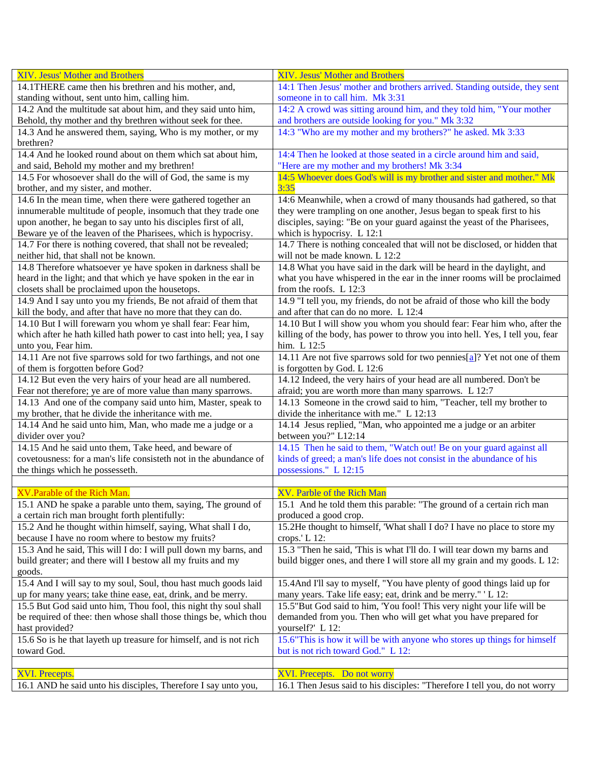| XIV. Jesus' Mother and Brothers                                                | XIV. Jesus' Mother and Brothers                                                           |
|--------------------------------------------------------------------------------|-------------------------------------------------------------------------------------------|
| 14.1THERE came then his brethren and his mother, and,                          | 14:1 Then Jesus' mother and brothers arrived. Standing outside, they sent                 |
| standing without, sent unto him, calling him.                                  | someone in to call him. Mk 3:31                                                           |
| 14.2 And the multitude sat about him, and they said unto him,                  | 14:2 A crowd was sitting around him, and they told him, "Your mother                      |
| Behold, thy mother and thy brethren without seek for thee.                     | and brothers are outside looking for you." Mk 3:32                                        |
| 14.3 And he answered them, saying, Who is my mother, or my                     | 14:3 "Who are my mother and my brothers?" he asked. Mk 3:33                               |
| brethren?                                                                      |                                                                                           |
| 14.4 And he looked round about on them which sat about him,                    | 14:4 Then he looked at those seated in a circle around him and said,                      |
| and said, Behold my mother and my brethren!                                    | "Here are my mother and my brothers! Mk 3:34                                              |
| 14.5 For whosoever shall do the will of God, the same is my                    | 14:5 Whoever does God's will is my brother and sister and mother." Mk                     |
| brother, and my sister, and mother.                                            | 3:35                                                                                      |
| 14.6 In the mean time, when there were gathered together an                    | 14:6 Meanwhile, when a crowd of many thousands had gathered, so that                      |
| innumerable multitude of people, insomuch that they trade one                  | they were trampling on one another, Jesus began to speak first to his                     |
| upon another, he began to say unto his disciples first of all,                 | disciples, saying: "Be on your guard against the yeast of the Pharisees,                  |
| Beware ye of the leaven of the Pharisees, which is hypocrisy.                  | which is hypocrisy. L 12:1                                                                |
| 14.7 For there is nothing covered, that shall not be revealed;                 | 14.7 There is nothing concealed that will not be disclosed, or hidden that                |
| neither hid, that shall not be known.                                          | will not be made known. L 12:2                                                            |
| 14.8 Therefore whatsoever ye have spoken in darkness shall be                  | 14.8 What you have said in the dark will be heard in the daylight, and                    |
| heard in the light; and that which ye have spoken in the ear in                | what you have whispered in the ear in the inner rooms will be proclaimed                  |
| closets shall be proclaimed upon the housetops.                                | from the roofs. L 12:3                                                                    |
| 14.9 And I say unto you my friends, Be not afraid of them that                 | 14.9 "I tell you, my friends, do not be afraid of those who kill the body                 |
| kill the body, and after that have no more that they can do.                   | and after that can do no more. L 12:4                                                     |
| 14.10 But I will forewarn you whom ye shall fear: Fear him,                    | 14.10 But I will show you whom you should fear: Fear him who, after the                   |
| which after he hath killed hath power to cast into hell; yea, I say            | killing of the body, has power to throw you into hell. Yes, I tell you, fear              |
| unto you, Fear him.                                                            | him. L 12:5                                                                               |
| 14.11 Are not five sparrows sold for two farthings, and not one                | 14.11 Are not five sparrows sold for two pennies[a]? Yet not one of them                  |
| of them is forgotten before God?                                               | is forgotten by God. L 12:6                                                               |
| 14.12 But even the very hairs of your head are all numbered.                   | 14.12 Indeed, the very hairs of your head are all numbered. Don't be                      |
| Fear not therefore; ye are of more value than many sparrows.                   | afraid; you are worth more than many sparrows. L 12:7                                     |
| 14.13 And one of the company said unto him, Master, speak to                   | 14.13 Someone in the crowd said to him, "Teacher, tell my brother to                      |
| my brother, that he divide the inheritance with me.                            | divide the inheritance with me." L 12:13                                                  |
| 14.14 And he said unto him, Man, who made me a judge or a<br>divider over you? | 14.14 Jesus replied, "Man, who appointed me a judge or an arbiter<br>between you?" L12:14 |
| 14.15 And he said unto them, Take heed, and beware of                          | 14.15 Then he said to them, "Watch out! Be on your guard against all                      |
| covetousness: for a man's life consisteth not in the abundance of              | kinds of greed; a man's life does not consist in the abundance of his                     |
| the things which he possesseth.                                                | possessions." L 12:15                                                                     |
|                                                                                |                                                                                           |
| XV.Parable of the Rich Man.                                                    | XV. Parble of the Rich Man                                                                |
| 15.1 AND he spake a parable unto them, saying, The ground of                   | 15.1 And he told them this parable: "The ground of a certain rich man                     |
| a certain rich man brought forth plentifully:                                  | produced a good crop.                                                                     |
| 15.2 And he thought within himself, saying, What shall I do,                   | 15.2He thought to himself, 'What shall I do? I have no place to store my                  |
| because I have no room where to bestow my fruits?                              | crops.' L 12:                                                                             |
| 15.3 And he said, This will I do: I will pull down my barns, and               | 15.3 "Then he said, 'This is what I'll do. I will tear down my barns and                  |
| build greater; and there will I bestow all my fruits and my                    | build bigger ones, and there I will store all my grain and my goods. L 12:                |
| goods.                                                                         |                                                                                           |
| 15.4 And I will say to my soul, Soul, thou hast much goods laid                | 15.4 And I'll say to myself, "You have plenty of good things laid up for                  |
| up for many years; take thine ease, eat, drink, and be merry.                  | many years. Take life easy; eat, drink and be merry." 'L 12:                              |
| 15.5 But God said unto him, Thou fool, this night thy soul shall               | 15.5"But God said to him, 'You fool! This very night your life will be                    |
| be required of thee: then whose shall those things be, which thou              | demanded from you. Then who will get what you have prepared for                           |
| hast provided?                                                                 | yourself?' L 12:                                                                          |
| 15.6 So is he that layeth up treasure for himself, and is not rich             | 15.6"This is how it will be with anyone who stores up things for himself                  |
| toward God.                                                                    | but is not rich toward God." L 12:                                                        |
|                                                                                |                                                                                           |
| <b>XVI. Precepts.</b>                                                          | XVI. Precepts. Do not worry                                                               |
| 16.1 AND he said unto his disciples, Therefore I say unto you,                 | 16.1 Then Jesus said to his disciples: "Therefore I tell you, do not worry                |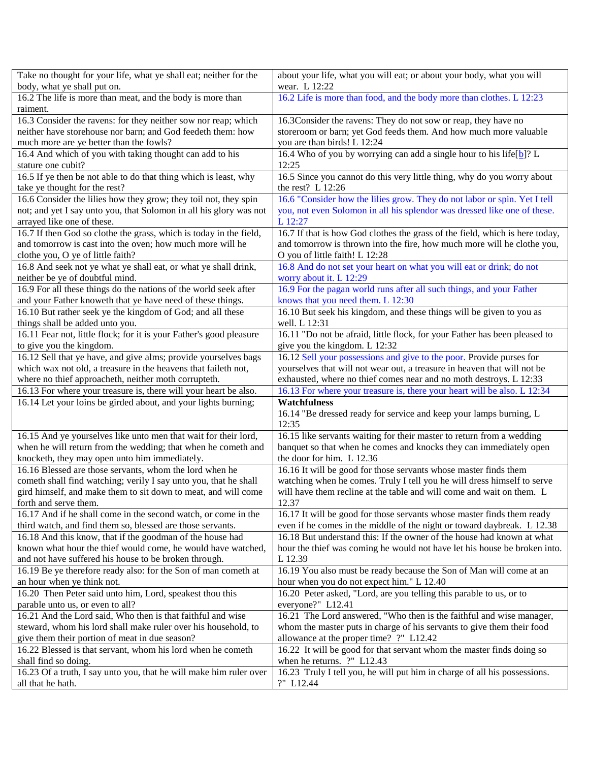| Take no thought for your life, what ye shall eat; neither for the                       | about your life, what you will eat; or about your body, what you will                  |
|-----------------------------------------------------------------------------------------|----------------------------------------------------------------------------------------|
| body, what ye shall put on.                                                             | wear. L 12:22                                                                          |
| 16.2 The life is more than meat, and the body is more than                              | 16.2 Life is more than food, and the body more than clothes. L 12:23                   |
| raiment.                                                                                |                                                                                        |
| 16.3 Consider the ravens: for they neither sow nor reap; which                          | 16.3Consider the ravens: They do not sow or reap, they have no                         |
| neither have storehouse nor barn; and God feedeth them: how                             | storeroom or barn; yet God feeds them. And how much more valuable                      |
| much more are ye better than the fowls?                                                 | you are than birds! L 12:24                                                            |
| 16.4 And which of you with taking thought can add to his                                | 16.4 Who of you by worrying can add a single hour to his life $[b]$ ? L                |
| stature one cubit?                                                                      | 12:25                                                                                  |
| 16.5 If ye then be not able to do that thing which is least, why                        | 16.5 Since you cannot do this very little thing, why do you worry about                |
| take ye thought for the rest?                                                           | the rest? L 12:26                                                                      |
| 16.6 Consider the lilies how they grow; they toil not, they spin                        | 16.6 "Consider how the lilies grow. They do not labor or spin. Yet I tell              |
| not; and yet I say unto you, that Solomon in all his glory was not                      | you, not even Solomon in all his splendor was dressed like one of these.               |
| arrayed like one of these.                                                              | L 12:27                                                                                |
| 16.7 If then God so clothe the grass, which is today in the field,                      | 16.7 If that is how God clothes the grass of the field, which is here today,           |
| and tomorrow is cast into the oven; how much more will he                               | and tomorrow is thrown into the fire, how much more will he clothe you,                |
| clothe you, O ye of little faith?                                                       | O you of little faith! L 12:28                                                         |
| 16.8 And seek not ye what ye shall eat, or what ye shall drink,                         | 16.8 And do not set your heart on what you will eat or drink; do not                   |
| neither be ye of doubtful mind.                                                         | worry about it. L 12:29                                                                |
| 16.9 For all these things do the nations of the world seek after                        | 16.9 For the pagan world runs after all such things, and your Father                   |
| and your Father knoweth that ye have need of these things.                              | knows that you need them. L 12:30                                                      |
| 16.10 But rather seek ye the kingdom of God; and all these                              | 16.10 But seek his kingdom, and these things will be given to you as                   |
| things shall be added unto you.                                                         | well. L 12:31                                                                          |
| 16.11 Fear not, little flock; for it is your Father's good pleasure                     | 16.11 "Do not be afraid, little flock, for your Father has been pleased to             |
| to give you the kingdom.                                                                | give you the kingdom. L 12:32                                                          |
| 16.12 Sell that ye have, and give alms; provide yourselves bags                         | 16.12 Sell your possessions and give to the poor. Provide purses for                   |
| which wax not old, a treasure in the heavens that faileth not,                          | yourselves that will not wear out, a treasure in heaven that will not be               |
| where no thief approacheth, neither moth corrupteth.                                    | exhausted, where no thief comes near and no moth destroys. L 12:33                     |
|                                                                                         |                                                                                        |
|                                                                                         |                                                                                        |
| 16.13 For where your treasure is, there will your heart be also.                        | 16.13 For where your treasure is, there your heart will be also. L 12:34               |
| 16.14 Let your loins be girded about, and your lights burning;                          | <b>Watchfulness</b>                                                                    |
|                                                                                         | 16.14 "Be dressed ready for service and keep your lamps burning, L                     |
|                                                                                         | 12:35                                                                                  |
| 16.15 And ye yourselves like unto men that wait for their lord,                         | 16.15 like servants waiting for their master to return from a wedding                  |
| when he will return from the wedding; that when he cometh and                           | banquet so that when he comes and knocks they can immediately open                     |
| knocketh, they may open unto him immediately.                                           | the door for him. L 12.36                                                              |
| 16.16 Blessed are those servants, whom the lord when he                                 | 16.16 It will be good for those servants whose master finds them                       |
| cometh shall find watching; verily I say unto you, that he shall                        | watching when he comes. Truly I tell you he will dress himself to serve                |
| gird himself, and make them to sit down to meat, and will come                          | will have them recline at the table and will come and wait on them. L                  |
| forth and serve them.                                                                   | 12.37                                                                                  |
| 16.17 And if he shall come in the second watch, or come in the                          | 16.17 It will be good for those servants whose master finds them ready                 |
| third watch, and find them so, blessed are those servants.                              | even if he comes in the middle of the night or toward daybreak. L 12.38                |
| 16.18 And this know, that if the goodman of the house had                               | 16.18 But understand this: If the owner of the house had known at what                 |
| known what hour the thief would come, he would have watched,                            | hour the thief was coming he would not have let his house be broken into.              |
| and not have suffered his house to be broken through.                                   | L 12.39                                                                                |
| 16.19 Be ye therefore ready also: for the Son of man cometh at                          | 16.19 You also must be ready because the Son of Man will come at an                    |
| an hour when ye think not.                                                              | hour when you do not expect him." L 12.40                                              |
| 16.20 Then Peter said unto him, Lord, speakest thou this                                | 16.20 Peter asked, "Lord, are you telling this parable to us, or to                    |
| parable unto us, or even to all?                                                        | everyone?" L12.41                                                                      |
| 16.21 And the Lord said, Who then is that faithful and wise                             | 16.21 The Lord answered, "Who then is the faithful and wise manager,                   |
| steward, whom his lord shall make ruler over his household, to                          | whom the master puts in charge of his servants to give them their food                 |
| give them their portion of meat in due season?                                          | allowance at the proper time? ?" L12.42                                                |
| 16.22 Blessed is that servant, whom his lord when he cometh                             | 16.22 It will be good for that servant whom the master finds doing so                  |
| shall find so doing.                                                                    | when he returns. ?" L12.43                                                             |
| 16.23 Of a truth, I say unto you, that he will make him ruler over<br>all that he hath. | 16.23 Truly I tell you, he will put him in charge of all his possessions.<br>?" L12.44 |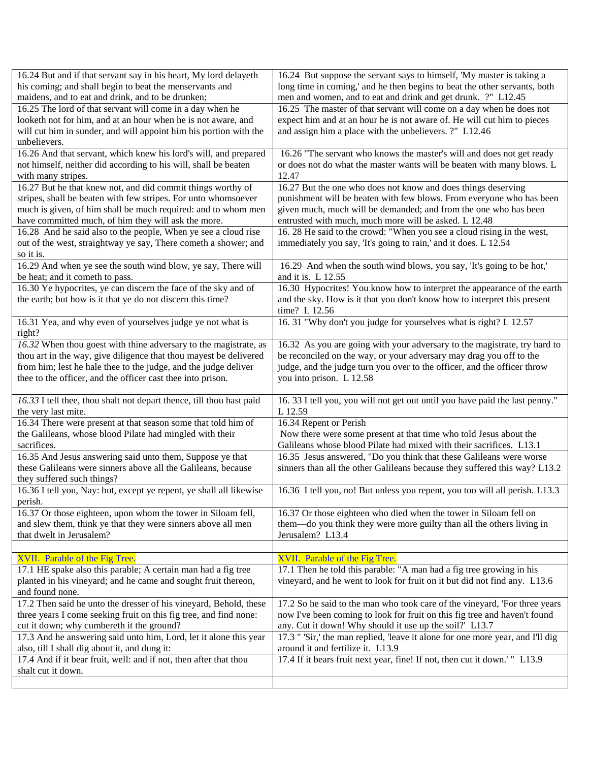| 16.24 But and if that servant say in his heart, My lord delayeth                        | 16.24 But suppose the servant says to himself, 'My master is taking a                                               |
|-----------------------------------------------------------------------------------------|---------------------------------------------------------------------------------------------------------------------|
| his coming; and shall begin to beat the menservants and                                 | long time in coming,' and he then begins to beat the other servants, both                                           |
| maidens, and to eat and drink, and to be drunken;                                       | men and women, and to eat and drink and get drunk. ?" L12.45                                                        |
| 16.25 The lord of that servant will come in a day when he                               | 16.25 The master of that servant will come on a day when he does not                                                |
| looketh not for him, and at an hour when he is not aware, and                           | expect him and at an hour he is not aware of. He will cut him to pieces                                             |
| will cut him in sunder, and will appoint him his portion with the                       | and assign him a place with the unbelievers. ?" L12.46                                                              |
| unbelievers.                                                                            |                                                                                                                     |
| 16.26 And that servant, which knew his lord's will, and prepared                        | 16.26 "The servant who knows the master's will and does not get ready                                               |
| not himself, neither did according to his will, shall be beaten                         | or does not do what the master wants will be beaten with many blows. L                                              |
| with many stripes.                                                                      | 12.47                                                                                                               |
| 16.27 But he that knew not, and did commit things worthy of                             | 16.27 But the one who does not know and does things deserving                                                       |
| stripes, shall be beaten with few stripes. For unto whomsoever                          | punishment will be beaten with few blows. From everyone who has been                                                |
| much is given, of him shall be much required: and to whom men                           | given much, much will be demanded; and from the one who has been                                                    |
| have committed much, of him they will ask the more.                                     | entrusted with much, much more will be asked. L 12.48                                                               |
| 16.28 And he said also to the people, When ye see a cloud rise                          | 16. 28 He said to the crowd: "When you see a cloud rising in the west,                                              |
| out of the west, straightway ye say, There cometh a shower; and                         | immediately you say, 'It's going to rain,' and it does. L 12.54                                                     |
| so it is.                                                                               |                                                                                                                     |
| 16.29 And when ye see the south wind blow, ye say, There will                           | 16.29 And when the south wind blows, you say, 'It's going to be hot,'                                               |
| be heat; and it cometh to pass.                                                         | and it is. L 12.55                                                                                                  |
| 16.30 Ye hypocrites, ye can discern the face of the sky and of                          | 16.30 Hypocrites! You know how to interpret the appearance of the earth                                             |
| the earth; but how is it that ye do not discern this time?                              | and the sky. How is it that you don't know how to interpret this present                                            |
|                                                                                         | time? L 12.56                                                                                                       |
| 16.31 Yea, and why even of yourselves judge ye not what is                              | 16. 31 "Why don't you judge for yourselves what is right? L 12.57                                                   |
|                                                                                         |                                                                                                                     |
| right?                                                                                  |                                                                                                                     |
| 16.32 When thou goest with thine adversary to the magistrate, as                        | 16.32 As you are going with your adversary to the magistrate, try hard to                                           |
| thou art in the way, give diligence that thou mayest be delivered                       | be reconciled on the way, or your adversary may drag you off to the                                                 |
| from him; lest he hale thee to the judge, and the judge deliver                         | judge, and the judge turn you over to the officer, and the officer throw                                            |
| thee to the officer, and the officer cast thee into prison.                             | you into prison. L 12.58                                                                                            |
|                                                                                         |                                                                                                                     |
| 16.33 I tell thee, thou shalt not depart thence, till thou hast paid                    | 16. 33 I tell you, you will not get out until you have paid the last penny."                                        |
| the very last mite.                                                                     | L 12.59                                                                                                             |
| 16.34 There were present at that season some that told him of                           | 16.34 Repent or Perish                                                                                              |
| the Galileans, whose blood Pilate had mingled with their                                | Now there were some present at that time who told Jesus about the                                                   |
|                                                                                         |                                                                                                                     |
| sacrifices.                                                                             | Galileans whose blood Pilate had mixed with their sacrifices. L13.1                                                 |
| 16.35 And Jesus answering said unto them, Suppose ye that                               | 16.35 Jesus answered, "Do you think that these Galileans were worse                                                 |
| these Galileans were sinners above all the Galileans, because                           | sinners than all the other Galileans because they suffered this way? L13.2                                          |
| they suffered such things?                                                              |                                                                                                                     |
| 16.36 I tell you, Nay: but, except ye repent, ye shall all likewise                     | 16.36 I tell you, no! But unless you repent, you too will all perish. L13.3                                         |
| perish.                                                                                 |                                                                                                                     |
| 16.37 Or those eighteen, upon whom the tower in Siloam fell,                            | 16.37 Or those eighteen who died when the tower in Siloam fell on                                                   |
| and slew them, think ye that they were sinners above all men                            | them—do you think they were more guilty than all the others living in                                               |
| that dwelt in Jerusalem?                                                                | Jerusalem? L13.4                                                                                                    |
|                                                                                         |                                                                                                                     |
| XVII. Parable of the Fig Tree.                                                          | XVII. Parable of the Fig Tree.                                                                                      |
| 17.1 HE spake also this parable; A certain man had a fig tree                           | 17.1 Then he told this parable: "A man had a fig tree growing in his                                                |
| planted in his vineyard; and he came and sought fruit thereon,                          | vineyard, and he went to look for fruit on it but did not find any. L13.6                                           |
| and found none.                                                                         |                                                                                                                     |
| 17.2 Then said he unto the dresser of his vineyard, Behold, these                       | 17.2 So he said to the man who took care of the vineyard, 'For three years'                                         |
| three years I come seeking fruit on this fig tree, and find none:                       | now I've been coming to look for fruit on this fig tree and haven't found                                           |
| cut it down; why cumbereth it the ground?                                               |                                                                                                                     |
|                                                                                         | any. Cut it down! Why should it use up the soil?' L13.7                                                             |
| 17.3 And he answering said unto him, Lord, let it alone this year                       | 17.3 " 'Sir,' the man replied, 'leave it alone for one more year, and I'll dig<br>around it and fertilize it. L13.9 |
| also, till I shall dig about it, and dung it:                                           |                                                                                                                     |
| 17.4 And if it bear fruit, well: and if not, then after that thou<br>shalt cut it down. | 17.4 If it bears fruit next year, fine! If not, then cut it down.'" L13.9                                           |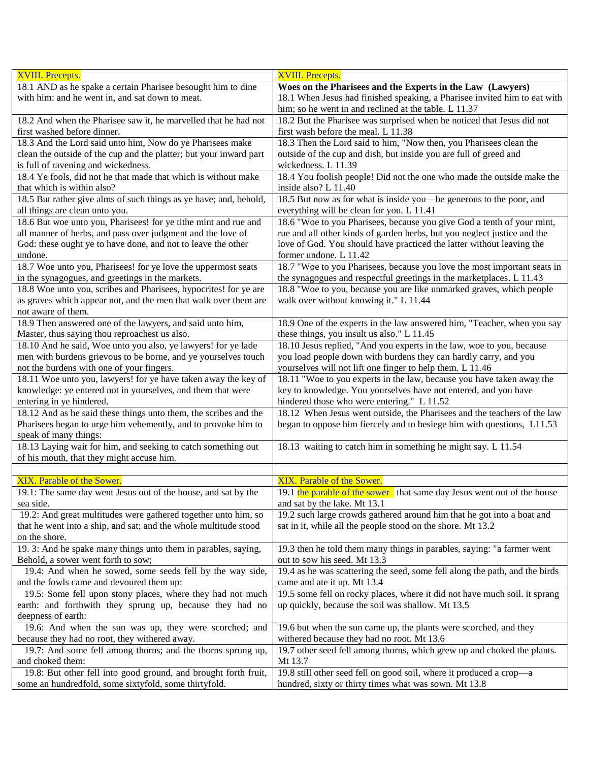| <b>XVIII.</b> Precepts.                                                             | <b>XVIII.</b> Precepts.                                                            |
|-------------------------------------------------------------------------------------|------------------------------------------------------------------------------------|
| 18.1 AND as he spake a certain Pharisee besought him to dine                        | Woes on the Pharisees and the Experts in the Law (Lawyers)                         |
| with him: and he went in, and sat down to meat.                                     | 18.1 When Jesus had finished speaking, a Pharisee invited him to eat with          |
|                                                                                     | him; so he went in and reclined at the table. L 11.37                              |
| 18.2 And when the Pharisee saw it, he marvelled that he had not                     | 18.2 But the Pharisee was surprised when he noticed that Jesus did not             |
| first washed before dinner.                                                         | first wash before the meal. L 11.38                                                |
| 18.3 And the Lord said unto him, Now do ye Pharisees make                           | 18.3 Then the Lord said to him, "Now then, you Pharisees clean the                 |
| clean the outside of the cup and the platter; but your inward part                  | outside of the cup and dish, but inside you are full of greed and                  |
| is full of ravening and wickedness.                                                 | wickedness. L 11.39                                                                |
| 18.4 Ye fools, did not he that made that which is without make                      |                                                                                    |
|                                                                                     | 18.4 You foolish people! Did not the one who made the outside make the             |
| that which is within also?                                                          | inside also? L 11.40                                                               |
| 18.5 But rather give alms of such things as ye have; and, behold,                   | 18.5 But now as for what is inside you—be generous to the poor, and                |
| all things are clean unto you.                                                      | everything will be clean for you. L 11.41                                          |
| 18.6 But woe unto you, Pharisees! for ye tithe mint and rue and                     | 18.6 "Woe to you Pharisees, because you give God a tenth of your mint,             |
| all manner of herbs, and pass over judgment and the love of                         | rue and all other kinds of garden herbs, but you neglect justice and the           |
| God: these ought ye to have done, and not to leave the other                        | love of God. You should have practiced the latter without leaving the              |
| undone.                                                                             | former undone. L 11.42                                                             |
| 18.7 Woe unto you, Pharisees! for ye love the uppermost seats                       | 18.7 "Woe to you Pharisees, because you love the most important seats in           |
| in the synagogues, and greetings in the markets.                                    | the synagogues and respectful greetings in the marketplaces. L 11.43               |
| 18.8 Woe unto you, scribes and Pharisees, hypocrites! for ye are                    | 18.8 "Woe to you, because you are like unmarked graves, which people               |
| as graves which appear not, and the men that walk over them are                     | walk over without knowing it." L 11.44                                             |
| not aware of them.                                                                  |                                                                                    |
| 18.9 Then answered one of the lawyers, and said unto him,                           | 18.9 One of the experts in the law answered him, "Teacher, when you say            |
| Master, thus saying thou reproachest us also.                                       | these things, you insult us also." L 11.45                                         |
| 18.10 And he said, Woe unto you also, ye lawyers! for ye lade                       | 18.10 Jesus replied, "And you experts in the law, woe to you, because              |
| men with burdens grievous to be borne, and ye yourselves touch                      | you load people down with burdens they can hardly carry, and you                   |
| not the burdens with one of your fingers.                                           | yourselves will not lift one finger to help them. L 11.46                          |
| 18.11 Woe unto you, lawyers! for ye have taken away the key of                      | 18.11 "Woe to you experts in the law, because you have taken away the              |
| knowledge: ye entered not in yourselves, and them that were                         | key to knowledge. You yourselves have not entered, and you have                    |
| entering in ye hindered.                                                            | hindered those who were entering." L 11.52                                         |
| 18.12 And as he said these things unto them, the scribes and the                    | 18.12 When Jesus went outside, the Pharisees and the teachers of the law           |
| Pharisees began to urge him vehemently, and to provoke him to                       | began to oppose him fiercely and to besiege him with questions, L11.53             |
| speak of many things:                                                               |                                                                                    |
| 18.13 Laying wait for him, and seeking to catch something out                       | 18.13 waiting to catch him in something he might say. L 11.54                      |
| of his mouth, that they might accuse him.                                           |                                                                                    |
|                                                                                     |                                                                                    |
| XIX. Parable of the Sower.                                                          | XIX. Parable of the Sower.                                                         |
| 19.1: The same day went Jesus out of the house, and sat by the                      | 19.1 the parable of the sower that same day Jesus went out of the house            |
| sea side.                                                                           | and sat by the lake. Mt 13.1                                                       |
| 19.2: And great multitudes were gathered together unto him, so                      | 19.2 such large crowds gathered around him that he got into a boat and             |
| that he went into a ship, and sat; and the whole multitude stood                    | sat in it, while all the people stood on the shore. Mt 13.2                        |
| on the shore.                                                                       |                                                                                    |
| 19. 3: And he spake many things unto them in parables, saying,                      | 19.3 then he told them many things in parables, saying: "a farmer went             |
| Behold, a sower went forth to sow;                                                  | out to sow his seed. Mt 13.3                                                       |
| 19.4: And when he sowed, some seeds fell by the way side,                           | 19.4 as he was scattering the seed, some fell along the path, and the birds        |
| and the fowls came and devoured them up:                                            | came and ate it up. Mt 13.4                                                        |
| 19.5: Some fell upon stony places, where they had not much                          | 19.5 some fell on rocky places, where it did not have much soil. it sprang         |
| earth: and forthwith they sprung up, because they had no                            | up quickly, because the soil was shallow. Mt 13.5                                  |
| deepness of earth:                                                                  |                                                                                    |
| 19.6: And when the sun was up, they were scorched; and                              | 19.6 but when the sun came up, the plants were scorched, and they                  |
| because they had no root, they withered away.                                       | withered because they had no root. Mt 13.6                                         |
|                                                                                     |                                                                                    |
| 19.7: And some fell among thorns; and the thorns sprung up,                         | 19.7 other seed fell among thorns, which grew up and choked the plants.<br>Mt 13.7 |
| and choked them:<br>19.8: But other fell into good ground, and brought forth fruit, | 19.8 still other seed fell on good soil, where it produced a crop-a                |
| some an hundredfold, some sixtyfold, some thirtyfold.                               | hundred, sixty or thirty times what was sown. Mt 13.8                              |
|                                                                                     |                                                                                    |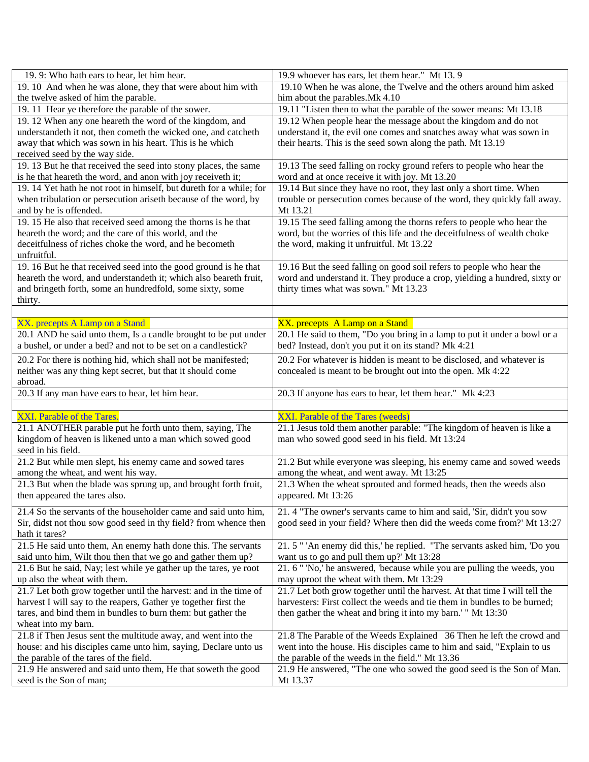| 19.9: Who hath ears to hear, let him hear.                                                         | 19.9 whoever has ears, let them hear." Mt 13.9                                    |
|----------------------------------------------------------------------------------------------------|-----------------------------------------------------------------------------------|
| 19.10 And when he was alone, they that were about him with                                         | 19.10 When he was alone, the Twelve and the others around him asked               |
| the twelve asked of him the parable.                                                               | him about the parables. Mk 4.10                                                   |
| 19. 11 Hear ye therefore the parable of the sower.                                                 | 19.11 "Listen then to what the parable of the sower means: Mt 13.18               |
| 19. 12 When any one heareth the word of the kingdom, and                                           | 19.12 When people hear the message about the kingdom and do not                   |
| understandeth it not, then cometh the wicked one, and catcheth                                     | understand it, the evil one comes and snatches away what was sown in              |
| away that which was sown in his heart. This is he which                                            | their hearts. This is the seed sown along the path. Mt 13.19                      |
| received seed by the way side.<br>19. 13 But he that received the seed into stony places, the same | 19.13 The seed falling on rocky ground refers to people who hear the              |
| is he that heareth the word, and anon with joy receiveth it;                                       | word and at once receive it with joy. Mt 13.20                                    |
| 19. 14 Yet hath he not root in himself, but dureth for a while; for                                | 19.14 But since they have no root, they last only a short time. When              |
| when tribulation or persecution ariseth because of the word, by                                    | trouble or persecution comes because of the word, they quickly fall away.         |
| and by he is offended.                                                                             | Mt 13.21                                                                          |
| 19. 15 He also that received seed among the thorns is he that                                      | 19.15 The seed falling among the thorns refers to people who hear the             |
| heareth the word; and the care of this world, and the                                              | word, but the worries of this life and the deceitfulness of wealth choke          |
| deceitfulness of riches choke the word, and he becometh                                            | the word, making it unfruitful. Mt 13.22                                          |
| unfruitful.                                                                                        |                                                                                   |
| 19. 16 But he that received seed into the good ground is he that                                   | 19.16 But the seed falling on good soil refers to people who hear the             |
| heareth the word, and understandeth it; which also beareth fruit,                                  | word and understand it. They produce a crop, yielding a hundred, sixty or         |
| and bringeth forth, some an hundredfold, some sixty, some                                          | thirty times what was sown." Mt 13.23                                             |
| thirty.                                                                                            |                                                                                   |
|                                                                                                    |                                                                                   |
| XX. precepts A Lamp on a Stand                                                                     | XX. precepts A Lamp on a Stand                                                    |
| 20.1 AND he said unto them, Is a candle brought to be put under                                    | 20.1 He said to them, "Do you bring in a lamp to put it under a bowl or a         |
| a bushel, or under a bed? and not to be set on a candlestick?                                      | bed? Instead, don't you put it on its stand? Mk 4:21                              |
| 20.2 For there is nothing hid, which shall not be manifested;                                      | 20.2 For whatever is hidden is meant to be disclosed, and whatever is             |
| neither was any thing kept secret, but that it should come                                         | concealed is meant to be brought out into the open. Mk 4:22                       |
| abroad.                                                                                            |                                                                                   |
| 20.3 If any man have ears to hear, let him hear.                                                   | 20.3 If anyone has ears to hear, let them hear." Mk 4:23                          |
| XXI. Parable of the Tares.                                                                         | XXI. Parable of the Tares (weeds)                                                 |
| 21.1 ANOTHER parable put he forth unto them, saying, The                                           | 21.1 Jesus told them another parable: "The kingdom of heaven is like a            |
| kingdom of heaven is likened unto a man which sowed good                                           | man who sowed good seed in his field. Mt 13:24                                    |
| seed in his field.                                                                                 |                                                                                   |
| 21.2 But while men slept, his enemy came and sowed tares                                           | 21.2 But while everyone was sleeping, his enemy came and sowed weeds              |
| among the wheat, and went his way.                                                                 |                                                                                   |
|                                                                                                    | among the wheat, and went away. Mt 13:25                                          |
| 21.3 But when the blade was sprung up, and brought forth fruit,                                    | 21.3 When the wheat sprouted and formed heads, then the weeds also                |
| then appeared the tares also.                                                                      | appeared. Mt 13:26                                                                |
|                                                                                                    |                                                                                   |
| 21.4 So the servants of the householder came and said unto him,                                    | 21. 4 "The owner's servants came to him and said, 'Sir, didn't you sow            |
| Sir, didst not thou sow good seed in thy field? from whence then<br>hath it tares?                 | good seed in your field? Where then did the weeds come from?' Mt 13:27            |
| 21.5 He said unto them, An enemy hath done this. The servants                                      | 21.5" 'An enemy did this,' he replied. "The servants asked him, 'Do you           |
| said unto him, Wilt thou then that we go and gather them up?                                       | want us to go and pull them up?' Mt 13:28                                         |
| 21.6 But he said, Nay; lest while ye gather up the tares, ye root                                  | 21. 6 " 'No,' he answered, 'because while you are pulling the weeds, you          |
| up also the wheat with them.                                                                       | may uproot the wheat with them. Mt 13:29                                          |
| 21.7 Let both grow together until the harvest: and in the time of                                  | 21.7 Let both grow together until the harvest. At that time I will tell the       |
| harvest I will say to the reapers, Gather ye together first the                                    | harvesters: First collect the weeds and tie them in bundles to be burned;         |
| tares, and bind them in bundles to burn them: but gather the                                       | then gather the wheat and bring it into my barn.' " Mt 13:30                      |
| wheat into my barn.                                                                                |                                                                                   |
| 21.8 if Then Jesus sent the multitude away, and went into the                                      | 21.8 The Parable of the Weeds Explained 36 Then he left the crowd and             |
| house: and his disciples came unto him, saying, Declare unto us                                    | went into the house. His disciples came to him and said, "Explain to us           |
| the parable of the tares of the field.                                                             | the parable of the weeds in the field." Mt 13.36                                  |
| 21.9 He answered and said unto them, He that soweth the good<br>seed is the Son of man;            | 21.9 He answered, "The one who sowed the good seed is the Son of Man.<br>Mt 13.37 |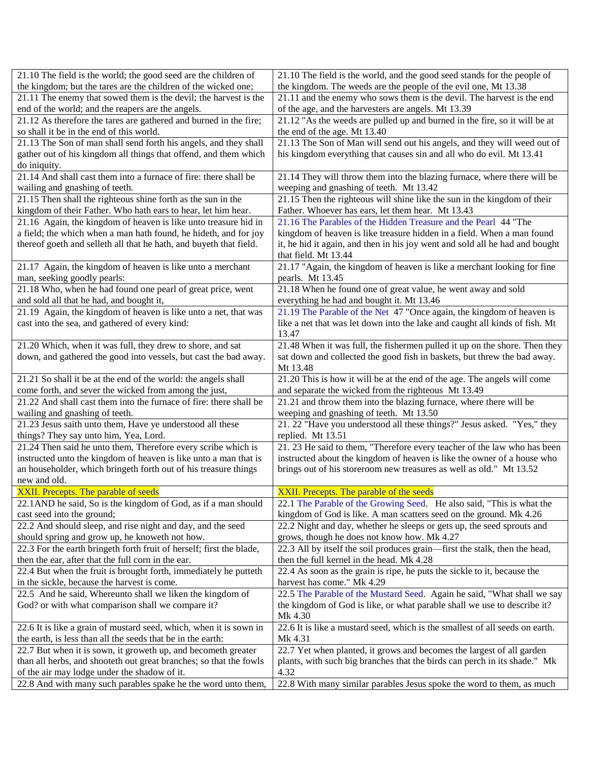| 21.10 The field is the world; the good seed are the children of      | 21.10 The field is the world, and the good seed stands for the people of     |
|----------------------------------------------------------------------|------------------------------------------------------------------------------|
| the kingdom; but the tares are the children of the wicked one;       | the kingdom. The weeds are the people of the evil one, Mt 13.38              |
| 21.11 The enemy that sowed them is the devil; the harvest is the     | 21.11 and the enemy who sows them is the devil. The harvest is the end       |
| end of the world; and the reapers are the angels.                    | of the age, and the harvesters are angels. Mt 13.39                          |
| 21.12 As therefore the tares are gathered and burned in the fire;    | 21.12 "As the weeds are pulled up and burned in the fire, so it will be at   |
| so shall it be in the end of this world.                             | the end of the age. Mt 13.40                                                 |
| 21.13 The Son of man shall send forth his angels, and they shall     | 21.13 The Son of Man will send out his angels, and they will weed out of     |
| gather out of his kingdom all things that offend, and them which     | his kingdom everything that causes sin and all who do evil. Mt 13.41         |
| do iniquity.                                                         |                                                                              |
| 21.14 And shall cast them into a furnace of fire: there shall be     | 21.14 They will throw them into the blazing furnace, where there will be     |
| wailing and gnashing of teeth.                                       | weeping and gnashing of teeth. Mt 13.42                                      |
| 21.15 Then shall the righteous shine forth as the sun in the         | 21.15 Then the righteous will shine like the sun in the kingdom of their     |
| kingdom of their Father. Who hath ears to hear, let him hear.        | Father. Whoever has ears, let them hear. Mt 13.43                            |
| 21.16 Again, the kingdom of heaven is like unto treasure hid in      | 21.16 The Parables of the Hidden Treasure and the Pearl 44 "The              |
| a field; the which when a man hath found, he hideth, and for joy     | kingdom of heaven is like treasure hidden in a field. When a man found       |
| thereof goeth and selleth all that he hath, and buyeth that field.   | it, he hid it again, and then in his joy went and sold all he had and bought |
|                                                                      | that field. Mt 13.44                                                         |
| 21.17 Again, the kingdom of heaven is like unto a merchant           | 21.17 "Again, the kingdom of heaven is like a merchant looking for fine      |
| man, seeking goodly pearls:                                          | pearls. Mt 13.45                                                             |
| 21.18 Who, when he had found one pearl of great price, went          | 21.18 When he found one of great value, he went away and sold                |
| and sold all that he had, and bought it,                             | everything he had and bought it. Mt 13.46                                    |
| 21.19 Again, the kingdom of heaven is like unto a net, that was      | 21.19 The Parable of the Net 47 "Once again, the kingdom of heaven is        |
| cast into the sea, and gathered of every kind:                       | like a net that was let down into the lake and caught all kinds of fish. Mt  |
|                                                                      | 13.47                                                                        |
| 21.20 Which, when it was full, they drew to shore, and sat           | 21.48 When it was full, the fishermen pulled it up on the shore. Then they   |
| down, and gathered the good into vessels, but cast the bad away.     | sat down and collected the good fish in baskets, but threw the bad away.     |
|                                                                      | Mt 13.48                                                                     |
| 21.21 So shall it be at the end of the world: the angels shall       | 21.20 This is how it will be at the end of the age. The angels will come     |
| come forth, and sever the wicked from among the just,                | and separate the wicked from the righteous Mt 13.49                          |
| 21.22 And shall cast them into the furnace of fire: there shall be   | 21.21 and throw them into the blazing furnace, where there will be           |
| wailing and gnashing of teeth.                                       | weeping and gnashing of teeth. Mt 13.50                                      |
| 21.23 Jesus saith unto them, Have ye understood all these            | 21. 22 "Have you understood all these things?" Jesus asked. "Yes," they      |
| things? They say unto him, Yea, Lord.                                | replied. Mt 13.51                                                            |
| 21.24 Then said he unto them, Therefore every scribe which is        | 21. 23 He said to them, "Therefore every teacher of the law who has been     |
| instructed unto the kingdom of heaven is like unto a man that is     | instructed about the kingdom of heaven is like the owner of a house who      |
| an householder, which bringeth forth out of his treasure things      | brings out of his storeroom new treasures as well as old." Mt 13.52          |
| new and old.                                                         |                                                                              |
| XXII. Precepts. The parable of seeds                                 | XXII. Precepts. The parable of the seeds                                     |
| 22.1AND he said, So is the kingdom of God, as if a man should        | 22.1 The Parable of the Growing Seed. He also said, "This is what the        |
| cast seed into the ground;                                           | kingdom of God is like. A man scatters seed on the ground. Mk 4.26           |
| 22.2 And should sleep, and rise night and day, and the seed          | 22.2 Night and day, whether he sleeps or gets up, the seed sprouts and       |
| should spring and grow up, he knoweth not how.                       | grows, though he does not know how. Mk 4.27                                  |
| 22.3 For the earth bringeth forth fruit of herself; first the blade, | 22.3 All by itself the soil produces grain—first the stalk, then the head,   |
| then the ear, after that the full corn in the ear.                   | then the full kernel in the head. Mk 4.28                                    |
| 22.4 But when the fruit is brought forth, immediately he putteth     | 22.4 As soon as the grain is ripe, he puts the sickle to it, because the     |
| in the sickle, because the harvest is come.                          | harvest has come." Mk 4.29                                                   |
| 22.5 And he said, Whereunto shall we liken the kingdom of            | 22.5 The Parable of the Mustard Seed. Again he said, "What shall we say      |
| God? or with what comparison shall we compare it?                    | the kingdom of God is like, or what parable shall we use to describe it?     |
|                                                                      | Mk 4.30                                                                      |
| 22.6 It is like a grain of mustard seed, which, when it is sown in   | 22.6 It is like a mustard seed, which is the smallest of all seeds on earth. |
| the earth, is less than all the seeds that be in the earth:          | Mk 4.31                                                                      |
| 22.7 But when it is sown, it groweth up, and becometh greater        | 22.7 Yet when planted, it grows and becomes the largest of all garden        |
| than all herbs, and shooteth out great branches; so that the fowls   | plants, with such big branches that the birds can perch in its shade." Mk    |
| of the air may lodge under the shadow of it.                         | 4.32                                                                         |
| 22.8 And with many such parables spake he the word unto them,        | 22.8 With many similar parables Jesus spoke the word to them, as much        |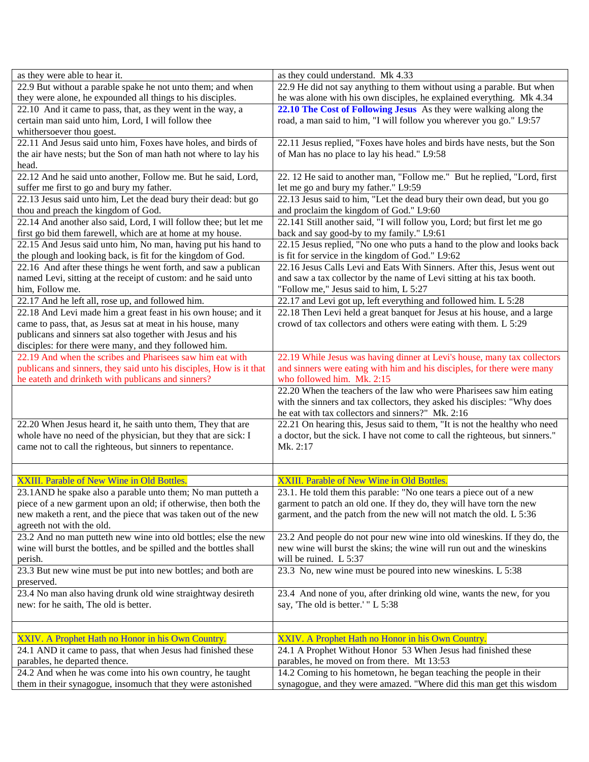| 22.9 He did not say anything to them without using a parable. But when<br>22.9 But without a parable spake he not unto them; and when<br>they were alone, he expounded all things to his disciples.<br>he was alone with his own disciples, he explained everything. Mk 4.34<br>22.10 The Cost of Following Jesus As they were walking along the<br>22.10 And it came to pass, that, as they went in the way, a<br>road, a man said to him, "I will follow you wherever you go." L9:57<br>certain man said unto him, Lord, I will follow thee<br>whithersoever thou goest.<br>22.11 And Jesus said unto him, Foxes have holes, and birds of<br>22.11 Jesus replied, "Foxes have holes and birds have nests, but the Son<br>the air have nests; but the Son of man hath not where to lay his<br>of Man has no place to lay his head." L9:58<br>head.<br>22.12 And he said unto another, Follow me. But he said, Lord,<br>22. 12 He said to another man, "Follow me." But he replied, "Lord, first |
|--------------------------------------------------------------------------------------------------------------------------------------------------------------------------------------------------------------------------------------------------------------------------------------------------------------------------------------------------------------------------------------------------------------------------------------------------------------------------------------------------------------------------------------------------------------------------------------------------------------------------------------------------------------------------------------------------------------------------------------------------------------------------------------------------------------------------------------------------------------------------------------------------------------------------------------------------------------------------------------------------|
|                                                                                                                                                                                                                                                                                                                                                                                                                                                                                                                                                                                                                                                                                                                                                                                                                                                                                                                                                                                                  |
|                                                                                                                                                                                                                                                                                                                                                                                                                                                                                                                                                                                                                                                                                                                                                                                                                                                                                                                                                                                                  |
|                                                                                                                                                                                                                                                                                                                                                                                                                                                                                                                                                                                                                                                                                                                                                                                                                                                                                                                                                                                                  |
|                                                                                                                                                                                                                                                                                                                                                                                                                                                                                                                                                                                                                                                                                                                                                                                                                                                                                                                                                                                                  |
|                                                                                                                                                                                                                                                                                                                                                                                                                                                                                                                                                                                                                                                                                                                                                                                                                                                                                                                                                                                                  |
|                                                                                                                                                                                                                                                                                                                                                                                                                                                                                                                                                                                                                                                                                                                                                                                                                                                                                                                                                                                                  |
|                                                                                                                                                                                                                                                                                                                                                                                                                                                                                                                                                                                                                                                                                                                                                                                                                                                                                                                                                                                                  |
|                                                                                                                                                                                                                                                                                                                                                                                                                                                                                                                                                                                                                                                                                                                                                                                                                                                                                                                                                                                                  |
|                                                                                                                                                                                                                                                                                                                                                                                                                                                                                                                                                                                                                                                                                                                                                                                                                                                                                                                                                                                                  |
| suffer me first to go and bury my father.<br>let me go and bury my father." L9:59                                                                                                                                                                                                                                                                                                                                                                                                                                                                                                                                                                                                                                                                                                                                                                                                                                                                                                                |
| 22.13 Jesus said unto him, Let the dead bury their dead: but go<br>22.13 Jesus said to him, "Let the dead bury their own dead, but you go                                                                                                                                                                                                                                                                                                                                                                                                                                                                                                                                                                                                                                                                                                                                                                                                                                                        |
| and proclaim the kingdom of God." L9:60<br>thou and preach the kingdom of God.                                                                                                                                                                                                                                                                                                                                                                                                                                                                                                                                                                                                                                                                                                                                                                                                                                                                                                                   |
| 22.14 And another also said, Lord, I will follow thee; but let me<br>22.141 Still another said, "I will follow you, Lord; but first let me go                                                                                                                                                                                                                                                                                                                                                                                                                                                                                                                                                                                                                                                                                                                                                                                                                                                    |
| first go bid them farewell, which are at home at my house.<br>back and say good-by to my family." L9:61                                                                                                                                                                                                                                                                                                                                                                                                                                                                                                                                                                                                                                                                                                                                                                                                                                                                                          |
| 22.15 And Jesus said unto him, No man, having put his hand to<br>22.15 Jesus replied, "No one who puts a hand to the plow and looks back                                                                                                                                                                                                                                                                                                                                                                                                                                                                                                                                                                                                                                                                                                                                                                                                                                                         |
| the plough and looking back, is fit for the kingdom of God.<br>is fit for service in the kingdom of God." L9:62                                                                                                                                                                                                                                                                                                                                                                                                                                                                                                                                                                                                                                                                                                                                                                                                                                                                                  |
| 22.16 And after these things he went forth, and saw a publican<br>22.16 Jesus Calls Levi and Eats With Sinners. After this, Jesus went out                                                                                                                                                                                                                                                                                                                                                                                                                                                                                                                                                                                                                                                                                                                                                                                                                                                       |
| named Levi, sitting at the receipt of custom: and he said unto<br>and saw a tax collector by the name of Levi sitting at his tax booth.                                                                                                                                                                                                                                                                                                                                                                                                                                                                                                                                                                                                                                                                                                                                                                                                                                                          |
| him, Follow me.<br>"Follow me," Jesus said to him, L 5:27                                                                                                                                                                                                                                                                                                                                                                                                                                                                                                                                                                                                                                                                                                                                                                                                                                                                                                                                        |
| 22.17 and Levi got up, left everything and followed him. L 5:28<br>22.17 And he left all, rose up, and followed him.                                                                                                                                                                                                                                                                                                                                                                                                                                                                                                                                                                                                                                                                                                                                                                                                                                                                             |
| 22.18 And Levi made him a great feast in his own house; and it<br>22.18 Then Levi held a great banquet for Jesus at his house, and a large                                                                                                                                                                                                                                                                                                                                                                                                                                                                                                                                                                                                                                                                                                                                                                                                                                                       |
| came to pass, that, as Jesus sat at meat in his house, many<br>crowd of tax collectors and others were eating with them. L 5:29                                                                                                                                                                                                                                                                                                                                                                                                                                                                                                                                                                                                                                                                                                                                                                                                                                                                  |
| publicans and sinners sat also together with Jesus and his                                                                                                                                                                                                                                                                                                                                                                                                                                                                                                                                                                                                                                                                                                                                                                                                                                                                                                                                       |
| disciples: for there were many, and they followed him.                                                                                                                                                                                                                                                                                                                                                                                                                                                                                                                                                                                                                                                                                                                                                                                                                                                                                                                                           |
| 22.19 And when the scribes and Pharisees saw him eat with<br>22.19 While Jesus was having dinner at Levi's house, many tax collectors                                                                                                                                                                                                                                                                                                                                                                                                                                                                                                                                                                                                                                                                                                                                                                                                                                                            |
| publicans and sinners, they said unto his disciples, How is it that<br>and sinners were eating with him and his disciples, for there were many<br>he eateth and drinketh with publicans and sinners?<br>who followed him. Mk. 2:15                                                                                                                                                                                                                                                                                                                                                                                                                                                                                                                                                                                                                                                                                                                                                               |
| 22.20 When the teachers of the law who were Pharisees saw him eating                                                                                                                                                                                                                                                                                                                                                                                                                                                                                                                                                                                                                                                                                                                                                                                                                                                                                                                             |
| with the sinners and tax collectors, they asked his disciples: "Why does                                                                                                                                                                                                                                                                                                                                                                                                                                                                                                                                                                                                                                                                                                                                                                                                                                                                                                                         |
| he eat with tax collectors and sinners?" Mk. 2:16                                                                                                                                                                                                                                                                                                                                                                                                                                                                                                                                                                                                                                                                                                                                                                                                                                                                                                                                                |
| 22.20 When Jesus heard it, he saith unto them, They that are<br>22.21 On hearing this, Jesus said to them, "It is not the healthy who need                                                                                                                                                                                                                                                                                                                                                                                                                                                                                                                                                                                                                                                                                                                                                                                                                                                       |
| whole have no need of the physician, but they that are sick: I<br>a doctor, but the sick. I have not come to call the righteous, but sinners."                                                                                                                                                                                                                                                                                                                                                                                                                                                                                                                                                                                                                                                                                                                                                                                                                                                   |
| came not to call the righteous, but sinners to repentance.<br>Mk. 2:17                                                                                                                                                                                                                                                                                                                                                                                                                                                                                                                                                                                                                                                                                                                                                                                                                                                                                                                           |
|                                                                                                                                                                                                                                                                                                                                                                                                                                                                                                                                                                                                                                                                                                                                                                                                                                                                                                                                                                                                  |
|                                                                                                                                                                                                                                                                                                                                                                                                                                                                                                                                                                                                                                                                                                                                                                                                                                                                                                                                                                                                  |
| XXIII. Parable of New Wine in Old Bottles.<br>XXIII. Parable of New Wine in Old Bottles.                                                                                                                                                                                                                                                                                                                                                                                                                                                                                                                                                                                                                                                                                                                                                                                                                                                                                                         |
| 23.1 AND he spake also a parable unto them; No man putteth a<br>23.1. He told them this parable: "No one tears a piece out of a new                                                                                                                                                                                                                                                                                                                                                                                                                                                                                                                                                                                                                                                                                                                                                                                                                                                              |
| piece of a new garment upon an old; if otherwise, then both the<br>garment to patch an old one. If they do, they will have torn the new                                                                                                                                                                                                                                                                                                                                                                                                                                                                                                                                                                                                                                                                                                                                                                                                                                                          |
| new maketh a rent, and the piece that was taken out of the new<br>garment, and the patch from the new will not match the old. L 5:36                                                                                                                                                                                                                                                                                                                                                                                                                                                                                                                                                                                                                                                                                                                                                                                                                                                             |
|                                                                                                                                                                                                                                                                                                                                                                                                                                                                                                                                                                                                                                                                                                                                                                                                                                                                                                                                                                                                  |
| agreeth not with the old.                                                                                                                                                                                                                                                                                                                                                                                                                                                                                                                                                                                                                                                                                                                                                                                                                                                                                                                                                                        |
| 23.2 And no man putteth new wine into old bottles; else the new<br>23.2 And people do not pour new wine into old wineskins. If they do, the                                                                                                                                                                                                                                                                                                                                                                                                                                                                                                                                                                                                                                                                                                                                                                                                                                                      |
| wine will burst the bottles, and be spilled and the bottles shall<br>new wine will burst the skins; the wine will run out and the wineskins                                                                                                                                                                                                                                                                                                                                                                                                                                                                                                                                                                                                                                                                                                                                                                                                                                                      |
| will be ruined. L 5:37<br>perish.                                                                                                                                                                                                                                                                                                                                                                                                                                                                                                                                                                                                                                                                                                                                                                                                                                                                                                                                                                |
| 23.3 But new wine must be put into new bottles; and both are<br>23.3 No, new wine must be poured into new wineskins. L 5:38                                                                                                                                                                                                                                                                                                                                                                                                                                                                                                                                                                                                                                                                                                                                                                                                                                                                      |
| preserved.                                                                                                                                                                                                                                                                                                                                                                                                                                                                                                                                                                                                                                                                                                                                                                                                                                                                                                                                                                                       |
| 23.4 No man also having drunk old wine straightway desireth<br>23.4 And none of you, after drinking old wine, wants the new, for you                                                                                                                                                                                                                                                                                                                                                                                                                                                                                                                                                                                                                                                                                                                                                                                                                                                             |
| say, 'The old is better.' " L 5:38<br>new: for he saith, The old is better.                                                                                                                                                                                                                                                                                                                                                                                                                                                                                                                                                                                                                                                                                                                                                                                                                                                                                                                      |
|                                                                                                                                                                                                                                                                                                                                                                                                                                                                                                                                                                                                                                                                                                                                                                                                                                                                                                                                                                                                  |
|                                                                                                                                                                                                                                                                                                                                                                                                                                                                                                                                                                                                                                                                                                                                                                                                                                                                                                                                                                                                  |
| XXIV. A Prophet Hath no Honor in his Own Country.<br>XXIV. A Prophet Hath no Honor in his Own Country.                                                                                                                                                                                                                                                                                                                                                                                                                                                                                                                                                                                                                                                                                                                                                                                                                                                                                           |
| 24.1 AND it came to pass, that when Jesus had finished these<br>24.1 A Prophet Without Honor 53 When Jesus had finished these                                                                                                                                                                                                                                                                                                                                                                                                                                                                                                                                                                                                                                                                                                                                                                                                                                                                    |
| parables, he moved on from there. Mt 13:53<br>parables, he departed thence.<br>24.2 And when he was come into his own country, he taught<br>14.2 Coming to his hometown, he began teaching the people in their                                                                                                                                                                                                                                                                                                                                                                                                                                                                                                                                                                                                                                                                                                                                                                                   |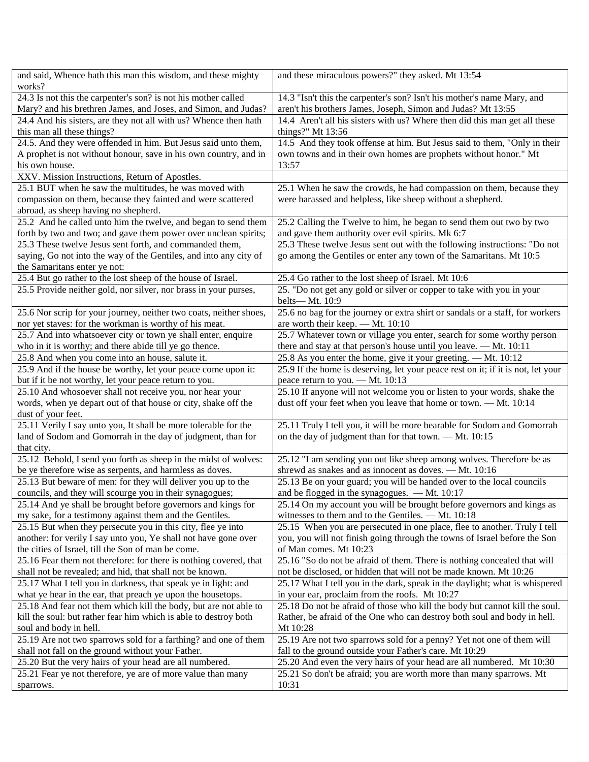| and said, Whence hath this man this wisdom, and these mighty       | and these miraculous powers?" they asked. Mt 13:54                               |
|--------------------------------------------------------------------|----------------------------------------------------------------------------------|
| works?                                                             |                                                                                  |
| 24.3 Is not this the carpenter's son? is not his mother called     | 14.3 "Isn't this the carpenter's son? Isn't his mother's name Mary, and          |
| Mary? and his brethren James, and Joses, and Simon, and Judas?     | aren't his brothers James, Joseph, Simon and Judas? Mt 13:55                     |
| 24.4 And his sisters, are they not all with us? Whence then hath   | 14.4 Aren't all his sisters with us? Where then did this man get all these       |
| this man all these things?                                         | things?" Mt 13:56                                                                |
| 24.5. And they were offended in him. But Jesus said unto them,     | 14.5 And they took offense at him. But Jesus said to them, "Only in their        |
| A prophet is not without honour, save in his own country, and in   | own towns and in their own homes are prophets without honor." Mt                 |
| his own house.                                                     | 13:57                                                                            |
| XXV. Mission Instructions, Return of Apostles.                     |                                                                                  |
| 25.1 BUT when he saw the multitudes, he was moved with             | 25.1 When he saw the crowds, he had compassion on them, because they             |
| compassion on them, because they fainted and were scattered        | were harassed and helpless, like sheep without a shepherd.                       |
| abroad, as sheep having no shepherd.                               |                                                                                  |
| 25.2 And he called unto him the twelve, and began to send them     | 25.2 Calling the Twelve to him, he began to send them out two by two             |
| forth by two and two; and gave them power over unclean spirits;    | and gave them authority over evil spirits. Mk 6:7                                |
| 25.3 These twelve Jesus sent forth, and commanded them,            | 25.3 These twelve Jesus sent out with the following instructions: "Do not        |
| saying, Go not into the way of the Gentiles, and into any city of  | go among the Gentiles or enter any town of the Samaritans. Mt 10:5               |
| the Samaritans enter ye not:                                       |                                                                                  |
| 25.4 But go rather to the lost sheep of the house of Israel.       | 25.4 Go rather to the lost sheep of Israel. Mt 10:6                              |
| 25.5 Provide neither gold, nor silver, nor brass in your purses,   | 25. "Do not get any gold or silver or copper to take with you in your            |
|                                                                    | belts-Mt. 10:9                                                                   |
| 25.6 Nor scrip for your journey, neither two coats, neither shoes, | 25.6 no bag for the journey or extra shirt or sandals or a staff, for workers    |
| nor yet staves: for the workman is worthy of his meat.             | are worth their keep. - Mt. 10:10                                                |
| 25.7 And into whatsoever city or town ye shall enter, enquire      | 25.7 Whatever town or village you enter, search for some worthy person           |
| who in it is worthy; and there abide till ye go thence.            | there and stay at that person's house until you leave. - Mt. 10:11               |
| 25.8 And when you come into an house, salute it.                   | 25.8 As you enter the home, give it your greeting. — Mt. 10:12                   |
| 25.9 And if the house be worthy, let your peace come upon it:      | 25.9 If the home is deserving, let your peace rest on it; if it is not, let your |
| but if it be not worthy, let your peace return to you.             | peace return to you. - Mt. 10:13                                                 |
| 25.10 And whosoever shall not receive you, nor hear your           | 25.10 If anyone will not welcome you or listen to your words, shake the          |
| words, when ye depart out of that house or city, shake off the     | dust off your feet when you leave that home or town. - Mt. 10:14                 |
| dust of your feet.                                                 |                                                                                  |
| 25.11 Verily I say unto you, It shall be more tolerable for the    | 25.11 Truly I tell you, it will be more bearable for Sodom and Gomorrah          |
| land of Sodom and Gomorrah in the day of judgment, than for        | on the day of judgment than for that town. — Mt. 10:15                           |
| that city.                                                         |                                                                                  |
| 25.12 Behold, I send you forth as sheep in the midst of wolves:    | 25.12 "I am sending you out like sheep among wolves. Therefore be as             |
| be ye therefore wise as serpents, and harmless as doves.           | shrewd as snakes and as innocent as doves. - Mt. 10:16                           |
| 25.13 But beware of men: for they will deliver you up to the       | 25.13 Be on your guard; you will be handed over to the local councils            |
| councils, and they will scourge you in their synagogues;           | and be flogged in the synagogues. - Mt. 10:17                                    |
| 25.14 And ye shall be brought before governors and kings for       | 25.14 On my account you will be brought before governors and kings as            |
| my sake, for a testimony against them and the Gentiles.            | witnesses to them and to the Gentiles. - Mt. 10:18                               |
| 25.15 But when they persecute you in this city, flee ye into       | 25.15 When you are persecuted in one place, flee to another. Truly I tell        |
| another: for verily I say unto you, Ye shall not have gone over    | you, you will not finish going through the towns of Israel before the Son        |
| the cities of Israel, till the Son of man be come.                 | of Man comes. Mt 10:23                                                           |
| 25.16 Fear them not therefore: for there is nothing covered, that  | 25.16 "So do not be afraid of them. There is nothing concealed that will         |
| shall not be revealed; and hid, that shall not be known.           | not be disclosed, or hidden that will not be made known. Mt 10:26                |
| 25.17 What I tell you in darkness, that speak ye in light: and     | 25.17 What I tell you in the dark, speak in the daylight; what is whispered      |
| what ye hear in the ear, that preach ye upon the housetops.        | in your ear, proclaim from the roofs. Mt 10:27                                   |
| 25.18 And fear not them which kill the body, but are not able to   | 25.18 Do not be afraid of those who kill the body but cannot kill the soul.      |
| kill the soul: but rather fear him which is able to destroy both   | Rather, be afraid of the One who can destroy both soul and body in hell.         |
| soul and body in hell.                                             | Mt 10:28                                                                         |
| 25.19 Are not two sparrows sold for a farthing? and one of them    | 25.19 Are not two sparrows sold for a penny? Yet not one of them will            |
| shall not fall on the ground without your Father.                  | fall to the ground outside your Father's care. Mt 10:29                          |
| 25.20 But the very hairs of your head are all numbered.            | 25.20 And even the very hairs of your head are all numbered. Mt 10:30            |
| 25.21 Fear ye not therefore, ye are of more value than many        | 25.21 So don't be afraid; you are worth more than many sparrows. Mt              |
| sparrows.                                                          | 10:31                                                                            |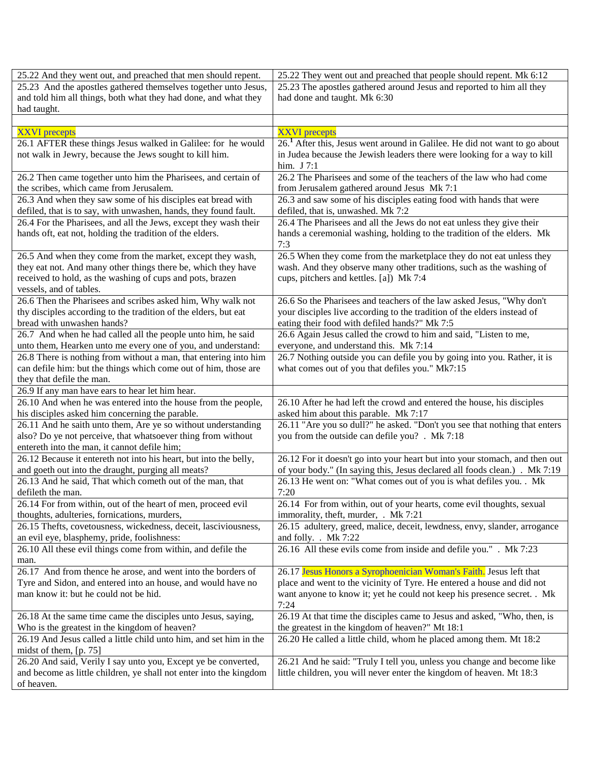| 25.22 And they went out, and preached that men should repent.                                          | 25.22 They went out and preached that people should repent. Mk 6:12                                                |
|--------------------------------------------------------------------------------------------------------|--------------------------------------------------------------------------------------------------------------------|
| 25.23 And the apostles gathered themselves together unto Jesus,                                        | 25.23 The apostles gathered around Jesus and reported to him all they                                              |
| and told him all things, both what they had done, and what they                                        | had done and taught. Mk 6:30                                                                                       |
| had taught.                                                                                            |                                                                                                                    |
|                                                                                                        |                                                                                                                    |
| <b>XXVI</b> precepts                                                                                   | <b>XXVI</b> precepts                                                                                               |
| 26.1 AFTER these things Jesus walked in Galilee: for he would                                          | 26. <sup>1</sup> After this, Jesus went around in Galilee. He did not want to go about                             |
| not walk in Jewry, because the Jews sought to kill him.                                                | in Judea because the Jewish leaders there were looking for a way to kill                                           |
|                                                                                                        | him. J 7:1                                                                                                         |
| 26.2 Then came together unto him the Pharisees, and certain of                                         | 26.2 The Pharisees and some of the teachers of the law who had come                                                |
| the scribes, which came from Jerusalem.<br>26.3 And when they saw some of his disciples eat bread with | from Jerusalem gathered around Jesus Mk 7:1<br>26.3 and saw some of his disciples eating food with hands that were |
| defiled, that is to say, with unwashen, hands, they found fault.                                       | defiled, that is, unwashed. Mk 7:2                                                                                 |
| 26.4 For the Pharisees, and all the Jews, except they wash their                                       | 26.4 The Pharisees and all the Jews do not eat unless they give their                                              |
| hands oft, eat not, holding the tradition of the elders.                                               | hands a ceremonial washing, holding to the tradition of the elders. Mk                                             |
|                                                                                                        | 7:3                                                                                                                |
| 26.5 And when they come from the market, except they wash,                                             | 26.5 When they come from the marketplace they do not eat unless they                                               |
| they eat not. And many other things there be, which they have                                          | wash. And they observe many other traditions, such as the washing of                                               |
| received to hold, as the washing of cups and pots, brazen                                              | cups, pitchers and kettles. [a]) Mk 7:4                                                                            |
| vessels, and of tables.                                                                                |                                                                                                                    |
| 26.6 Then the Pharisees and scribes asked him, Why walk not                                            | 26.6 So the Pharisees and teachers of the law asked Jesus, "Why don't                                              |
| thy disciples according to the tradition of the elders, but eat                                        | your disciples live according to the tradition of the elders instead of                                            |
| bread with unwashen hands?                                                                             | eating their food with defiled hands?" Mk 7:5                                                                      |
| 26.7 And when he had called all the people unto him, he said                                           | 26.6 Again Jesus called the crowd to him and said, "Listen to me,                                                  |
| unto them, Hearken unto me every one of you, and understand:                                           | everyone, and understand this. Mk 7:14                                                                             |
| 26.8 There is nothing from without a man, that entering into him                                       | 26.7 Nothing outside you can defile you by going into you. Rather, it is                                           |
| can defile him: but the things which come out of him, those are                                        | what comes out of you that defiles you." Mk7:15                                                                    |
| they that defile the man.<br>26.9 If any man have ears to hear let him hear.                           |                                                                                                                    |
| 26.10 And when he was entered into the house from the people,                                          | 26.10 After he had left the crowd and entered the house, his disciples                                             |
| his disciples asked him concerning the parable.                                                        | asked him about this parable. Mk 7:17                                                                              |
| 26.11 And he saith unto them, Are ye so without understanding                                          | 26.11 "Are you so dull?" he asked. "Don't you see that nothing that enters                                         |
| also? Do ye not perceive, that whatsoever thing from without                                           | you from the outside can defile you? . Mk 7:18                                                                     |
| entereth into the man, it cannot defile him;                                                           |                                                                                                                    |
| 26.12 Because it entereth not into his heart, but into the belly,                                      | 26.12 For it doesn't go into your heart but into your stomach, and then out                                        |
| and goeth out into the draught, purging all meats?                                                     | of your body." (In saying this, Jesus declared all foods clean.) . Mk 7:19                                         |
| 26.13 And he said, That which cometh out of the man, that                                              | 26.13 He went on: "What comes out of you is what defiles you. . Mk                                                 |
| defileth the man.                                                                                      | 7:20                                                                                                               |
| 26.14 For from within, out of the heart of men, proceed evil                                           | 26.14 For from within, out of your hearts, come evil thoughts, sexual                                              |
| thoughts, adulteries, fornications, murders,                                                           | immorality, theft, murder, . Mk 7:21                                                                               |
| 26.15 Thefts, covetousness, wickedness, deceit, lasciviousness,                                        | 26.15 adultery, greed, malice, deceit, lewdness, envy, slander, arrogance                                          |
| an evil eye, blasphemy, pride, foolishness:                                                            | and folly. . Mk 7:22                                                                                               |
| 26.10 All these evil things come from within, and defile the                                           | 26.16 All these evils come from inside and defile you." . Mk 7:23                                                  |
| man.<br>26.17 And from thence he arose, and went into the borders of                                   | 26.17 Jesus Honors a Syrophoenician Woman's Faith. Jesus left that                                                 |
| Tyre and Sidon, and entered into an house, and would have no                                           | place and went to the vicinity of Tyre. He entered a house and did not                                             |
| man know it: but he could not be hid.                                                                  | want anyone to know it; yet he could not keep his presence secret. . Mk                                            |
|                                                                                                        | 7:24                                                                                                               |
| 26.18 At the same time came the disciples unto Jesus, saying,                                          | 26.19 At that time the disciples came to Jesus and asked, "Who, then, is                                           |
| Who is the greatest in the kingdom of heaven?                                                          | the greatest in the kingdom of heaven?" Mt 18:1                                                                    |
| 26.19 And Jesus called a little child unto him, and set him in the                                     | 26.20 He called a little child, whom he placed among them. Mt 18:2                                                 |
| midst of them, $[p. 75]$                                                                               |                                                                                                                    |
| 26.20 And said, Verily I say unto you, Except ye be converted,                                         | 26.21 And he said: "Truly I tell you, unless you change and become like                                            |
| and become as little children, ye shall not enter into the kingdom                                     | little children, you will never enter the kingdom of heaven. Mt 18:3                                               |
| of heaven.                                                                                             |                                                                                                                    |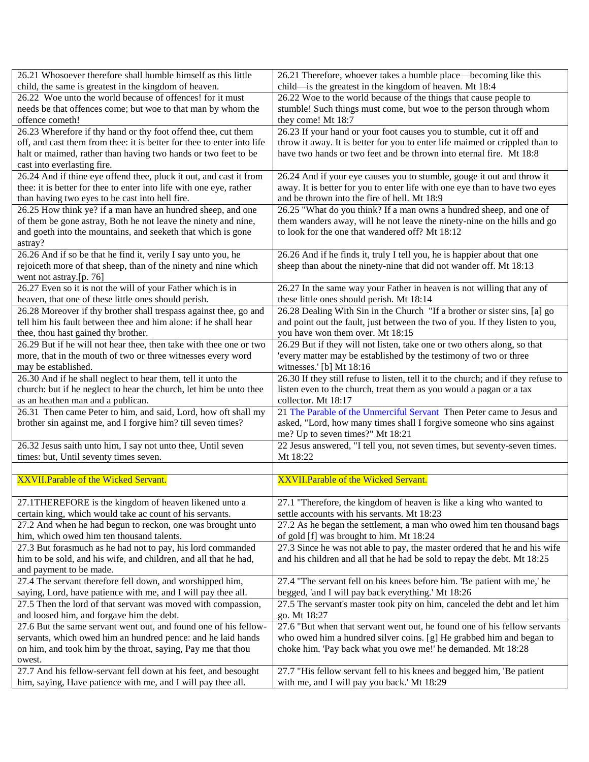| 26.21 Whosoever therefore shall humble himself as this little          | 26.21 Therefore, whoever takes a humble place—becoming like this                   |
|------------------------------------------------------------------------|------------------------------------------------------------------------------------|
| child, the same is greatest in the kingdom of heaven.                  | child—is the greatest in the kingdom of heaven. Mt 18:4                            |
| 26.22 Woe unto the world because of offences! for it must              | 26.22 Woe to the world because of the things that cause people to                  |
| needs be that offences come; but woe to that man by whom the           | stumble! Such things must come, but woe to the person through whom                 |
| offence cometh!                                                        | they come! Mt 18:7                                                                 |
| 26.23 Wherefore if thy hand or thy foot offend thee, cut them          | 26.23 If your hand or your foot causes you to stumble, cut it off and              |
| off, and cast them from thee: it is better for thee to enter into life | throw it away. It is better for you to enter life maimed or crippled than to       |
| halt or maimed, rather than having two hands or two feet to be         | have two hands or two feet and be thrown into eternal fire. Mt 18:8                |
| cast into everlasting fire.                                            |                                                                                    |
| 26.24 And if thine eye offend thee, pluck it out, and cast it from     | 26.24 And if your eye causes you to stumble, gouge it out and throw it             |
| thee: it is better for thee to enter into life with one eye, rather    | away. It is better for you to enter life with one eye than to have two eyes        |
| than having two eyes to be cast into hell fire.                        | and be thrown into the fire of hell. Mt 18:9                                       |
| 26.25 How think ye? if a man have an hundred sheep, and one            | 26.25 "What do you think? If a man owns a hundred sheep, and one of                |
| of them be gone astray, Both he not leave the ninety and nine,         | them wanders away, will he not leave the ninety-nine on the hills and go           |
| and goeth into the mountains, and seeketh that which is gone           | to look for the one that wandered off? Mt 18:12                                    |
| astray?                                                                |                                                                                    |
| 26.26 And if so be that he find it, verily I say unto you, he          | 26.26 And if he finds it, truly I tell you, he is happier about that one           |
| rejoiceth more of that sheep, than of the ninety and nine which        | sheep than about the ninety-nine that did not wander off. Mt 18:13                 |
| went not astray.[p. 76]                                                |                                                                                    |
| 26.27 Even so it is not the will of your Father which is in            | 26.27 In the same way your Father in heaven is not willing that any of             |
| heaven, that one of these little ones should perish.                   | these little ones should perish. Mt 18:14                                          |
| 26.28 Moreover if thy brother shall trespass against thee, go and      | 26.28 Dealing With Sin in the Church "If a brother or sister sins, [a] go          |
| tell him his fault between thee and him alone: if he shall hear        | and point out the fault, just between the two of you. If they listen to you,       |
| thee, thou hast gained thy brother.                                    | you have won them over. Mt 18:15                                                   |
| 26.29 But if he will not hear thee, then take with thee one or two     | 26.29 But if they will not listen, take one or two others along, so that           |
| more, that in the mouth of two or three witnesses every word           | 'every matter may be established by the testimony of two or three                  |
| may be established.                                                    | witnesses.' [b] Mt 18:16                                                           |
| 26.30 And if he shall neglect to hear them, tell it unto the           | 26.30 If they still refuse to listen, tell it to the church; and if they refuse to |
| church: but if he neglect to hear the church, let him be unto thee     | listen even to the church, treat them as you would a pagan or a tax                |
| as an heathen man and a publican.                                      | collector. Mt 18:17                                                                |
| 26.31 Then came Peter to him, and said, Lord, how oft shall my         | 21 The Parable of the Unmerciful Servant Then Peter came to Jesus and              |
| brother sin against me, and I forgive him? till seven times?           | asked, "Lord, how many times shall I forgive someone who sins against              |
|                                                                        | me? Up to seven times?" Mt 18:21                                                   |
| 26.32 Jesus saith unto him, I say not unto thee, Until seven           | 22 Jesus answered, "I tell you, not seven times, but seventy-seven times.          |
| times: but, Until seventy times seven.                                 | Mt 18:22                                                                           |
|                                                                        |                                                                                    |
| XXVII. Parable of the Wicked Servant.                                  | XXVII. Parable of the Wicked Servant.                                              |
|                                                                        |                                                                                    |
| 27.1THEREFORE is the kingdom of heaven likened unto a                  | 27.1 "Therefore, the kingdom of heaven is like a king who wanted to                |
| certain king, which would take ac count of his servants.               | settle accounts with his servants. Mt 18:23                                        |
| 27.2 And when he had begun to reckon, one was brought unto             | 27.2 As he began the settlement, a man who owed him ten thousand bags              |
| him, which owed him ten thousand talents.                              | of gold [f] was brought to him. Mt 18:24                                           |
| 27.3 But forasmuch as he had not to pay, his lord commanded            | 27.3 Since he was not able to pay, the master ordered that he and his wife         |
| him to be sold, and his wife, and children, and all that he had,       | and his children and all that he had be sold to repay the debt. Mt 18:25           |
| and payment to be made.                                                |                                                                                    |
| 27.4 The servant therefore fell down, and worshipped him,              | 27.4 "The servant fell on his knees before him. 'Be patient with me,' he           |
| saying, Lord, have patience with me, and I will pay thee all.          | begged, 'and I will pay back everything.' Mt 18:26                                 |
| 27.5 Then the lord of that servant was moved with compassion,          | 27.5 The servant's master took pity on him, canceled the debt and let him          |
| and loosed him, and forgave him the debt.                              | go. Mt 18:27                                                                       |
| 27.6 But the same servant went out, and found one of his fellow-       | 27.6 "But when that servant went out, he found one of his fellow servants          |
| servants, which owed him an hundred pence: and he laid hands           | who owed him a hundred silver coins. [g] He grabbed him and began to               |
| on him, and took him by the throat, saying, Pay me that thou           | choke him. 'Pay back what you owe me!' he demanded. Mt 18:28                       |
| owest.                                                                 |                                                                                    |
| 27.7 And his fellow-servant fell down at his feet, and besought        | 27.7 "His fellow servant fell to his knees and begged him, 'Be patient             |
| him, saying, Have patience with me, and I will pay thee all.           | with me, and I will pay you back.' Mt 18:29                                        |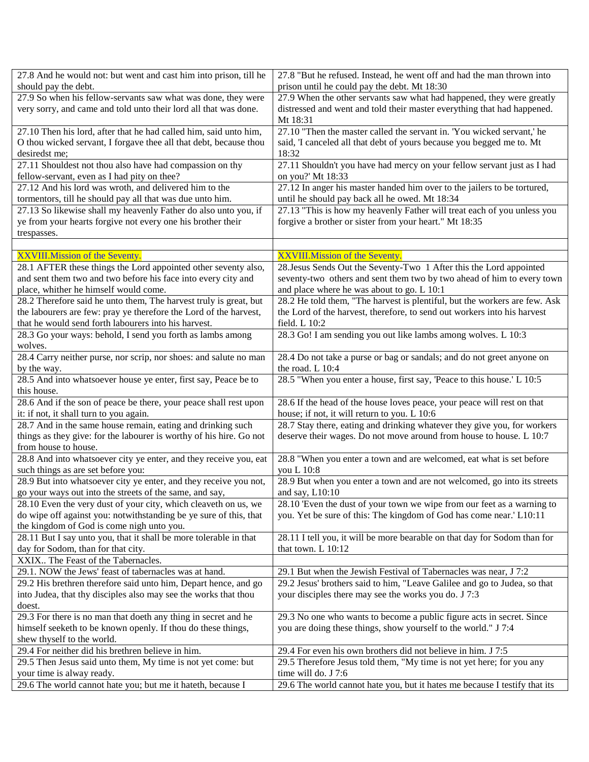| 27.8 And he would not: but went and cast him into prison, till he         | 27.8 "But he refused. Instead, he went off and had the man thrown into     |
|---------------------------------------------------------------------------|----------------------------------------------------------------------------|
| should pay the debt.                                                      | prison until he could pay the debt. Mt 18:30                               |
| 27.9 So when his fellow-servants saw what was done, they were             | 27.9 When the other servants saw what had happened, they were greatly      |
| very sorry, and came and told unto their lord all that was done.          | distressed and went and told their master everything that had happened.    |
|                                                                           | Mt 18:31                                                                   |
| 27.10 Then his lord, after that he had called him, said unto him,         | 27.10 "Then the master called the servant in. 'You wicked servant,' he     |
| O thou wicked servant, I forgave thee all that debt, because thou         | said, 'I canceled all that debt of yours because you begged me to. Mt      |
| desiredst me;                                                             | 18:32                                                                      |
| 27.11 Shouldest not thou also have had compassion on thy                  | 27.11 Shouldn't you have had mercy on your fellow servant just as I had    |
| fellow-servant, even as I had pity on thee?                               | on you?' Mt 18:33                                                          |
| 27.12 And his lord was wroth, and delivered him to the                    | 27.12 In anger his master handed him over to the jailers to be tortured,   |
| tormentors, till he should pay all that was due unto him.                 | until he should pay back all he owed. Mt 18:34                             |
| 27.13 So likewise shall my heavenly Father do also unto you, if           | 27.13 "This is how my heavenly Father will treat each of you unless you    |
| ye from your hearts forgive not every one his brother their               | forgive a brother or sister from your heart." Mt 18:35                     |
| trespasses.                                                               |                                                                            |
|                                                                           |                                                                            |
| <b>XXVIII.Mission of the Seventy.</b>                                     | XXVIII. Mission of the Seventy.                                            |
| 28.1 AFTER these things the Lord appointed other seventy also,            | 28. Jesus Sends Out the Seventy-Two 1 After this the Lord appointed        |
| and sent them two and two before his face into every city and             | seventy-two others and sent them two by two ahead of him to every town     |
| place, whither he himself would come.                                     | and place where he was about to go. L 10:1                                 |
| 28.2 Therefore said he unto them, The harvest truly is great, but         | 28.2 He told them, "The harvest is plentiful, but the workers are few. Ask |
| the labourers are few: pray ye therefore the Lord of the harvest,         | the Lord of the harvest, therefore, to send out workers into his harvest   |
| that he would send forth labourers into his harvest.                      | field. L 10:2                                                              |
| 28.3 Go your ways: behold, I send you forth as lambs among                | 28.3 Go! I am sending you out like lambs among wolves. L 10:3              |
| wolves.                                                                   |                                                                            |
| 28.4 Carry neither purse, nor scrip, nor shoes: and salute no man         | 28.4 Do not take a purse or bag or sandals; and do not greet anyone on     |
| by the way.                                                               | the road. L 10:4                                                           |
| 28.5 And into whatsoever house ye enter, first say, Peace be to           | 28.5 "When you enter a house, first say, 'Peace to this house.' L 10:5     |
| this house.                                                               |                                                                            |
| 28.6 And if the son of peace be there, your peace shall rest upon         | 28.6 If the head of the house loves peace, your peace will rest on that    |
| it: if not, it shall turn to you again.                                   | house; if not, it will return to you. L 10:6                               |
| 28.7 And in the same house remain, eating and drinking such               | 28.7 Stay there, eating and drinking whatever they give you, for workers   |
| things as they give: for the labourer is worthy of his hire. Go not       | deserve their wages. Do not move around from house to house. L 10:7        |
| from house to house.                                                      |                                                                            |
| 28.8 And into whatsoever city ye enter, and they receive you, eat         | 28.8 "When you enter a town and are welcomed, eat what is set before       |
| such things as are set before you:                                        | you L 10:8                                                                 |
| 28.9 But into whatsoever city ye enter, and they receive you not,         | 28.9 But when you enter a town and are not welcomed, go into its streets   |
| go your ways out into the streets of the same, and say,                   | and say, L10:10                                                            |
| 28.10 Even the very dust of your city, which cleaveth on us, we           | 28.10 'Even the dust of your town we wipe from our feet as a warning to    |
| do wipe off against you: notwithstanding be ye sure of this, that         | you. Yet be sure of this: The kingdom of God has come near.' L10:11        |
| the kingdom of God is come nigh unto you.                                 |                                                                            |
| 28.11 But I say unto you, that it shall be more tolerable in that         | 28.11 I tell you, it will be more bearable on that day for Sodom than for  |
| day for Sodom, than for that city.                                        | that town. L 10:12                                                         |
| XXIX The Feast of the Tabernacles.                                        |                                                                            |
| 29.1. NOW the Jews' feast of tabernacles was at hand.                     | 29.1 But when the Jewish Festival of Tabernacles was near, J 7:2           |
| 29.2 His brethren therefore said unto him, Depart hence, and go           | 29.2 Jesus' brothers said to him, "Leave Galilee and go to Judea, so that  |
|                                                                           |                                                                            |
| into Judea, that thy disciples also may see the works that thou<br>doest. | your disciples there may see the works you do. J 7:3                       |
|                                                                           |                                                                            |
| 29.3 For there is no man that doeth any thing in secret and he            | 29.3 No one who wants to become a public figure acts in secret. Since      |
| himself seeketh to be known openly. If thou do these things,              | you are doing these things, show yourself to the world." J 7:4             |
| shew thyself to the world.                                                |                                                                            |
| 29.4 For neither did his brethren believe in him.                         | 29.4 For even his own brothers did not believe in him. J 7:5               |
| 29.5 Then Jesus said unto them, My time is not yet come: but              | 29.5 Therefore Jesus told them, "My time is not yet here; for you any      |
| your time is alway ready.                                                 | time will do. J 7:6                                                        |
| 29.6 The world cannot hate you; but me it hateth, because I               | 29.6 The world cannot hate you, but it hates me because I testify that its |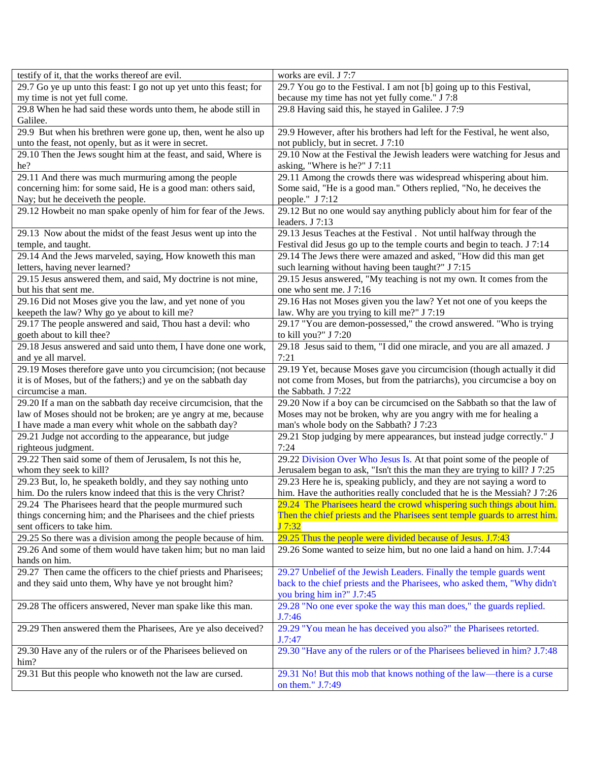| testify of it, that the works thereof are evil.                                                                                | works are evil. J 7:7                                                       |
|--------------------------------------------------------------------------------------------------------------------------------|-----------------------------------------------------------------------------|
| 29.7 Go ye up unto this feast: I go not up yet unto this feast; for                                                            | 29.7 You go to the Festival. I am not [b] going up to this Festival,        |
| my time is not yet full come.                                                                                                  | because my time has not yet fully come." J 7:8                              |
| 29.8 When he had said these words unto them, he abode still in                                                                 | 29.8 Having said this, he stayed in Galilee. J 7:9                          |
| Galilee.                                                                                                                       |                                                                             |
| 29.9 But when his brethren were gone up, then, went he also up                                                                 | 29.9 However, after his brothers had left for the Festival, he went also,   |
| unto the feast, not openly, but as it were in secret.                                                                          | not publicly, but in secret. J 7:10                                         |
| 29.10 Then the Jews sought him at the feast, and said, Where is                                                                | 29.10 Now at the Festival the Jewish leaders were watching for Jesus and    |
| he?                                                                                                                            | asking, "Where is he?" J 7:11                                               |
| 29.11 And there was much murmuring among the people                                                                            | 29.11 Among the crowds there was widespread whispering about him.           |
| concerning him: for some said, He is a good man: others said,                                                                  | Some said, "He is a good man." Others replied, "No, he deceives the         |
| Nay; but he deceiveth the people.                                                                                              | people." J 7:12                                                             |
| 29.12 Howbeit no man spake openly of him for fear of the Jews.                                                                 | 29.12 But no one would say anything publicly about him for fear of the      |
|                                                                                                                                | leaders. J 7:13                                                             |
| 29.13 Now about the midst of the feast Jesus went up into the                                                                  | 29.13 Jesus Teaches at the Festival. Not until halfway through the          |
| temple, and taught.                                                                                                            | Festival did Jesus go up to the temple courts and begin to teach. J 7:14    |
| 29.14 And the Jews marveled, saying, How knoweth this man                                                                      | 29.14 The Jews there were amazed and asked, "How did this man get           |
| letters, having never learned?                                                                                                 | such learning without having been taught?" J 7:15                           |
| 29.15 Jesus answered them, and said, My doctrine is not mine,                                                                  | 29.15 Jesus answered, "My teaching is not my own. It comes from the         |
| but his that sent me.                                                                                                          | one who sent me. J 7:16                                                     |
| 29.16 Did not Moses give you the law, and yet none of you                                                                      | 29.16 Has not Moses given you the law? Yet not one of you keeps the         |
| keepeth the law? Why go ye about to kill me?                                                                                   | law. Why are you trying to kill me?" J 7:19                                 |
| 29.17 The people answered and said, Thou hast a devil: who                                                                     | 29.17 "You are demon-possessed," the crowd answered. "Who is trying         |
| goeth about to kill thee?                                                                                                      | to kill you?" J 7:20                                                        |
| 29.18 Jesus answered and said unto them, I have done one work,                                                                 | 29.18 Jesus said to them, "I did one miracle, and you are all amazed. J     |
| and ye all marvel.                                                                                                             | 7:21                                                                        |
| 29.19 Moses therefore gave unto you circumcision; (not because                                                                 | 29.19 Yet, because Moses gave you circumcision (though actually it did      |
| it is of Moses, but of the fathers;) and ye on the sabbath day                                                                 | not come from Moses, but from the patriarchs), you circumcise a boy on      |
| circumcise a man.                                                                                                              | the Sabbath. J 7:22                                                         |
| 29.20 If a man on the sabbath day receive circumcision, that the                                                               | 29.20 Now if a boy can be circumcised on the Sabbath so that the law of     |
| law of Moses should not be broken; are ye angry at me, because                                                                 | Moses may not be broken, why are you angry with me for healing a            |
| I have made a man every whit whole on the sabbath day?                                                                         | man's whole body on the Sabbath? J 7:23                                     |
| 29.21 Judge not according to the appearance, but judge                                                                         | 29.21 Stop judging by mere appearances, but instead judge correctly." J     |
| righteous judgment.                                                                                                            | 7:24                                                                        |
| 29.22 Then said some of them of Jerusalem, Is not this he,                                                                     | 29.22 Division Over Who Jesus Is. At that point some of the people of       |
| whom they seek to kill?                                                                                                        | Jerusalem began to ask, "Isn't this the man they are trying to kill? J 7:25 |
| 29.23 But, lo, he speaketh boldly, and they say nothing unto                                                                   | 29.23 Here he is, speaking publicly, and they are not saying a word to      |
| him. Do the rulers know indeed that this is the very Christ?                                                                   | him. Have the authorities really concluded that he is the Messiah? J 7:26   |
| 29.24 The Pharisees heard that the people murmured such                                                                        | 29.24 The Pharisees heard the crowd whispering such things about him.       |
| things concerning him; and the Pharisees and the chief priests                                                                 | Then the chief priests and the Pharisees sent temple guards to arrest him.  |
| sent officers to take him.                                                                                                     | J7:32                                                                       |
|                                                                                                                                | 29.25 Thus the people were divided because of Jesus. J.7:43                 |
| 29.25 So there was a division among the people because of him.<br>29.26 And some of them would have taken him; but no man laid | 29.26 Some wanted to seize him, but no one laid a hand on him. J.7:44       |
|                                                                                                                                |                                                                             |
| hands on him.                                                                                                                  |                                                                             |
| 29.27 Then came the officers to the chief priests and Pharisees;                                                               | 29.27 Unbelief of the Jewish Leaders. Finally the temple guards went        |
| and they said unto them, Why have ye not brought him?                                                                          | back to the chief priests and the Pharisees, who asked them, "Why didn't    |
|                                                                                                                                | you bring him in?" J.7:45                                                   |
| 29.28 The officers answered, Never man spake like this man.                                                                    | 29.28 "No one ever spoke the way this man does," the guards replied.        |
|                                                                                                                                | J.7:46                                                                      |
| 29.29 Then answered them the Pharisees, Are ye also deceived?                                                                  | 29.29 "You mean he has deceived you also?" the Pharisees retorted.          |
|                                                                                                                                | J.7:47                                                                      |
| 29.30 Have any of the rulers or of the Pharisees believed on                                                                   | 29.30 "Have any of the rulers or of the Pharisees believed in him? J.7:48   |
| him?                                                                                                                           |                                                                             |
| 29.31 But this people who knoweth not the law are cursed.                                                                      | 29.31 No! But this mob that knows nothing of the law—there is a curse       |
|                                                                                                                                | on them." J.7:49                                                            |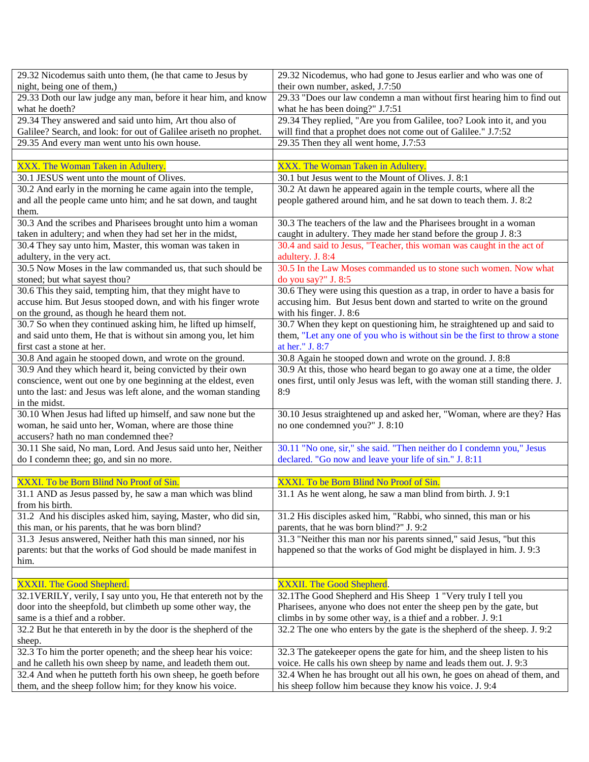| 29.32 Nicodemus saith unto them, (he that came to Jesus by        | 29.32 Nicodemus, who had gone to Jesus earlier and who was one of              |
|-------------------------------------------------------------------|--------------------------------------------------------------------------------|
| night, being one of them,)                                        | their own number, asked, J.7:50                                                |
| 29.33 Doth our law judge any man, before it hear him, and know    | 29.33 "Does our law condemn a man without first hearing him to find out        |
| what he doeth?                                                    | what he has been doing?" J.7:51                                                |
| 29.34 They answered and said unto him, Art thou also of           | 29.34 They replied, "Are you from Galilee, too? Look into it, and you          |
| Galilee? Search, and look: for out of Galilee ariseth no prophet. | will find that a prophet does not come out of Galilee." J.7:52                 |
| 29.35 And every man went unto his own house.                      | 29.35 Then they all went home, J.7:53                                          |
|                                                                   |                                                                                |
| XXX. The Woman Taken in Adultery.                                 | XXX. The Woman Taken in Adultery.                                              |
| 30.1 JESUS went unto the mount of Olives.                         | 30.1 but Jesus went to the Mount of Olives. J. 8:1                             |
| 30.2 And early in the morning he came again into the temple,      | 30.2 At dawn he appeared again in the temple courts, where all the             |
| and all the people came unto him; and he sat down, and taught     | people gathered around him, and he sat down to teach them. J. 8:2              |
| them.                                                             |                                                                                |
| 30.3 And the scribes and Pharisees brought unto him a woman       | 30.3 The teachers of the law and the Pharisees brought in a woman              |
| taken in adultery; and when they had set her in the midst,        | caught in adultery. They made her stand before the group J. 8:3                |
| 30.4 They say unto him, Master, this woman was taken in           | 30.4 and said to Jesus, "Teacher, this woman was caught in the act of          |
| adultery, in the very act.                                        | adultery. J. 8:4                                                               |
| 30.5 Now Moses in the law commanded us, that such should be       | 30.5 In the Law Moses commanded us to stone such women. Now what               |
| stoned; but what sayest thou?                                     | do you say?" J. 8:5                                                            |
| 30.6 This they said, tempting him, that they might have to        | 30.6 They were using this question as a trap, in order to have a basis for     |
| accuse him. But Jesus stooped down, and with his finger wrote     | accusing him. But Jesus bent down and started to write on the ground           |
| on the ground, as though he heard them not.                       | with his finger. J. 8:6                                                        |
| 30.7 So when they continued asking him, he lifted up himself,     | 30.7 When they kept on questioning him, he straightened up and said to         |
| and said unto them, He that is without sin among you, let him     | them, "Let any one of you who is without sin be the first to throw a stone     |
|                                                                   | at her." J. 8:7                                                                |
| first cast a stone at her.                                        |                                                                                |
| 30.8 And again he stooped down, and wrote on the ground.          | 30.8 Again he stooped down and wrote on the ground. J. 8:8                     |
| 30.9 And they which heard it, being convicted by their own        | 30.9 At this, those who heard began to go away one at a time, the older        |
| conscience, went out one by one beginning at the eldest, even     | ones first, until only Jesus was left, with the woman still standing there. J. |
| unto the last: and Jesus was left alone, and the woman standing   | 8:9                                                                            |
| in the midst.                                                     |                                                                                |
| 30.10 When Jesus had lifted up himself, and saw none but the      | 30.10 Jesus straightened up and asked her, "Woman, where are they? Has         |
| woman, he said unto her, Woman, where are those thine             | no one condemned you?" J. 8:10                                                 |
| accusers? hath no man condemned thee?                             |                                                                                |
| 30.11 She said, No man, Lord. And Jesus said unto her, Neither    | 30.11 "No one, sir," she said. "Then neither do I condemn you," Jesus          |
| do I condemn thee; go, and sin no more.                           | declared. "Go now and leave your life of sin." J. 8:11                         |
|                                                                   |                                                                                |
| XXXI. To be Born Blind No Proof of Sin.                           | XXXI. To be Born Blind No Proof of Sin.                                        |
| 31.1 AND as Jesus passed by, he saw a man which was blind         | 31.1 As he went along, he saw a man blind from birth. J. 9:1                   |
| from his birth.                                                   |                                                                                |
| 31.2 And his disciples asked him, saying, Master, who did sin,    | 31.2 His disciples asked him, "Rabbi, who sinned, this man or his              |
| this man, or his parents, that he was born blind?                 | parents, that he was born blind?" J. 9:2                                       |
| 31.3 Jesus answered, Neither hath this man sinned, nor his        | 31.3 "Neither this man nor his parents sinned," said Jesus, "but this          |
| parents: but that the works of God should be made manifest in     | happened so that the works of God might be displayed in him. J. 9:3            |
| him.                                                              |                                                                                |
|                                                                   |                                                                                |
| XXXII. The Good Shepherd.                                         | XXXII. The Good Shepherd.                                                      |
| 32.1 VERILY, verily, I say unto you, He that entereth not by the  | 32.1 The Good Shepherd and His Sheep 1 "Very truly I tell you                  |
| door into the sheepfold, but climbeth up some other way, the      | Pharisees, anyone who does not enter the sheep pen by the gate, but            |
| same is a thief and a robber.                                     | climbs in by some other way, is a thief and a robber. J. 9:1                   |
| 32.2 But he that entereth in by the door is the shepherd of the   | 32.2 The one who enters by the gate is the shepherd of the sheep. J. 9:2       |
| sheep.                                                            |                                                                                |
| 32.3 To him the porter openeth; and the sheep hear his voice:     | 32.3 The gatekeeper opens the gate for him, and the sheep listen to his        |
| and he calleth his own sheep by name, and leadeth them out.       | voice. He calls his own sheep by name and leads them out. J. 9:3               |
| 32.4 And when he putteth forth his own sheep, he goeth before     | 32.4 When he has brought out all his own, he goes on ahead of them, and        |
| them, and the sheep follow him; for they know his voice.          | his sheep follow him because they know his voice. J. 9:4                       |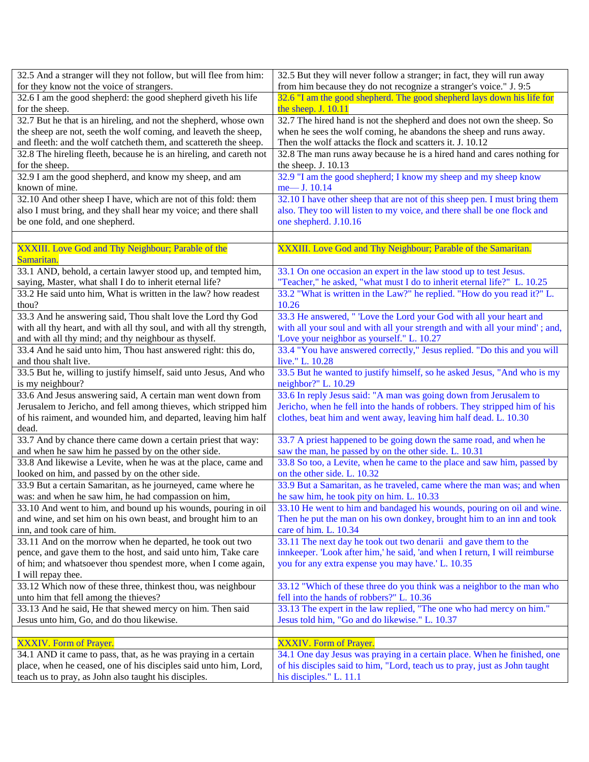| 32.5 And a stranger will they not follow, but will flee from him:                                                                  | 32.5 But they will never follow a stranger; in fact, they will run away                                                                                |
|------------------------------------------------------------------------------------------------------------------------------------|--------------------------------------------------------------------------------------------------------------------------------------------------------|
| for they know not the voice of strangers.                                                                                          | from him because they do not recognize a stranger's voice." J. 9:5                                                                                     |
| 32.6 I am the good shepherd: the good shepherd giveth his life                                                                     | 32.6 "I am the good shepherd. The good shepherd lays down his life for                                                                                 |
| for the sheep.                                                                                                                     | the sheep. J. 10.11                                                                                                                                    |
| 32.7 But he that is an hireling, and not the shepherd, whose own                                                                   | 32.7 The hired hand is not the shepherd and does not own the sheep. So                                                                                 |
| the sheep are not, seeth the wolf coming, and leaveth the sheep,                                                                   | when he sees the wolf coming, he abandons the sheep and runs away.                                                                                     |
| and fleeth: and the wolf catcheth them, and scattereth the sheep.                                                                  | Then the wolf attacks the flock and scatters it. J. 10.12                                                                                              |
| 32.8 The hireling fleeth, because he is an hireling, and careth not                                                                | 32.8 The man runs away because he is a hired hand and cares nothing for                                                                                |
| for the sheep.                                                                                                                     | the sheep. J. 10.13                                                                                                                                    |
| 32.9 I am the good shepherd, and know my sheep, and am                                                                             | 32.9 "I am the good shepherd; I know my sheep and my sheep know                                                                                        |
| known of mine.                                                                                                                     | me- J. 10.14                                                                                                                                           |
| 32.10 And other sheep I have, which are not of this fold: them                                                                     | 32.10 I have other sheep that are not of this sheep pen. I must bring them                                                                             |
| also I must bring, and they shall hear my voice; and there shall                                                                   | also. They too will listen to my voice, and there shall be one flock and                                                                               |
| be one fold, and one shepherd.                                                                                                     | one shepherd. J.10.16                                                                                                                                  |
|                                                                                                                                    |                                                                                                                                                        |
|                                                                                                                                    |                                                                                                                                                        |
| XXXIII. Love God and Thy Neighbour; Parable of the                                                                                 | XXXIII. Love God and Thy Neighbour; Parable of the Samaritan.                                                                                          |
| Samaritan.                                                                                                                         |                                                                                                                                                        |
| 33.1 AND, behold, a certain lawyer stood up, and tempted him,                                                                      | 33.1 On one occasion an expert in the law stood up to test Jesus.                                                                                      |
| saying, Master, what shall I do to inherit eternal life?                                                                           | "Teacher," he asked, "what must I do to inherit eternal life?" L. 10.25                                                                                |
| 33.2 He said unto him, What is written in the law? how readest                                                                     | 33.2 "What is written in the Law?" he replied. "How do you read it?" L.                                                                                |
| thou?                                                                                                                              | 10.26                                                                                                                                                  |
| 33.3 And he answering said, Thou shalt love the Lord thy God                                                                       | 33.3 He answered, " Love the Lord your God with all your heart and                                                                                     |
| with all thy heart, and with all thy soul, and with all thy strength,                                                              | with all your soul and with all your strength and with all your mind'; and,                                                                            |
| and with all thy mind; and thy neighbour as thyself.                                                                               | 'Love your neighbor as yourself." L. 10.27                                                                                                             |
| 33.4 And he said unto him, Thou hast answered right: this do,                                                                      | 33.4 "You have answered correctly," Jesus replied. "Do this and you will                                                                               |
| and thou shalt live.                                                                                                               | live." L. 10.28                                                                                                                                        |
| 33.5 But he, willing to justify himself, said unto Jesus, And who                                                                  | 33.5 But he wanted to justify himself, so he asked Jesus, "And who is my                                                                               |
| is my neighbour?                                                                                                                   | neighbor?" L. 10.29                                                                                                                                    |
| 33.6 And Jesus answering said, A certain man went down from                                                                        | 33.6 In reply Jesus said: "A man was going down from Jerusalem to                                                                                      |
| Jerusalem to Jericho, and fell among thieves, which stripped him                                                                   | Jericho, when he fell into the hands of robbers. They stripped him of his                                                                              |
| of his raiment, and wounded him, and departed, leaving him half                                                                    | clothes, beat him and went away, leaving him half dead. L. 10.30                                                                                       |
| dead.                                                                                                                              |                                                                                                                                                        |
| 33.7 And by chance there came down a certain priest that way:                                                                      | 33.7 A priest happened to be going down the same road, and when he                                                                                     |
| and when he saw him he passed by on the other side.                                                                                | saw the man, he passed by on the other side. L. 10.31                                                                                                  |
| 33.8 And likewise a Levite, when he was at the place, came and                                                                     | 33.8 So too, a Levite, when he came to the place and saw him, passed by                                                                                |
| looked on him, and passed by on the other side.                                                                                    | on the other side. L. 10.32                                                                                                                            |
| 33.9 But a certain Samaritan, as he journeyed, came where he                                                                       | 33.9 But a Samaritan, as he traveled, came where the man was; and when                                                                                 |
| was: and when he saw him, he had compassion on him,                                                                                | he saw him, he took pity on him. L. 10.33                                                                                                              |
| 33.10 And went to him, and bound up his wounds, pouring in oil                                                                     | 33.10 He went to him and bandaged his wounds, pouring on oil and wine.                                                                                 |
| and wine, and set him on his own beast, and brought him to an                                                                      | Then he put the man on his own donkey, brought him to an inn and took                                                                                  |
| inn, and took care of him.                                                                                                         | care of him. L. 10.34                                                                                                                                  |
| 33.11 And on the morrow when he departed, he took out two                                                                          | 33.11 The next day he took out two denarii and gave them to the                                                                                        |
| pence, and gave them to the host, and said unto him, Take care                                                                     | innkeeper. 'Look after him,' he said, 'and when I return, I will reimburse                                                                             |
| of him; and whatsoever thou spendest more, when I come again,                                                                      | you for any extra expense you may have.' L. 10.35                                                                                                      |
| I will repay thee.                                                                                                                 |                                                                                                                                                        |
| 33.12 Which now of these three, thinkest thou, was neighbour                                                                       | 33.12 "Which of these three do you think was a neighbor to the man who                                                                                 |
| unto him that fell among the thieves?                                                                                              | fell into the hands of robbers?" L. 10.36                                                                                                              |
| 33.13 And he said, He that shewed mercy on him. Then said                                                                          | 33.13 The expert in the law replied, "The one who had mercy on him."                                                                                   |
| Jesus unto him, Go, and do thou likewise.                                                                                          |                                                                                                                                                        |
|                                                                                                                                    |                                                                                                                                                        |
|                                                                                                                                    | Jesus told him, "Go and do likewise." L. 10.37                                                                                                         |
|                                                                                                                                    |                                                                                                                                                        |
| XXXIV. Form of Prayer.                                                                                                             | <b>XXXIV.</b> Form of Prayer.                                                                                                                          |
| 34.1 AND it came to pass, that, as he was praying in a certain<br>place, when he ceased, one of his disciples said unto him, Lord, | 34.1 One day Jesus was praying in a certain place. When he finished, one<br>of his disciples said to him, "Lord, teach us to pray, just as John taught |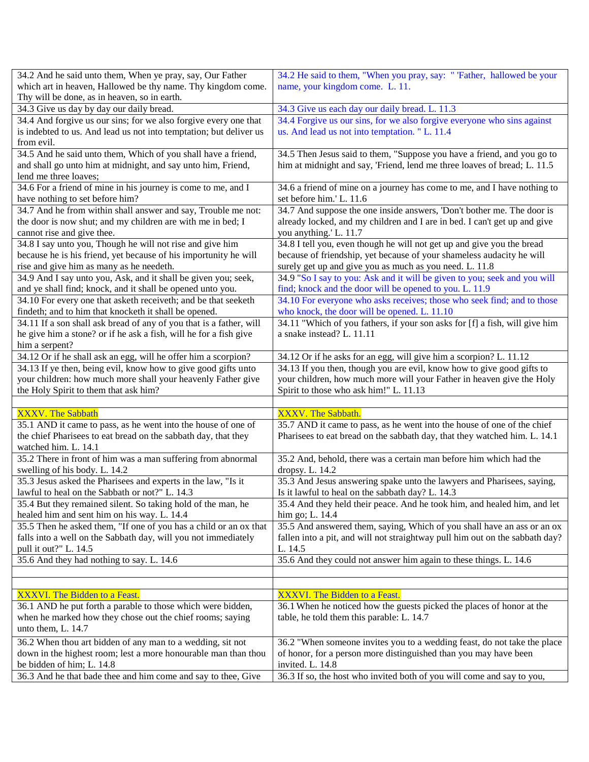| 34.2 And he said unto them, When ye pray, say, Our Father                                  | 34.2 He said to them, "When you pray, say: " 'Father, hallowed be your                     |
|--------------------------------------------------------------------------------------------|--------------------------------------------------------------------------------------------|
| which art in heaven, Hallowed be thy name. Thy kingdom come.                               | name, your kingdom come. L. 11.                                                            |
| Thy will be done, as in heaven, so in earth.                                               |                                                                                            |
| 34.3 Give us day by day our daily bread.                                                   | 34.3 Give us each day our daily bread. L. 11.3                                             |
| 34.4 And forgive us our sins; for we also forgive every one that                           | 34.4 Forgive us our sins, for we also forgive everyone who sins against                    |
| is indebted to us. And lead us not into temptation; but deliver us                         | us. And lead us not into temptation. "L. 11.4                                              |
| from evil.                                                                                 |                                                                                            |
| 34.5 And he said unto them, Which of you shall have a friend,                              | 34.5 Then Jesus said to them, "Suppose you have a friend, and you go to                    |
| and shall go unto him at midnight, and say unto him, Friend,                               | him at midnight and say, 'Friend, lend me three loaves of bread; L. 11.5                   |
| lend me three loaves;                                                                      |                                                                                            |
| 34.6 For a friend of mine in his journey is come to me, and I                              | 34.6 a friend of mine on a journey has come to me, and I have nothing to                   |
| have nothing to set before him?                                                            | set before him.' L. 11.6                                                                   |
| 34.7 And he from within shall answer and say, Trouble me not:                              | 34.7 And suppose the one inside answers, 'Don't bother me. The door is                     |
| the door is now shut; and my children are with me in bed; I                                | already locked, and my children and I are in bed. I can't get up and give                  |
| cannot rise and give thee.                                                                 | you anything.' L. 11.7                                                                     |
| 34.8 I say unto you, Though he will not rise and give him                                  | 34.8 I tell you, even though he will not get up and give you the bread                     |
| because he is his friend, yet because of his importunity he will                           | because of friendship, yet because of your shameless audacity he will                      |
| rise and give him as many as he needeth.                                                   | surely get up and give you as much as you need. L. 11.8                                    |
| 34.9 And I say unto you, Ask, and it shall be given you; seek,                             | 34.9 "So I say to you: Ask and it will be given to you; seek and you will                  |
| and ye shall find; knock, and it shall be opened unto you.                                 | find; knock and the door will be opened to you. L. 11.9                                    |
| 34.10 For every one that asketh receiveth; and be that seeketh                             | 34.10 For everyone who asks receives; those who seek find; and to those                    |
| findeth; and to him that knocketh it shall be opened.                                      | who knock, the door will be opened. L. 11.10                                               |
| 34.11 If a son shall ask bread of any of you that is a father, will                        | 34.11 "Which of you fathers, if your son asks for [f] a fish, will give him                |
| he give him a stone? or if he ask a fish, will he for a fish give                          | a snake instead? L. 11.11                                                                  |
| him a serpent?                                                                             |                                                                                            |
| 34.12 Or if he shall ask an egg, will he offer him a scorpion?                             | 34.12 Or if he asks for an egg, will give him a scorpion? L. 11.12                         |
| 34.13 If ye then, being evil, know how to give good gifts unto                             | 34.13 If you then, though you are evil, know how to give good gifts to                     |
| your children: how much more shall your heavenly Father give                               | your children, how much more will your Father in heaven give the Holy                      |
|                                                                                            |                                                                                            |
|                                                                                            |                                                                                            |
| the Holy Spirit to them that ask him?                                                      | Spirit to those who ask him!" L. 11.13                                                     |
|                                                                                            |                                                                                            |
| <b>XXXV.</b> The Sabbath                                                                   | XXXV. The Sabbath.                                                                         |
| 35.1 AND it came to pass, as he went into the house of one of                              | 35.7 AND it came to pass, as he went into the house of one of the chief                    |
| the chief Pharisees to eat bread on the sabbath day, that they                             | Pharisees to eat bread on the sabbath day, that they watched him. L. 14.1                  |
| watched him. L. 14.1                                                                       |                                                                                            |
| 35.2 There in front of him was a man suffering from abnormal                               | 35.2 And, behold, there was a certain man before him which had the                         |
| swelling of his body. L. 14.2                                                              | dropsy. L. 14.2                                                                            |
| 35.3 Jesus asked the Pharisees and experts in the law, "Is it                              | 35.3 And Jesus answering spake unto the lawyers and Pharisees, saying,                     |
| lawful to heal on the Sabbath or not?" L. 14.3                                             | Is it lawful to heal on the sabbath day? L. 14.3                                           |
| 35.4 But they remained silent. So taking hold of the man, he                               | 35.4 And they held their peace. And he took him, and healed him, and let                   |
| healed him and sent him on his way. L. 14.4                                                | him go; L. 14.4                                                                            |
| 35.5 Then he asked them, "If one of you has a child or an ox that                          | 35.5 And answered them, saying, Which of you shall have an ass or an ox                    |
| falls into a well on the Sabbath day, will you not immediately                             | fallen into a pit, and will not straightway pull him out on the sabbath day?               |
| pull it out?" L. 14.5                                                                      | L. 14.5                                                                                    |
| 35.6 And they had nothing to say. L. 14.6                                                  | 35.6 And they could not answer him again to these things. L. 14.6                          |
|                                                                                            |                                                                                            |
|                                                                                            |                                                                                            |
| XXXVI. The Bidden to a Feast.                                                              | XXXVI. The Bidden to a Feast.                                                              |
| 36.1 AND he put forth a parable to those which were bidden,                                | 36.1 When he noticed how the guests picked the places of honor at the                      |
| when he marked how they chose out the chief rooms; saying                                  | table, he told them this parable: L. 14.7                                                  |
| unto them, L. 14.7                                                                         |                                                                                            |
| 36.2 When thou art bidden of any man to a wedding, sit not                                 | 36.2 "When someone invites you to a wedding feast, do not take the place                   |
| down in the highest room; lest a more honourable man than thou                             | of honor, for a person more distinguished than you may have been                           |
| be bidden of him; L. 14.8<br>36.3 And he that bade thee and him come and say to thee, Give | invited. L. 14.8<br>36.3 If so, the host who invited both of you will come and say to you, |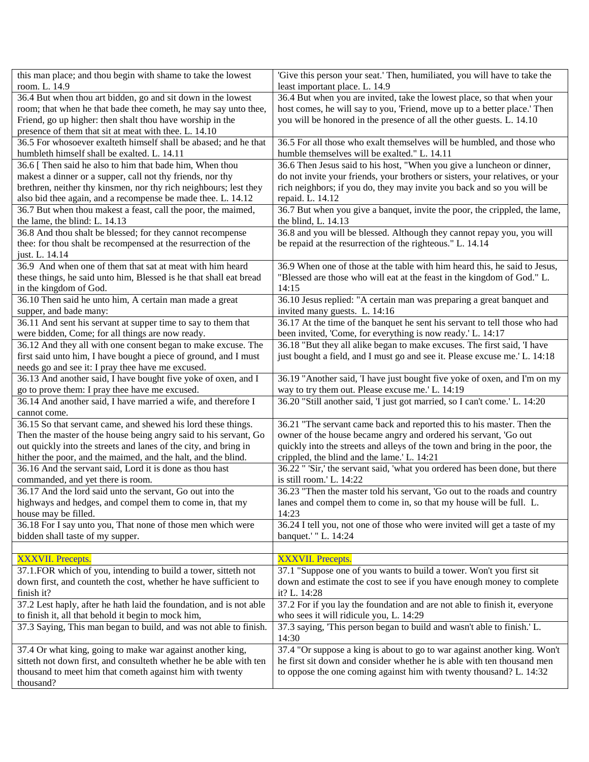| this man place; and thou begin with shame to take the lowest                                                                    | 'Give this person your seat.' Then, humiliated, you will have to take the                                                                               |
|---------------------------------------------------------------------------------------------------------------------------------|---------------------------------------------------------------------------------------------------------------------------------------------------------|
| room. L. 14.9                                                                                                                   | least important place. L. 14.9                                                                                                                          |
| 36.4 But when thou art bidden, go and sit down in the lowest                                                                    | 36.4 But when you are invited, take the lowest place, so that when your                                                                                 |
| room; that when he that bade thee cometh, he may say unto thee,                                                                 | host comes, he will say to you, 'Friend, move up to a better place.' Then                                                                               |
| Friend, go up higher: then shalt thou have worship in the                                                                       | you will be honored in the presence of all the other guests. L. 14.10                                                                                   |
| presence of them that sit at meat with thee. L. 14.10                                                                           |                                                                                                                                                         |
| 36.5 For whosoever exalteth himself shall be abased; and he that                                                                | 36.5 For all those who exalt themselves will be humbled, and those who                                                                                  |
| humbleth himself shall be exalted. L. 14.11                                                                                     | humble themselves will be exalted." L. 14.11                                                                                                            |
| 36.6 [ Then said he also to him that bade him, When thou                                                                        | 36.6 Then Jesus said to his host, "When you give a luncheon or dinner,<br>do not invite your friends, your brothers or sisters, your relatives, or your |
| makest a dinner or a supper, call not thy friends, nor thy<br>brethren, neither thy kinsmen, nor thy rich neighbours; lest they | rich neighbors; if you do, they may invite you back and so you will be                                                                                  |
| also bid thee again, and a recompense be made thee. L. 14.12                                                                    | repaid. L. 14.12                                                                                                                                        |
| 36.7 But when thou makest a feast, call the poor, the maimed,                                                                   | 36.7 But when you give a banquet, invite the poor, the crippled, the lame,                                                                              |
| the lame, the blind: L. 14.13                                                                                                   | the blind, L. 14.13                                                                                                                                     |
| 36.8 And thou shalt be blessed; for they cannot recompense                                                                      | 36.8 and you will be blessed. Although they cannot repay you, you will                                                                                  |
| thee: for thou shalt be recompensed at the resurrection of the                                                                  | be repaid at the resurrection of the righteous." L. 14.14                                                                                               |
| just. L. 14.14                                                                                                                  |                                                                                                                                                         |
| 36.9 And when one of them that sat at meat with him heard                                                                       | 36.9 When one of those at the table with him heard this, he said to Jesus,                                                                              |
| these things, he said unto him, Blessed is he that shall eat bread                                                              | "Blessed are those who will eat at the feast in the kingdom of God." L.                                                                                 |
| in the kingdom of God.                                                                                                          | 14:15                                                                                                                                                   |
| 36.10 Then said he unto him, A certain man made a great                                                                         | 36.10 Jesus replied: "A certain man was preparing a great banquet and                                                                                   |
| supper, and bade many:                                                                                                          | invited many guests. L. 14:16                                                                                                                           |
| 36.11 And sent his servant at supper time to say to them that                                                                   | 36.17 At the time of the banquet he sent his servant to tell those who had                                                                              |
| were bidden, Come; for all things are now ready.                                                                                | been invited, 'Come, for everything is now ready.' L. 14:17                                                                                             |
| 36.12 And they all with one consent began to make excuse. The                                                                   | 36.18 "But they all alike began to make excuses. The first said, 'I have                                                                                |
| first said unto him, I have bought a piece of ground, and I must                                                                | just bought a field, and I must go and see it. Please excuse me.' L. 14:18                                                                              |
| needs go and see it: I pray thee have me excused.                                                                               |                                                                                                                                                         |
| 36.13 And another said, I have bought five yoke of oxen, and I                                                                  | 36.19 "Another said, 'I have just bought five yoke of oxen, and I'm on my<br>way to try them out. Please excuse me.' L. 14:19                           |
| go to prove them: I pray thee have me excused.<br>36.14 And another said, I have married a wife, and therefore I                | 36.20 "Still another said, 'I just got married, so I can't come.' L. 14:20                                                                              |
| cannot come.                                                                                                                    |                                                                                                                                                         |
| 36.15 So that servant came, and shewed his lord these things.                                                                   | 36.21 "The servant came back and reported this to his master. Then the                                                                                  |
| Then the master of the house being angry said to his servant, Go                                                                | owner of the house became angry and ordered his servant, 'Go out                                                                                        |
| out quickly into the streets and lanes of the city, and bring in                                                                | quickly into the streets and alleys of the town and bring in the poor, the                                                                              |
| hither the poor, and the maimed, and the halt, and the blind.                                                                   | crippled, the blind and the lame.' L. 14:21                                                                                                             |
| 36.16 And the servant said, Lord it is done as thou hast                                                                        | 36.22 " 'Sir,' the servant said, 'what you ordered has been done, but there                                                                             |
| commanded, and yet there is room.                                                                                               | is still room.' L. 14:22                                                                                                                                |
| 36.17 And the lord said unto the servant, Go out into the                                                                       | 36.23 "Then the master told his servant, 'Go out to the roads and country                                                                               |
| highways and hedges, and compel them to come in, that my                                                                        | lanes and compel them to come in, so that my house will be full. L.                                                                                     |
| house may be filled.                                                                                                            | 14:23                                                                                                                                                   |
| 36.18 For I say unto you, That none of those men which were                                                                     | 36.24 I tell you, not one of those who were invited will get a taste of my                                                                              |
| bidden shall taste of my supper.                                                                                                | banquet.' "L. 14:24                                                                                                                                     |
|                                                                                                                                 |                                                                                                                                                         |
| <b>XXXVII. Precepts.</b>                                                                                                        | <b>XXXVII. Precepts.</b>                                                                                                                                |
| 37.1. FOR which of you, intending to build a tower, sitteth not                                                                 | 37.1 "Suppose one of you wants to build a tower. Won't you first sit                                                                                    |
| down first, and counteth the cost, whether he have sufficient to                                                                | down and estimate the cost to see if you have enough money to complete                                                                                  |
| finish it?                                                                                                                      | it? L. 14:28                                                                                                                                            |
| 37.2 Lest haply, after he hath laid the foundation, and is not able<br>to finish it, all that behold it begin to mock him,      | 37.2 For if you lay the foundation and are not able to finish it, everyone<br>who sees it will ridicule you, L. 14:29                                   |
| 37.3 Saying, This man began to build, and was not able to finish.                                                               | 37.3 saying, 'This person began to build and wasn't able to finish.' L.                                                                                 |
|                                                                                                                                 | 14:30                                                                                                                                                   |
| 37.4 Or what king, going to make war against another king,                                                                      | 37.4 "Or suppose a king is about to go to war against another king. Won't                                                                               |
| sitteth not down first, and consulteth whether he be able with ten                                                              | he first sit down and consider whether he is able with ten thousand men                                                                                 |
| thousand to meet him that cometh against him with twenty                                                                        | to oppose the one coming against him with twenty thousand? L. 14:32                                                                                     |
| thousand?                                                                                                                       |                                                                                                                                                         |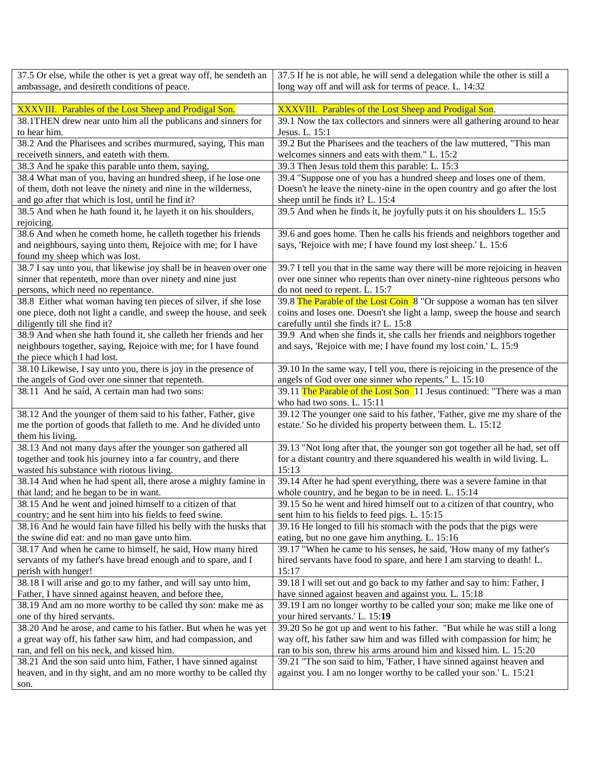| 37.5 Or else, while the other is yet a great way off, he sendeth an | 37.5 If he is not able, he will send a delegation while the other is still a |
|---------------------------------------------------------------------|------------------------------------------------------------------------------|
| ambassage, and desireth conditions of peace.                        | long way off and will ask for terms of peace. L. 14:32                       |
|                                                                     |                                                                              |
| XXXVIII. Parables of the Lost Sheep and Prodigal Son.               | XXXVIII. Parables of the Lost Sheep and Prodigal Son.                        |
| 38.1THEN drew near unto him all the publicans and sinners for       | 39.1 Now the tax collectors and sinners were all gathering around to hear    |
| to hear him.                                                        | Jesus. L. 15:1                                                               |
| 38.2 And the Pharisees and scribes murmured, saying, This man       | 39.2 But the Pharisees and the teachers of the law muttered, "This man       |
| receiveth sinners, and eateth with them.                            | welcomes sinners and eats with them." L. 15:2                                |
| 38.3 And he spake this parable unto them, saying,                   | 39.3 Then Jesus told them this parable: L. 15:3                              |
| 38.4 What man of you, having an hundred sheep, if he lose one       | 39.4 "Suppose one of you has a hundred sheep and loses one of them.          |
| of them, doth not leave the ninety and nine in the wilderness,      | Doesn't he leave the ninety-nine in the open country and go after the lost   |
| and go after that which is lost, until he find it?                  | sheep until he finds it? L. 15:4                                             |
| 38.5 And when he hath found it, he layeth it on his shoulders,      | 39.5 And when he finds it, he joyfully puts it on his shoulders L. 15:5      |
| rejoicing.                                                          |                                                                              |
| 38.6 And when he cometh home, he calleth together his friends       | 39.6 and goes home. Then he calls his friends and neighbors together and     |
| and neighbours, saying unto them, Rejoice with me; for I have       | says, 'Rejoice with me; I have found my lost sheep.' L. 15:6                 |
| found my sheep which was lost.                                      |                                                                              |
| 38.7 I say unto you, that likewise joy shall be in heaven over one  | 39.7 I tell you that in the same way there will be more rejoicing in heaven  |
| sinner that repenteth, more than over ninety and nine just          | over one sinner who repents than over ninety-nine righteous persons who      |
| persons, which need no repentance.                                  | do not need to repent. L. 15:7                                               |
| 38.8 Either what woman having ten pieces of silver, if she lose     | 39.8 The Parable of the Lost Coin 8 "Or suppose a woman has ten silver       |
| one piece, doth not light a candle, and sweep the house, and seek   | coins and loses one. Doesn't she light a lamp, sweep the house and search    |
| diligently till she find it?                                        | carefully until she finds it? L. 15:8                                        |
| 38.9 And when she hath found it, she calleth her friends and her    | 39.9 And when she finds it, she calls her friends and neighbors together     |
| neighbours together, saying, Rejoice with me; for I have found      | and says, 'Rejoice with me; I have found my lost coin.' L. 15:9              |
| the piece which I had lost.                                         |                                                                              |
| 38.10 Likewise, I say unto you, there is joy in the presence of     | 39.10 In the same way, I tell you, there is rejoicing in the presence of the |
| the angels of God over one sinner that repenteth.                   | angels of God over one sinner who repents." L. 15:10                         |
| 38.11 And he said, A certain man had two sons:                      | 39.11 The Parable of the Lost Son 11 Jesus continued: "There was a man       |
|                                                                     | who had two sons. L. 15:11                                                   |
| 38.12 And the younger of them said to his father, Father, give      | 39.12 The younger one said to his father, 'Father, give me my share of the   |
| me the portion of goods that falleth to me. And he divided unto     | estate.' So he divided his property between them. L. 15:12                   |
| them his living.                                                    |                                                                              |
| 38.13 And not many days after the younger son gathered all          | 39.13 "Not long after that, the younger son got together all he had, set off |
| together and took his journey into a far country, and there         | for a distant country and there squandered his wealth in wild living. L.     |
| wasted his substance with riotous living.                           | 15:13                                                                        |
| 38.14 And when he had spent all, there arose a mighty famine in     | 39.14 After he had spent everything, there was a severe famine in that       |
| that land; and he began to be in want.                              | whole country, and he began to be in need. L. 15:14                          |
| 38.15 And he went and joined himself to a citizen of that           | 39.15 So he went and hired himself out to a citizen of that country, who     |
| country; and he sent him into his fields to feed swine.             | sent him to his fields to feed pigs. L. 15:15                                |
| 38.16 And he would fain have filled his belly with the husks that   | 39.16 He longed to fill his stomach with the pods that the pigs were         |
| the swine did eat: and no man gave unto him.                        | eating, but no one gave him anything. L. 15:16                               |
| 38.17 And when he came to himself, he said, How many hired          | 39.17 "When he came to his senses, he said, 'How many of my father's         |
| servants of my father's have bread enough and to spare, and I       | hired servants have food to spare, and here I am starving to death! L.       |
| perish with hunger!                                                 | 15:17                                                                        |
| 38.18 I will arise and go to my father, and will say unto him,      | 39.18 I will set out and go back to my father and say to him: Father, I      |
| Father, I have sinned against heaven, and before thee,              | have sinned against heaven and against you. L. 15:18                         |
| 38.19 And am no more worthy to be called thy son: make me as        | 39.19 I am no longer worthy to be called your son; make me like one of       |
| one of thy hired servants.                                          | your hired servants.' L. 15:19                                               |
| 38.20 And he arose, and came to his father. But when he was yet     | 39.20 So he got up and went to his father. "But while he was still a long    |
| a great way off, his father saw him, and had compassion, and        | way off, his father saw him and was filled with compassion for him; he       |
| ran, and fell on his neck, and kissed him.                          | ran to his son, threw his arms around him and kissed him. L. 15:20           |
| 38.21 And the son said unto him, Father, I have sinned against      | 39.21 "The son said to him, 'Father, I have sinned against heaven and        |
| heaven, and in thy sight, and am no more worthy to be called thy    | against you. I am no longer worthy to be called your son.' L. 15:21          |
| son.                                                                |                                                                              |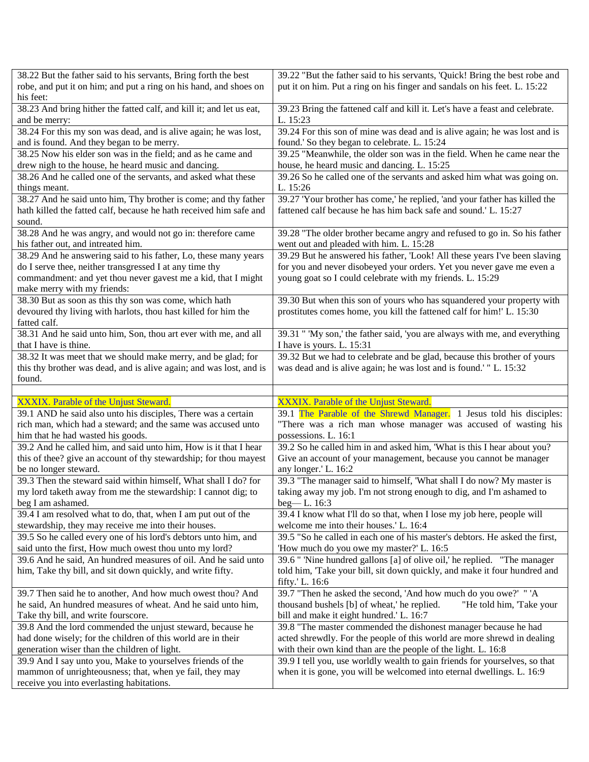| 38.22 But the father said to his servants, Bring forth the best                                      | 39.22 "But the father said to his servants, 'Quick! Bring the best robe and  |
|------------------------------------------------------------------------------------------------------|------------------------------------------------------------------------------|
| robe, and put it on him; and put a ring on his hand, and shoes on                                    | put it on him. Put a ring on his finger and sandals on his feet. L. 15:22    |
| his feet:                                                                                            |                                                                              |
| 38.23 And bring hither the fatted calf, and kill it; and let us eat,                                 | 39.23 Bring the fattened calf and kill it. Let's have a feast and celebrate. |
| and be merry:                                                                                        | L. 15:23                                                                     |
| 38.24 For this my son was dead, and is alive again; he was lost,                                     | 39.24 For this son of mine was dead and is alive again; he was lost and is   |
| and is found. And they began to be merry.                                                            | found.' So they began to celebrate. L. 15:24                                 |
| 38.25 Now his elder son was in the field; and as he came and                                         | 39.25 "Meanwhile, the older son was in the field. When he came near the      |
| drew nigh to the house, he heard music and dancing.                                                  | house, he heard music and dancing. L. 15:25                                  |
| 38.26 And he called one of the servants, and asked what these                                        | 39.26 So he called one of the servants and asked him what was going on.      |
| things meant.                                                                                        | L. 15:26                                                                     |
| 38.27 And he said unto him, Thy brother is come; and thy father                                      | 39.27 'Your brother has come,' he replied, 'and your father has killed the   |
| hath killed the fatted calf, because he hath received him safe and                                   | fattened calf because he has him back safe and sound.' L. 15:27              |
| sound.                                                                                               |                                                                              |
| 38.28 And he was angry, and would not go in: therefore came                                          | 39.28 "The older brother became angry and refused to go in. So his father    |
| his father out, and intreated him.                                                                   | went out and pleaded with him. L. 15:28                                      |
| 38.29 And he answering said to his father, Lo, these many years                                      | 39.29 But he answered his father, 'Look! All these years I've been slaving   |
| do I serve thee, neither transgressed I at any time thy                                              | for you and never disobeyed your orders. Yet you never gave me even a        |
| commandment: and yet thou never gavest me a kid, that I might                                        | young goat so I could celebrate with my friends. L. 15:29                    |
| make merry with my friends:                                                                          |                                                                              |
| 38.30 But as soon as this thy son was come, which hath                                               | 39.30 But when this son of yours who has squandered your property with       |
| devoured thy living with harlots, thou hast killed for him the                                       | prostitutes comes home, you kill the fattened calf for him!' L. 15:30        |
| fatted calf.                                                                                         |                                                                              |
| 38.31 And he said unto him, Son, thou art ever with me, and all                                      | 39.31 " My son,' the father said, 'you are always with me, and everything    |
| that I have is thine.                                                                                | I have is yours. L. 15:31                                                    |
| 38.32 It was meet that we should make merry, and be glad; for                                        | 39.32 But we had to celebrate and be glad, because this brother of yours     |
| this thy brother was dead, and is alive again; and was lost, and is                                  | was dead and is alive again; he was lost and is found.' "L. 15:32            |
| found.                                                                                               |                                                                              |
|                                                                                                      |                                                                              |
|                                                                                                      |                                                                              |
|                                                                                                      |                                                                              |
| XXXIX. Parable of the Unjust Steward.                                                                | XXXIX. Parable of the Unjust Steward.                                        |
| 39.1 AND he said also unto his disciples, There was a certain                                        | 39.1 The Parable of the Shrewd Manager. 1 Jesus told his disciples:          |
| rich man, which had a steward; and the same was accused unto                                         | "There was a rich man whose manager was accused of wasting his               |
| him that he had wasted his goods.                                                                    | possessions. L. 16:1                                                         |
| 39.2 And he called him, and said unto him, How is it that I hear                                     | 39.2 So he called him in and asked him, 'What is this I hear about you?      |
| this of thee? give an account of thy stewardship; for thou mayest                                    | Give an account of your management, because you cannot be manager            |
| be no longer steward.                                                                                | any longer.' L. 16:2                                                         |
| 39.3 Then the steward said within himself, What shall I do? for                                      | 39.3 "The manager said to himself, 'What shall I do now? My master is        |
| my lord taketh away from me the stewardship: I cannot dig; to                                        | taking away my job. I'm not strong enough to dig, and I'm ashamed to         |
| beg I am ashamed.                                                                                    | $beg - L. 16:3$                                                              |
| 39.4 I am resolved what to do, that, when I am put out of the                                        | 39.4 I know what I'll do so that, when I lose my job here, people will       |
| stewardship, they may receive me into their houses.                                                  | welcome me into their houses.' L. 16:4                                       |
| 39.5 So he called every one of his lord's debtors unto him, and                                      | 39.5 "So he called in each one of his master's debtors. He asked the first,  |
| said unto the first, How much owest thou unto my lord?                                               | 'How much do you owe my master?' L. 16:5                                     |
| 39.6 And he said, An hundred measures of oil. And he said unto                                       | 39.6 " 'Nine hundred gallons [a] of olive oil,' he replied. "The manager     |
| him, Take thy bill, and sit down quickly, and write fifty.                                           | told him, 'Take your bill, sit down quickly, and make it four hundred and    |
|                                                                                                      | fifty.' L. 16:6                                                              |
| 39.7 Then said he to another, And how much owest thou? And                                           | 39.7 "Then he asked the second, 'And how much do you owe?' " 'A              |
| he said, An hundred measures of wheat. And he said unto him,                                         | thousand bushels [b] of wheat,' he replied.<br>"He told him, 'Take your      |
| Take thy bill, and write fourscore.                                                                  | bill and make it eight hundred.' L. 16:7                                     |
| 39.8 And the lord commended the unjust steward, because he                                           | 39.8 "The master commended the dishonest manager because he had              |
| had done wisely; for the children of this world are in their                                         | acted shrewdly. For the people of this world are more shrewd in dealing      |
| generation wiser than the children of light.                                                         | with their own kind than are the people of the light. L. 16:8                |
| 39.9 And I say unto you, Make to yourselves friends of the                                           | 39.9 I tell you, use worldly wealth to gain friends for yourselves, so that  |
| mammon of unrighteousness; that, when ye fail, they may<br>receive you into everlasting habitations. | when it is gone, you will be welcomed into eternal dwellings. L. 16:9        |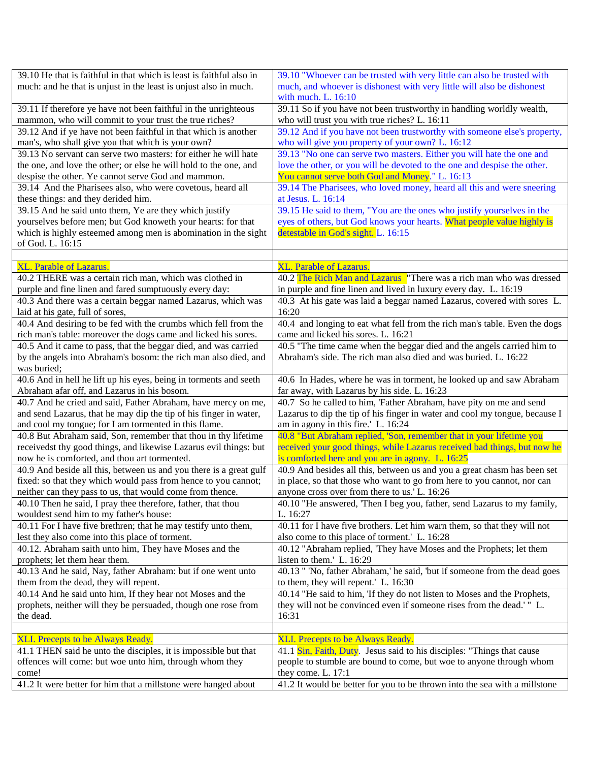| 39.10 He that is faithful in that which is least is faithful also in | 39.10 "Whoever can be trusted with very little can also be trusted with     |
|----------------------------------------------------------------------|-----------------------------------------------------------------------------|
| much: and he that is unjust in the least is unjust also in much.     | much, and whoever is dishonest with very little will also be dishonest      |
|                                                                      | with much. L. 16:10                                                         |
| 39.11 If therefore ye have not been faithful in the unrighteous      | 39.11 So if you have not been trustworthy in handling worldly wealth,       |
| mammon, who will commit to your trust the true riches?               | who will trust you with true riches? L. 16:11                               |
| 39.12 And if ye have not been faithful in that which is another      | 39.12 And if you have not been trustworthy with someone else's property,    |
| man's, who shall give you that which is your own?                    | who will give you property of your own? L. 16:12                            |
| 39.13 No servant can serve two masters: for either he will hate      | 39.13 "No one can serve two masters. Either you will hate the one and       |
| the one, and love the other; or else he will hold to the one, and    | love the other, or you will be devoted to the one and despise the other.    |
| despise the other. Ye cannot serve God and mammon.                   | You cannot serve both God and Money." L. 16:13                              |
| 39.14 And the Pharisees also, who were covetous, heard all           | 39.14 The Pharisees, who loved money, heard all this and were sneering      |
| these things: and they derided him.                                  | at Jesus. L. 16:14                                                          |
| 39.15 And he said unto them, Ye are they which justify               | 39.15 He said to them, "You are the ones who justify yourselves in the      |
| yourselves before men; but God knoweth your hearts: for that         | eyes of others, but God knows your hearts. What people value highly is      |
| which is highly esteemed among men is abomination in the sight       | detestable in God's sight. L. 16:15                                         |
| of God. L. 16:15                                                     |                                                                             |
| <b>XL. Parable of Lazarus.</b>                                       | <b>XL. Parable of Lazarus.</b>                                              |
| 40.2 THERE was a certain rich man, which was clothed in              | 40.2 The Rich Man and Lazarus "There was a rich man who was dressed         |
| purple and fine linen and fared sumptuously every day:               | in purple and fine linen and lived in luxury every day. L. 16:19            |
| 40.3 And there was a certain beggar named Lazarus, which was         | 40.3 At his gate was laid a beggar named Lazarus, covered with sores L.     |
| laid at his gate, full of sores,                                     | 16:20                                                                       |
| 40.4 And desiring to be fed with the crumbs which fell from the      | 40.4 and longing to eat what fell from the rich man's table. Even the dogs  |
| rich man's table: moreover the dogs came and licked his sores.       | came and licked his sores. L. 16:21                                         |
| 40.5 And it came to pass, that the beggar died, and was carried      | 40.5 "The time came when the beggar died and the angels carried him to      |
| by the angels into Abraham's bosom: the rich man also died, and      | Abraham's side. The rich man also died and was buried. L. 16:22             |
| was buried;                                                          |                                                                             |
| 40.6 And in hell he lift up his eyes, being in torments and seeth    | 40.6 In Hades, where he was in torment, he looked up and saw Abraham        |
| Abraham afar off, and Lazarus in his bosom.                          | far away, with Lazarus by his side. L. 16:23                                |
| 40.7 And he cried and said, Father Abraham, have mercy on me,        | 40.7 So he called to him, 'Father Abraham, have pity on me and send         |
| and send Lazarus, that he may dip the tip of his finger in water,    | Lazarus to dip the tip of his finger in water and cool my tongue, because I |
| and cool my tongue; for I am tormented in this flame.                | am in agony in this fire.' L. 16:24                                         |
| 40.8 But Abraham said, Son, remember that thou in thy lifetime       | 40.8 "But Abraham replied, 'Son, remember that in your lifetime you         |
| receivedst thy good things, and likewise Lazarus evil things: but    | received your good things, while Lazarus received bad things, but now he    |
| now he is comforted, and thou art tormented.                         | is comforted here and you are in agony. L. 16:25                            |
| 40.9 And beside all this, between us and you there is a great gulf   | 40.9 And besides all this, between us and you a great chasm has been set    |
| fixed: so that they which would pass from hence to you cannot;       | in place, so that those who want to go from here to you cannot, nor can     |
| neither can they pass to us, that would come from thence.            | anyone cross over from there to us.' L. 16:26                               |
| 40.10 Then he said, I pray thee therefore, father, that thou         | 40.10 "He answered, 'Then I beg you, father, send Lazarus to my family,     |
| wouldest send him to my father's house:                              | L. 16:27                                                                    |
| 40.11 For I have five brethren; that he may testify unto them,       | 40.11 for I have five brothers. Let him warn them, so that they will not    |
| lest they also come into this place of torment.                      | also come to this place of torment.' L. 16:28                               |
| 40.12. Abraham saith unto him, They have Moses and the               | 40.12 "Abraham replied, 'They have Moses and the Prophets; let them         |
| prophets; let them hear them.                                        | listen to them.' L. 16:29                                                   |
| 40.13 And he said, Nay, father Abraham: but if one went unto         | 40.13 " 'No, father Abraham,' he said, 'but if someone from the dead goes   |
| them from the dead, they will repent.                                | to them, they will repent.' L. 16:30                                        |
| 40.14 And he said unto him, If they hear not Moses and the           | 40.14 "He said to him, 'If they do not listen to Moses and the Prophets,    |
| prophets, neither will they be persuaded, though one rose from       | they will not be convinced even if someone rises from the dead.' " L.       |
| the dead.                                                            | 16:31                                                                       |
|                                                                      |                                                                             |
| XLI. Precepts to be Always Ready.                                    | XLI. Precepts to be Always Ready.                                           |
| 41.1 THEN said he unto the disciples, it is impossible but that      | 41.1 Sin, Faith, Duty. Jesus said to his disciples: "Things that cause      |
| offences will come: but woe unto him, through whom they              | people to stumble are bound to come, but woe to anyone through whom         |
| come!                                                                | they come. L. 17:1                                                          |
| 41.2 It were better for him that a millstone were hanged about       | 41.2 It would be better for you to be thrown into the sea with a millstone  |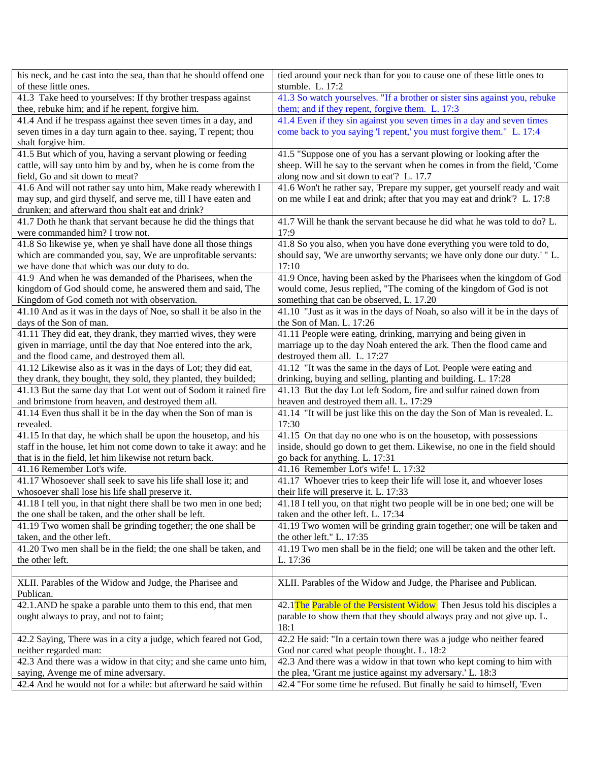| his neck, and he cast into the sea, than that he should offend one                                             | tied around your neck than for you to cause one of these little ones to                           |
|----------------------------------------------------------------------------------------------------------------|---------------------------------------------------------------------------------------------------|
| of these little ones.                                                                                          | stumble. L. 17:2                                                                                  |
| 41.3 Take heed to yourselves: If thy brother trespass against                                                  | 41.3 So watch yourselves. "If a brother or sister sins against you, rebuke                        |
| thee, rebuke him; and if he repent, forgive him.                                                               | them; and if they repent, forgive them. L. 17:3                                                   |
| 41.4 And if he trespass against thee seven times in a day, and                                                 | 41.4 Even if they sin against you seven times in a day and seven times                            |
| seven times in a day turn again to thee. saying, T repent; thou                                                | come back to you saying 'I repent,' you must forgive them." L. 17:4                               |
| shalt forgive him.                                                                                             |                                                                                                   |
| 41.5 But which of you, having a servant plowing or feeding                                                     | 41.5 "Suppose one of you has a servant plowing or looking after the                               |
| cattle, will say unto him by and by, when he is come from the                                                  | sheep. Will he say to the servant when he comes in from the field, 'Come                          |
| field, Go and sit down to meat?                                                                                | along now and sit down to eat'? L. 17.7                                                           |
| 41.6 And will not rather say unto him, Make ready wherewith I                                                  | 41.6 Won't he rather say, 'Prepare my supper, get yourself ready and wait                         |
| may sup, and gird thyself, and serve me, till I have eaten and                                                 | on me while I eat and drink; after that you may eat and drink'? L. 17:8                           |
| drunken; and afterward thou shalt eat and drink?                                                               |                                                                                                   |
| 41.7 Doth he thank that servant because he did the things that                                                 | 41.7 Will he thank the servant because he did what he was told to do? L.                          |
| were commanded him? I trow not.                                                                                | 17:9                                                                                              |
| 41.8 So likewise ye, when ye shall have done all those things                                                  | 41.8 So you also, when you have done everything you were told to do,                              |
| which are commanded you, say, We are unprofitable servants:                                                    | should say, 'We are unworthy servants; we have only done our duty.' "L.                           |
| we have done that which was our duty to do.                                                                    | 17:10                                                                                             |
| 41.9 And when he was demanded of the Pharisees, when the                                                       | 41.9 Once, having been asked by the Pharisees when the kingdom of God                             |
| kingdom of God should come, he answered them and said, The                                                     | would come, Jesus replied, "The coming of the kingdom of God is not                               |
| Kingdom of God cometh not with observation.                                                                    | something that can be observed, L. 17.20                                                          |
| 41.10 And as it was in the days of Noe, so shall it be also in the                                             | 41.10 "Just as it was in the days of Noah, so also will it be in the days of                      |
| days of the Son of man.                                                                                        | the Son of Man. L. 17:26                                                                          |
| 41.11 They did eat, they drank, they married wives, they were                                                  | 41.11 People were eating, drinking, marrying and being given in                                   |
| given in marriage, until the day that Noe entered into the ark,                                                | marriage up to the day Noah entered the ark. Then the flood came and                              |
| and the flood came, and destroyed them all.<br>41.12 Likewise also as it was in the days of Lot; they did eat, | destroyed them all. L. 17:27<br>41.12 "It was the same in the days of Lot. People were eating and |
| they drank, they bought, they sold, they planted, they builded;                                                | drinking, buying and selling, planting and building. L. 17:28                                     |
| 41.13 But the same day that Lot went out of Sodom it rained fire                                               | 41.13 But the day Lot left Sodom, fire and sulfur rained down from                                |
| and brimstone from heaven, and destroyed them all.                                                             | heaven and destroyed them all. L. 17:29                                                           |
| 41.14 Even thus shall it be in the day when the Son of man is                                                  | 41.14 "It will be just like this on the day the Son of Man is revealed. L.                        |
| revealed.                                                                                                      | 17:30                                                                                             |
| 41.15 In that day, he which shall be upon the housetop, and his                                                | 41.15 On that day no one who is on the housetop, with possessions                                 |
| staff in the house, let him not come down to take it away: and he                                              | inside, should go down to get them. Likewise, no one in the field should                          |
| that is in the field, let him likewise not return back.                                                        | go back for anything. L. 17:31                                                                    |
| 41.16 Remember Lot's wife.                                                                                     | 41.16 Remember Lot's wife! L. 17:32                                                               |
| 41.17 Whosoever shall seek to save his life shall lose it; and                                                 | 41.17 Whoever tries to keep their life will lose it, and whoever loses                            |
| whosoever shall lose his life shall preserve it.                                                               | their life will preserve it. L. 17:33                                                             |
| 41.18 I tell you, in that night there shall be two men in one bed;                                             | 41.18 I tell you, on that night two people will be in one bed; one will be                        |
| the one shall be taken, and the other shall be left.                                                           | taken and the other left. L. 17:34                                                                |
| 41.19 Two women shall be grinding together; the one shall be                                                   | 41.19 Two women will be grinding grain together; one will be taken and                            |
| taken, and the other left.                                                                                     | the other left." L. 17:35                                                                         |
| 41.20 Two men shall be in the field; the one shall be taken, and                                               | 41.19 Two men shall be in the field; one will be taken and the other left.                        |
| the other left.                                                                                                | L. 17:36                                                                                          |
|                                                                                                                |                                                                                                   |
| XLII. Parables of the Widow and Judge, the Pharisee and                                                        | XLII. Parables of the Widow and Judge, the Pharisee and Publican.                                 |
| Publican.                                                                                                      |                                                                                                   |
| 42.1.AND he spake a parable unto them to this end, that men                                                    | 42.1 The Parable of the Persistent Widow Then Jesus told his disciples a                          |
| ought always to pray, and not to faint;                                                                        | parable to show them that they should always pray and not give up. L.                             |
|                                                                                                                | 18:1                                                                                              |
| 42.2 Saying, There was in a city a judge, which feared not God,                                                | 42.2 He said: "In a certain town there was a judge who neither feared                             |
| neither regarded man:                                                                                          | God nor cared what people thought. L. 18:2                                                        |
| 42.3 And there was a widow in that city; and she came unto him,                                                | 42.3 And there was a widow in that town who kept coming to him with                               |
| saying, Avenge me of mine adversary.<br>42.4 And he would not for a while: but afterward he said within        | the plea, 'Grant me justice against my adversary.' L. 18:3                                        |
|                                                                                                                | 42.4 "For some time he refused. But finally he said to himself, 'Even                             |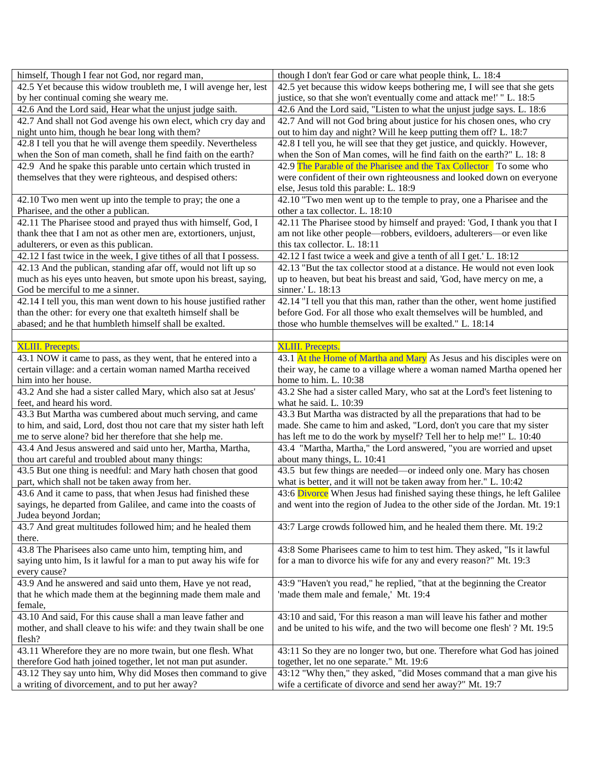| himself, Though I fear not God, nor regard man,                      | though I don't fear God or care what people think, L. 18:4                  |
|----------------------------------------------------------------------|-----------------------------------------------------------------------------|
| 42.5 Yet because this widow troubleth me, I will avenge her, lest    | 42.5 yet because this widow keeps bothering me, I will see that she gets    |
| by her continual coming she weary me.                                | justice, so that she won't eventually come and attack me!' " L. 18:5        |
| 42.6 And the Lord said, Hear what the unjust judge saith.            | 42.6 And the Lord said, "Listen to what the unjust judge says. L. 18:6      |
| 42.7 And shall not God avenge his own elect, which cry day and       | 42.7 And will not God bring about justice for his chosen ones, who cry      |
| night unto him, though he bear long with them?                       | out to him day and night? Will he keep putting them off? L. 18:7            |
| 42.8 I tell you that he will avenge them speedily. Nevertheless      | 42.8 I tell you, he will see that they get justice, and quickly. However,   |
| when the Son of man cometh, shall he find faith on the earth?        | when the Son of Man comes, will he find faith on the earth?" L. 18: 8       |
| 42.9 And he spake this parable unto certain which trusted in         | 42.9 The Parable of the Pharisee and the Tax Collector To some who          |
| themselves that they were righteous, and despised others:            | were confident of their own righteousness and looked down on everyone       |
|                                                                      | else, Jesus told this parable: L. 18:9                                      |
| 42.10 Two men went up into the temple to pray; the one a             | 42.10 "Two men went up to the temple to pray, one a Pharisee and the        |
| Pharisee, and the other a publican.                                  | other a tax collector. L. 18:10                                             |
| 42.11 The Pharisee stood and prayed thus with himself, God, I        | 42.11 The Pharisee stood by himself and prayed: 'God, I thank you that I    |
| thank thee that I am not as other men are, extortioners, unjust,     | am not like other people—robbers, evildoers, adulterers—or even like        |
| adulterers, or even as this publican.                                | this tax collector. L. 18:11                                                |
| 42.12 I fast twice in the week, I give tithes of all that I possess. | 42.12 I fast twice a week and give a tenth of all I get.' L. 18:12          |
| 42.13 And the publican, standing afar off, would not lift up so      | 42.13 "But the tax collector stood at a distance. He would not even look    |
| much as his eyes unto heaven, but smote upon his breast, saying,     | up to heaven, but beat his breast and said, 'God, have mercy on me, a       |
| God be merciful to me a sinner.                                      | sinner.' L. 18:13                                                           |
| 42.14 I tell you, this man went down to his house justified rather   | 42.14 "I tell you that this man, rather than the other, went home justified |
| than the other: for every one that exalteth himself shall be         | before God. For all those who exalt themselves will be humbled, and         |
| abased; and he that humbleth himself shall be exalted.               | those who humble themselves will be exalted." L. 18:14                      |
|                                                                      |                                                                             |
| <b>XLIII.</b> Precepts.                                              | <b>XLIII.</b> Precepts.                                                     |
| 43.1 NOW it came to pass, as they went, that he entered into a       | 43.1 At the Home of Martha and Mary As Jesus and his disciples were on      |
| certain village: and a certain woman named Martha received           | their way, he came to a village where a woman named Martha opened her       |
| him into her house.                                                  | home to him. L. 10:38                                                       |
| 43.2 And she had a sister called Mary, which also sat at Jesus'      | 43.2 She had a sister called Mary, who sat at the Lord's feet listening to  |
| feet, and heard his word.                                            | what he said. L. 10:39                                                      |
| 43.3 But Martha was cumbered about much serving, and came            | 43.3 But Martha was distracted by all the preparations that had to be       |
| to him, and said, Lord, dost thou not care that my sister hath left  | made. She came to him and asked, "Lord, don't you care that my sister       |
| me to serve alone? bid her therefore that she help me.               | has left me to do the work by myself? Tell her to help me!" L. 10:40        |
| 43.4 And Jesus answered and said unto her, Martha, Martha,           | 43.4 "Martha, Martha," the Lord answered, "you are worried and upset        |
| thou art careful and troubled about many things:                     | about many things, L. 10:41                                                 |
| 43.5 But one thing is needful: and Mary hath chosen that good        | 43.5 but few things are needed—or indeed only one. Mary has chosen          |
| part, which shall not be taken away from her.                        | what is better, and it will not be taken away from her." L. 10:42           |
| 43.6 And it came to pass, that when Jesus had finished these         | 43:6 Divorce When Jesus had finished saying these things, he left Galilee   |
| sayings, he departed from Galilee, and came into the coasts of       | and went into the region of Judea to the other side of the Jordan. Mt. 19:1 |
| Judea beyond Jordan;                                                 |                                                                             |
| 43.7 And great multitudes followed him; and he healed them           | 43:7 Large crowds followed him, and he healed them there. Mt. 19:2          |
| there.                                                               |                                                                             |
| 43.8 The Pharisees also came unto him, tempting him, and             | 43:8 Some Pharisees came to him to test him. They asked, "Is it lawful      |
| saying unto him, Is it lawful for a man to put away his wife for     | for a man to divorce his wife for any and every reason?" Mt. 19:3           |
| every cause?                                                         |                                                                             |
| 43.9 And he answered and said unto them, Have ye not read,           | 43:9 "Haven't you read," he replied, "that at the beginning the Creator     |
| that he which made them at the beginning made them male and          | 'made them male and female,' Mt. 19:4                                       |
| female,                                                              |                                                                             |
| 43.10 And said, For this cause shall a man leave father and          | 43:10 and said, 'For this reason a man will leave his father and mother     |
| mother, and shall cleave to his wife: and they twain shall be one    | and be united to his wife, and the two will become one flesh'? Mt. 19:5     |
| flesh?                                                               |                                                                             |
| 43.11 Wherefore they are no more twain, but one flesh. What          | 43:11 So they are no longer two, but one. Therefore what God has joined     |
| therefore God hath joined together, let not man put asunder.         | together, let no one separate." Mt. 19:6                                    |
| 43.12 They say unto him, Why did Moses then command to give          | 43:12 "Why then," they asked, "did Moses command that a man give his        |
| a writing of divorcement, and to put her away?                       | wife a certificate of divorce and send her away?" Mt. 19:7                  |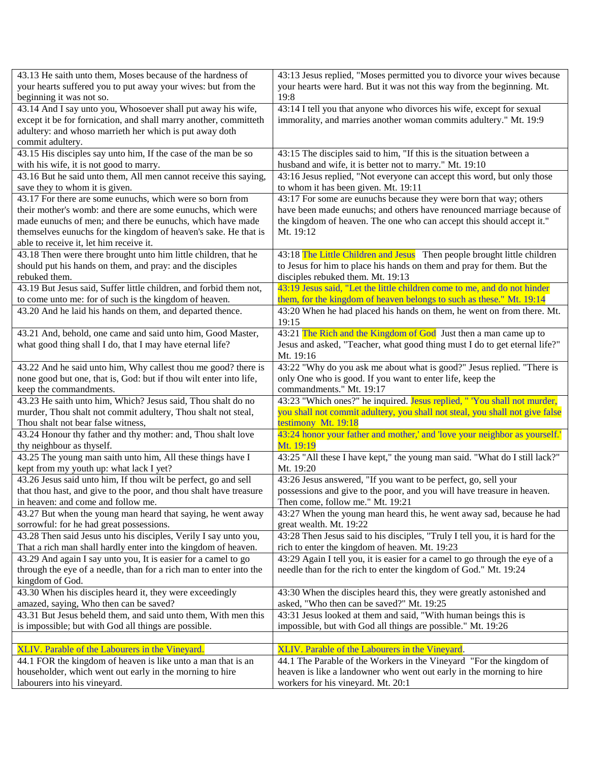| 43.13 He saith unto them, Moses because of the hardness of         | 43:13 Jesus replied, "Moses permitted you to divorce your wives because       |
|--------------------------------------------------------------------|-------------------------------------------------------------------------------|
| your hearts suffered you to put away your wives: but from the      | your hearts were hard. But it was not this way from the beginning. Mt.        |
| beginning it was not so.                                           | 19:8                                                                          |
| 43.14 And I say unto you, Whosoever shall put away his wife,       | 43:14 I tell you that anyone who divorces his wife, except for sexual         |
| except it be for fornication, and shall marry another, committeth  | immorality, and marries another woman commits adultery." Mt. 19:9             |
| adultery: and whoso marrieth her which is put away doth            |                                                                               |
| commit adultery.                                                   |                                                                               |
| 43.15 His disciples say unto him, If the case of the man be so     | 43:15 The disciples said to him, "If this is the situation between a          |
| with his wife, it is not good to marry.                            | husband and wife, it is better not to marry." Mt. 19:10                       |
| 43.16 But he said unto them, All men cannot receive this saying,   | 43:16 Jesus replied, "Not everyone can accept this word, but only those       |
| save they to whom it is given.                                     | to whom it has been given. Mt. 19:11                                          |
| 43.17 For there are some eunuchs, which were so born from          | 43:17 For some are eunuchs because they were born that way; others            |
| their mother's womb: and there are some eunuchs, which were        | have been made eunuchs; and others have renounced marriage because of         |
| made eunuchs of men; and there be eunuchs, which have made         | the kingdom of heaven. The one who can accept this should accept it."         |
| themselves eunuchs for the kingdom of heaven's sake. He that is    | Mt. 19:12                                                                     |
| able to receive it, let him receive it.                            |                                                                               |
| 43.18 Then were there brought unto him little children, that he    | 43:18 The Little Children and Jesus Then people brought little children       |
| should put his hands on them, and pray: and the disciples          | to Jesus for him to place his hands on them and pray for them. But the        |
| rebuked them.                                                      | disciples rebuked them. Mt. 19:13                                             |
| 43.19 But Jesus said, Suffer little children, and forbid them not, | 43:19 Jesus said, "Let the little children come to me, and do not hinder      |
| to come unto me: for of such is the kingdom of heaven.             | them, for the kingdom of heaven belongs to such as these." Mt. 19:14          |
| 43.20 And he laid his hands on them, and departed thence.          | 43:20 When he had placed his hands on them, he went on from there. Mt.        |
|                                                                    | 19:15                                                                         |
| 43.21 And, behold, one came and said unto him, Good Master,        | 43:21 The Rich and the Kingdom of God Just then a man came up to              |
| what good thing shall I do, that I may have eternal life?          | Jesus and asked, "Teacher, what good thing must I do to get eternal life?"    |
|                                                                    | Mt. 19:16                                                                     |
| 43.22 And he said unto him, Why callest thou me good? there is     | 43:22 "Why do you ask me about what is good?" Jesus replied. "There is        |
| none good but one, that is, God: but if thou wilt enter into life, | only One who is good. If you want to enter life, keep the                     |
| keep the commandments.                                             | commandments." Mt. 19:17                                                      |
| 43.23 He saith unto him, Which? Jesus said, Thou shalt do no       | 43:23 "Which ones?" he inquired. Jesus replied, " 'You shall not murder,      |
| murder, Thou shalt not commit adultery, Thou shalt not steal,      | you shall not commit adultery, you shall not steal, you shall not give false  |
| Thou shalt not bear false witness,                                 | testimony Mt. 19:18                                                           |
| 43.24 Honour thy father and thy mother: and, Thou shalt love       | 43:24 honor your father and mother,' and 'love your neighbor as yourself.'    |
| thy neighbour as thyself.                                          | Mt. 19:19                                                                     |
| 43.25 The young man saith unto him, All these things have I        | 43:25 "All these I have kept," the young man said. "What do I still lack?"    |
| kept from my youth up: what lack I yet?                            | Mt. 19:20                                                                     |
| 43.26 Jesus said unto him, If thou wilt be perfect, go and sell    | 43:26 Jesus answered, "If you want to be perfect, go, sell your               |
| that thou hast, and give to the poor, and thou shalt have treasure | possessions and give to the poor, and you will have treasure in heaven.       |
| in heaven: and come and follow me.                                 | Then come, follow me." Mt. 19:21                                              |
| 43.27 But when the young man heard that saying, he went away       | 43:27 When the young man heard this, he went away sad, because he had         |
| sorrowful: for he had great possessions.                           | great wealth. Mt. 19:22                                                       |
| 43.28 Then said Jesus unto his disciples, Verily I say unto you,   | 43:28 Then Jesus said to his disciples, "Truly I tell you, it is hard for the |
| That a rich man shall hardly enter into the kingdom of heaven.     | rich to enter the kingdom of heaven. Mt. 19:23                                |
| 43.29 And again I say unto you, It is easier for a camel to go     | 43:29 Again I tell you, it is easier for a camel to go through the eye of a   |
| through the eye of a needle, than for a rich man to enter into the | needle than for the rich to enter the kingdom of God." Mt. 19:24              |
| kingdom of God.                                                    |                                                                               |
| 43.30 When his disciples heard it, they were exceedingly           | 43:30 When the disciples heard this, they were greatly astonished and         |
| amazed, saying, Who then can be saved?                             | asked, "Who then can be saved?" Mt. 19:25                                     |
| 43.31 But Jesus beheld them, and said unto them, With men this     | 43:31 Jesus looked at them and said, "With human beings this is               |
| is impossible; but with God all things are possible.               | impossible, but with God all things are possible." Mt. 19:26                  |
|                                                                    |                                                                               |
| XLIV. Parable of the Labourers in the Vineyard.                    | XLIV. Parable of the Labourers in the Vineyard.                               |
| 44.1 FOR the kingdom of heaven is like unto a man that is an       | 44.1 The Parable of the Workers in the Vineyard "For the kingdom of           |
| householder, which went out early in the morning to hire           | heaven is like a landowner who went out early in the morning to hire          |
| labourers into his vineyard.                                       | workers for his vineyard. Mt. 20:1                                            |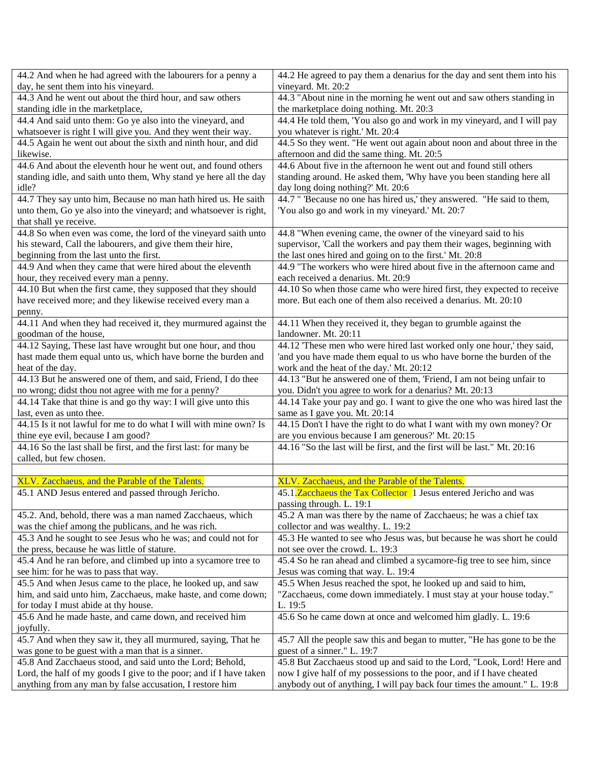| 44.2 And when he had agreed with the labourers for a penny a       | 44.2 He agreed to pay them a denarius for the day and sent them into his  |
|--------------------------------------------------------------------|---------------------------------------------------------------------------|
| day, he sent them into his vineyard.                               | vineyard. Mt. 20:2                                                        |
| 44.3 And he went out about the third hour, and saw others          | 44.3 "About nine in the morning he went out and saw others standing in    |
| standing idle in the marketplace,                                  | the marketplace doing nothing. Mt. 20:3                                   |
| 44.4 And said unto them: Go ye also into the vineyard, and         | 44.4 He told them, 'You also go and work in my vineyard, and I will pay   |
| whatsoever is right I will give you. And they went their way.      | you whatever is right.' Mt. 20:4                                          |
| 44.5 Again he went out about the sixth and ninth hour, and did     | 44.5 So they went. "He went out again about noon and about three in the   |
| likewise.                                                          | afternoon and did the same thing. Mt. 20:5                                |
| 44.6 And about the eleventh hour he went out, and found others     | 44.6 About five in the afternoon he went out and found still others       |
| standing idle, and saith unto them, Why stand ye here all the day  | standing around. He asked them, 'Why have you been standing here all      |
| idle?                                                              | day long doing nothing?' Mt. 20:6                                         |
| 44.7 They say unto him, Because no man hath hired us. He saith     | 44.7 " 'Because no one has hired us,' they answered. "He said to them,    |
| unto them, Go ye also into the vineyard; and whatsoever is right,  | 'You also go and work in my vineyard.' Mt. 20:7                           |
| that shall ye receive.                                             |                                                                           |
| 44.8 So when even was come, the lord of the vineyard saith unto    | 44.8 "When evening came, the owner of the vineyard said to his            |
| his steward, Call the labourers, and give them their hire,         | supervisor, 'Call the workers and pay them their wages, beginning with    |
| beginning from the last unto the first.                            | the last ones hired and going on to the first.' Mt. 20:8                  |
| 44.9 And when they came that were hired about the eleventh         | 44.9 "The workers who were hired about five in the afternoon came and     |
| hour, they received every man a penny.                             | each received a denarius. Mt. 20:9                                        |
| 44.10 But when the first came, they supposed that they should      | 44.10 So when those came who were hired first, they expected to receive   |
| have received more; and they likewise received every man a         | more. But each one of them also received a denarius. Mt. 20:10            |
| penny.                                                             |                                                                           |
| 44.11 And when they had received it, they murmured against the     | 44.11 When they received it, they began to grumble against the            |
| goodman of the house,                                              | landowner. Mt. 20:11                                                      |
| 44.12 Saying, These last have wrought but one hour, and thou       | 44.12 These men who were hired last worked only one hour,' they said,     |
| hast made them equal unto us, which have borne the burden and      | 'and you have made them equal to us who have borne the burden of the      |
| heat of the day.                                                   | work and the heat of the day.' Mt. 20:12                                  |
| 44.13 But he answered one of them, and said, Friend, I do thee     | 44.13 "But he answered one of them, 'Friend, I am not being unfair to     |
| no wrong; didst thou not agree with me for a penny?                | you. Didn't you agree to work for a denarius? Mt. 20:13                   |
| 44.14 Take that thine is and go thy way: I will give unto this     | 44.14 Take your pay and go. I want to give the one who was hired last the |
| last, even as unto thee.                                           | same as I gave you. Mt. 20:14                                             |
| 44.15 Is it not lawful for me to do what I will with mine own? Is  | 44.15 Don't I have the right to do what I want with my own money? Or      |
| thine eye evil, because I am good?                                 | are you envious because I am generous?' Mt. 20:15                         |
| 44.16 So the last shall be first, and the first last: for many be  | 44.16 "So the last will be first, and the first will be last." Mt. 20:16  |
| called, but few chosen.                                            |                                                                           |
|                                                                    |                                                                           |
| XLV. Zacchaeus, and the Parable of the Talents.                    | XLV. Zacchaeus, and the Parable of the Talents.                           |
| 45.1 AND Jesus entered and passed through Jericho.                 | 45.1. Zacchaeus the Tax Collector 1 Jesus entered Jericho and was         |
|                                                                    | passing through. L. 19:1                                                  |
| 45.2. And, behold, there was a man named Zacchaeus, which          | 45.2 A man was there by the name of Zacchaeus; he was a chief tax         |
| was the chief among the publicans, and he was rich.                | collector and was wealthy. L. 19:2                                        |
| 45.3 And he sought to see Jesus who he was; and could not for      | 45.3 He wanted to see who Jesus was, but because he was short he could    |
| the press, because he was little of stature.                       | not see over the crowd. L. 19:3                                           |
| 45.4 And he ran before, and climbed up into a sycamore tree to     | 45.4 So he ran ahead and climbed a sycamore-fig tree to see him, since    |
| see him: for he was to pass that way.                              | Jesus was coming that way. L. 19:4                                        |
| 45.5 And when Jesus came to the place, he looked up, and saw       | 45.5 When Jesus reached the spot, he looked up and said to him,           |
| him, and said unto him, Zacchaeus, make haste, and come down;      | "Zacchaeus, come down immediately. I must stay at your house today."      |
| for today I must abide at thy house.                               | L. 19:5                                                                   |
| 45.6 And he made haste, and came down, and received him            | 45.6 So he came down at once and welcomed him gladly. L. 19:6             |
| joyfully.                                                          |                                                                           |
| 45.7 And when they saw it, they all murmured, saying, That he      | 45.7 All the people saw this and began to mutter, "He has gone to be the  |
| was gone to be guest with a man that is a sinner.                  | guest of a sinner." L. 19:7                                               |
| 45.8 And Zacchaeus stood, and said unto the Lord; Behold,          | 45.8 But Zacchaeus stood up and said to the Lord, "Look, Lord! Here and   |
| Lord, the half of my goods I give to the poor; and if I have taken | now I give half of my possessions to the poor, and if I have cheated      |
| anything from any man by false accusation, I restore him           | anybody out of anything, I will pay back four times the amount." L. 19:8  |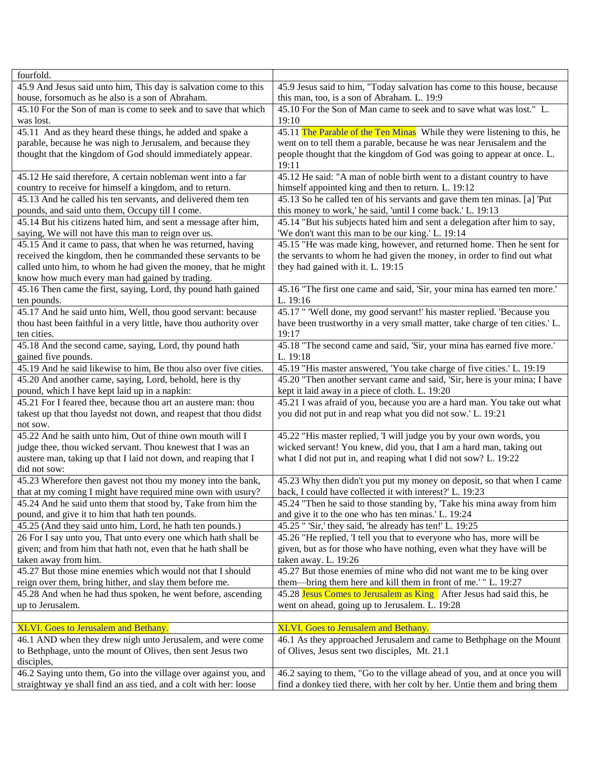| fourfold.                                                          |                                                                              |
|--------------------------------------------------------------------|------------------------------------------------------------------------------|
| 45.9 And Jesus said unto him, This day is salvation come to this   | 45.9 Jesus said to him, "Today salvation has come to this house, because     |
| house, forsomuch as he also is a son of Abraham.                   | this man, too, is a son of Abraham. L. 19:9                                  |
| 45.10 For the Son of man is come to seek and to save that which    | 45.10 For the Son of Man came to seek and to save what was lost." L.         |
| was lost.                                                          | 19:10                                                                        |
| 45.11 And as they heard these things, he added and spake a         | 45.11 The Parable of the Ten Minas While they were listening to this, he     |
| parable, because he was nigh to Jerusalem, and because they        | went on to tell them a parable, because he was near Jerusalem and the        |
| thought that the kingdom of God should immediately appear.         | people thought that the kingdom of God was going to appear at once. L.       |
|                                                                    | 19:11                                                                        |
| 45.12 He said therefore, A certain nobleman went into a far        | 45.12 He said: "A man of noble birth went to a distant country to have       |
|                                                                    |                                                                              |
| country to receive for himself a kingdom, and to return.           | himself appointed king and then to return. L. 19:12                          |
| 45.13 And he called his ten servants, and delivered them ten       | 45.13 So he called ten of his servants and gave them ten minas. [a] 'Put     |
| pounds, and said unto them, Occupy till I come.                    | this money to work,' he said, 'until I come back.' L. 19:13                  |
| 45.14 But his citizens hated him, and sent a message after him,    | 45.14 "But his subjects hated him and sent a delegation after him to say,    |
| saying, We will not have this man to reign over us.                | 'We don't want this man to be our king.' L. 19:14                            |
| 45.15 And it came to pass, that when he was returned, having       | 45.15 "He was made king, however, and returned home. Then he sent for        |
| received the kingdom, then he commanded these servants to be       | the servants to whom he had given the money, in order to find out what       |
| called unto him, to whom he had given the money, that he might     | they had gained with it. L. 19:15                                            |
| know how much every man had gained by trading.                     |                                                                              |
| 45.16 Then came the first, saying, Lord, thy pound hath gained     | 45.16 "The first one came and said, 'Sir, your mina has earned ten more.'    |
| ten pounds.                                                        | L. 19:16                                                                     |
| 45.17 And he said unto him, Well, thou good servant: because       | 45.17 " 'Well done, my good servant!' his master replied. 'Because you       |
| thou hast been faithful in a very little, have thou authority over | have been trustworthy in a very small matter, take charge of ten cities.' L. |
| ten cities.                                                        | 19:17                                                                        |
| 45.18 And the second came, saying, Lord, thy pound hath            | 45.18 "The second came and said, 'Sir, your mina has earned five more.'      |
| gained five pounds.                                                | L. 19:18                                                                     |
| 45.19 And he said likewise to him, Be thou also over five cities.  | 45.19 "His master answered, 'You take charge of five cities.' L. 19:19       |
| 45.20 And another came, saying, Lord, behold, here is thy          | 45.20 "Then another servant came and said, 'Sir, here is your mina; I have   |
| pound, which I have kept laid up in a napkin:                      | kept it laid away in a piece of cloth. L. 19:20                              |
| 45.21 For I feared thee, because thou art an austere man: thou     |                                                                              |
|                                                                    | 45.21 I was afraid of you, because you are a hard man. You take out what     |
| takest up that thou layedst not down, and reapest that thou didst  | you did not put in and reap what you did not sow.' L. 19:21                  |
| not sow.                                                           |                                                                              |
| 45.22 And he saith unto him, Out of thine own mouth will I         | 45.22 "His master replied, 'I will judge you by your own words, you          |
| judge thee, thou wicked servant. Thou knewest that I was an        | wicked servant! You knew, did you, that I am a hard man, taking out          |
| austere man, taking up that I laid not down, and reaping that I    | what I did not put in, and reaping what I did not sow? L. 19:22              |
| did not sow:                                                       |                                                                              |
| 45.23 Wherefore then gavest not thou my money into the bank,       | 45.23 Why then didn't you put my money on deposit, so that when I came       |
| that at my coming I might have required mine own with usury?       | back, I could have collected it with interest?' L. 19:23                     |
| 45.24 And he said unto them that stood by, Take from him the       | 45.24 "Then he said to those standing by, 'Take his mina away from him       |
| pound, and give it to him that hath ten pounds.                    | and give it to the one who has ten minas.' L. 19:24                          |
| 45.25 (And they said unto him, Lord, he hath ten pounds.)          | 45.25 " 'Sir,' they said, 'he already has ten!' L. 19:25                     |
| 26 For I say unto you, That unto every one which hath shall be     | 45.26 "He replied, 'I tell you that to everyone who has, more will be        |
| given; and from him that hath not, even that he hath shall be      | given, but as for those who have nothing, even what they have will be        |
| taken away from him.                                               | taken away. L. 19:26                                                         |
| 45.27 But those mine enemies which would not that I should         | 45.27 But those enemies of mine who did not want me to be king over          |
| reign over them, bring hither, and slay them before me.            | them—bring them here and kill them in front of me.'" L. 19:27                |
| 45.28 And when he had thus spoken, he went before, ascending       | 45.28 Jesus Comes to Jerusalem as King After Jesus had said this, he         |
| up to Jerusalem.                                                   | went on ahead, going up to Jerusalem. L. 19:28                               |
|                                                                    |                                                                              |
| XLVI. Goes to Jerusalem and Bethany.                               | XLVI. Goes to Jerusalem and Bethany.                                         |
| 46.1 AND when they drew nigh unto Jerusalem, and were come         | 46.1 As they approached Jerusalem and came to Bethphage on the Mount         |
| to Bethphage, unto the mount of Olives, then sent Jesus two        | of Olives, Jesus sent two disciples, Mt. 21.1                                |
|                                                                    |                                                                              |
| disciples,                                                         |                                                                              |
| 46.2 Saying unto them, Go into the village over against you, and   | 46.2 saying to them, "Go to the village ahead of you, and at once you will   |
| straightway ye shall find an ass tied, and a colt with her: loose  | find a donkey tied there, with her colt by her. Untie them and bring them    |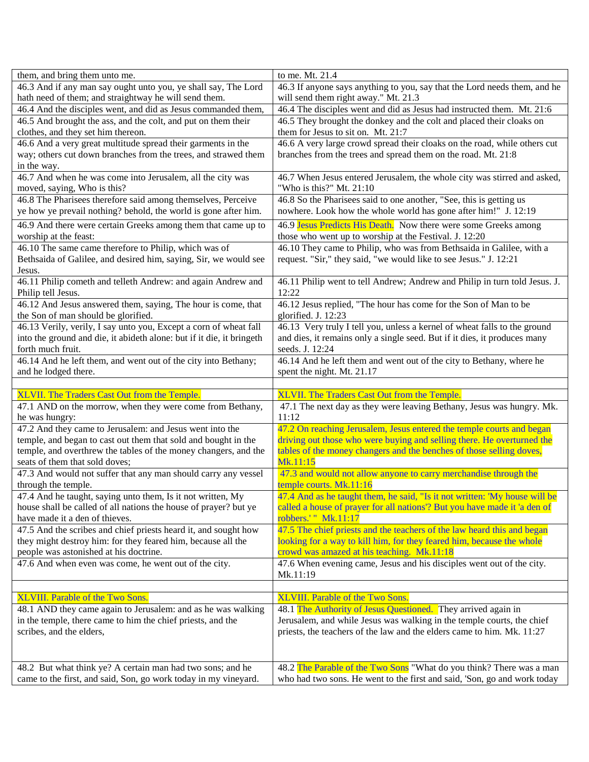| them, and bring them unto me.                                         | to me. Mt. 21.4                                                            |
|-----------------------------------------------------------------------|----------------------------------------------------------------------------|
| 46.3 And if any man say ought unto you, ye shall say, The Lord        | 46.3 If anyone says anything to you, say that the Lord needs them, and he  |
| hath need of them; and straightway he will send them.                 | will send them right away." Mt. 21.3                                       |
| 46.4 And the disciples went, and did as Jesus commanded them,         | 46.4 The disciples went and did as Jesus had instructed them. Mt. 21:6     |
| 46.5 And brought the ass, and the colt, and put on them their         | 46.5 They brought the donkey and the colt and placed their cloaks on       |
| clothes, and they set him thereon.                                    | them for Jesus to sit on. Mt. 21:7                                         |
| 46.6 And a very great multitude spread their garments in the          | 46.6 A very large crowd spread their cloaks on the road, while others cut  |
| way; others cut down branches from the trees, and strawed them        | branches from the trees and spread them on the road. Mt. 21:8              |
| in the way.                                                           |                                                                            |
| 46.7 And when he was come into Jerusalem, all the city was            | 46.7 When Jesus entered Jerusalem, the whole city was stirred and asked,   |
| moved, saying, Who is this?                                           | "Who is this?" Mt. 21:10                                                   |
| 46.8 The Pharisees therefore said among themselves, Perceive          | 46.8 So the Pharisees said to one another, "See, this is getting us        |
| ye how ye prevail nothing? behold, the world is gone after him.       | nowhere. Look how the whole world has gone after him!" J. 12:19            |
| 46.9 And there were certain Greeks among them that came up to         | 46.9 Jesus Predicts His Death. Now there were some Greeks among            |
|                                                                       |                                                                            |
| worship at the feast:                                                 | those who went up to worship at the Festival. J. 12:20                     |
| 46.10 The same came therefore to Philip, which was of                 | 46.10 They came to Philip, who was from Bethsaida in Galilee, with a       |
| Bethsaida of Galilee, and desired him, saying, Sir, we would see      | request. "Sir," they said, "we would like to see Jesus." J. 12:21          |
| Jesus.                                                                |                                                                            |
| 46.11 Philip cometh and telleth Andrew: and again Andrew and          | 46.11 Philip went to tell Andrew; Andrew and Philip in turn told Jesus. J. |
| Philip tell Jesus.                                                    | 12:22                                                                      |
| 46.12 And Jesus answered them, saying, The hour is come, that         | 46.12 Jesus replied, "The hour has come for the Son of Man to be           |
| the Son of man should be glorified.                                   | glorified. J. 12:23                                                        |
| 46.13 Verily, verily, I say unto you, Except a corn of wheat fall     | 46.13 Very truly I tell you, unless a kernel of wheat falls to the ground  |
| into the ground and die, it abideth alone: but if it die, it bringeth | and dies, it remains only a single seed. But if it dies, it produces many  |
| forth much fruit.                                                     | seeds. J. 12:24                                                            |
| 46.14 And he left them, and went out of the city into Bethany;        | 46.14 And he left them and went out of the city to Bethany, where he       |
| and he lodged there.                                                  | spent the night. Mt. 21.17                                                 |
|                                                                       |                                                                            |
|                                                                       |                                                                            |
| XLVII. The Traders Cast Out from the Temple.                          | XLVII. The Traders Cast Out from the Temple.                               |
| 47.1 AND on the morrow, when they were come from Bethany,             | 47.1 The next day as they were leaving Bethany, Jesus was hungry. Mk.      |
| he was hungry:                                                        | 11:12                                                                      |
| 47.2 And they came to Jerusalem: and Jesus went into the              | 47.2 On reaching Jerusalem, Jesus entered the temple courts and began      |
| temple, and began to cast out them that sold and bought in the        | driving out those who were buying and selling there. He overturned the     |
| temple, and overthrew the tables of the money changers, and the       | tables of the money changers and the benches of those selling doves,       |
| seats of them that sold doves;                                        | Mk.11:15                                                                   |
| 47.3 And would not suffer that any man should carry any vessel        | 47.3 and would not allow anyone to carry merchandise through the           |
| through the temple.                                                   | temple courts. Mk.11:16                                                    |
| 47.4 And he taught, saying unto them, Is it not written, My           | 47.4 And as he taught them, he said, "Is it not written: 'My house will be |
| house shall be called of all nations the house of prayer? but ye      | called a house of prayer for all nations"? But you have made it 'a den of  |
| have made it a den of thieves.                                        | robbers.' " Mk.11:17                                                       |
| 47.5 And the scribes and chief priests heard it, and sought how       | 47.5 The chief priests and the teachers of the law heard this and began    |
| they might destroy him: for they feared him, because all the          | looking for a way to kill him, for they feared him, because the whole      |
| people was astonished at his doctrine.                                | crowd was amazed at his teaching. Mk.11:18                                 |
| 47.6 And when even was come, he went out of the city.                 | 47.6 When evening came, Jesus and his disciples went out of the city.      |
|                                                                       | Mk.11:19                                                                   |
|                                                                       |                                                                            |
| <b>XLVIII.</b> Parable of the Two Sons.                               | XLVIII. Parable of the Two Sons.                                           |
| 48.1 AND they came again to Jerusalem: and as he was walking          | 48.1 The Authority of Jesus Questioned. They arrived again in              |
| in the temple, there came to him the chief priests, and the           | Jerusalem, and while Jesus was walking in the temple courts, the chief     |
| scribes, and the elders,                                              | priests, the teachers of the law and the elders came to him. Mk. 11:27     |
|                                                                       |                                                                            |
|                                                                       |                                                                            |
| 48.2 But what think ye? A certain man had two sons; and he            | 48.2 The Parable of the Two Sons "What do you think? There was a man       |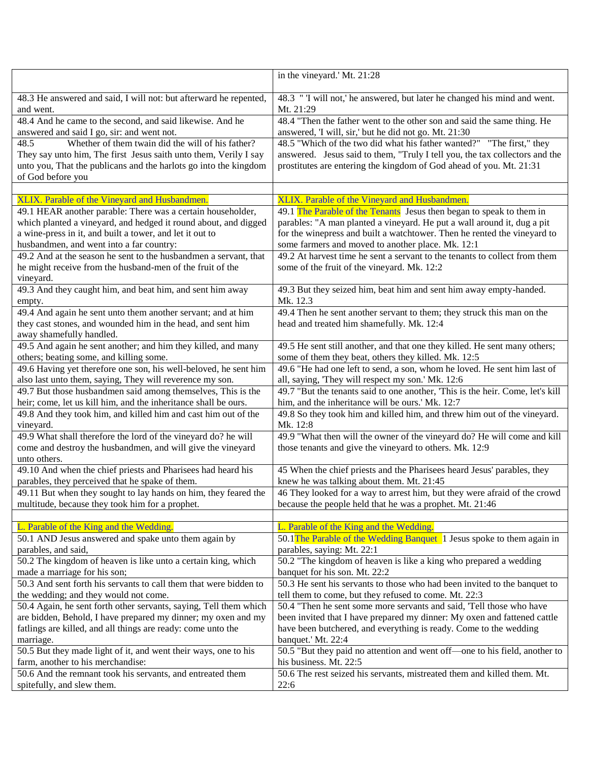|                                                                   | in the vineyard.' Mt. 21:28                                                                                                           |
|-------------------------------------------------------------------|---------------------------------------------------------------------------------------------------------------------------------------|
| 48.3 He answered and said, I will not: but afterward he repented, | 48.3 " I will not,' he answered, but later he changed his mind and went.                                                              |
| and went.                                                         | Mt. 21:29                                                                                                                             |
| 48.4 And he came to the second, and said likewise. And he         | 48.4 "Then the father went to the other son and said the same thing. He                                                               |
| answered and said I go, sir: and went not.                        | answered, 'I will, sir,' but he did not go. Mt. 21:30                                                                                 |
| Whether of them twain did the will of his father?<br>48.5         | 48.5 "Which of the two did what his father wanted?" "The first," they                                                                 |
| They say unto him, The first Jesus saith unto them, Verily I say  | answered. Jesus said to them, "Truly I tell you, the tax collectors and the                                                           |
| unto you, That the publicans and the harlots go into the kingdom  | prostitutes are entering the kingdom of God ahead of you. Mt. 21:31                                                                   |
| of God before you                                                 |                                                                                                                                       |
|                                                                   |                                                                                                                                       |
| XLIX. Parable of the Vineyard and Husbandmen.                     | XLIX. Parable of the Vineyard and Husbandmen.                                                                                         |
| 49.1 HEAR another parable: There was a certain householder,       | 49.1 The Parable of the Tenants Jesus then began to speak to them in                                                                  |
| which planted a vineyard, and hedged it round about, and digged   | parables: "A man planted a vineyard. He put a wall around it, dug a pit                                                               |
| a wine-press in it, and built a tower, and let it out to          | for the winepress and built a watchtower. Then he rented the vineyard to                                                              |
| husbandmen, and went into a far country:                          | some farmers and moved to another place. Mk. 12:1                                                                                     |
| 49.2 And at the season he sent to the husbandmen a servant, that  | 49.2 At harvest time he sent a servant to the tenants to collect from them                                                            |
| he might receive from the husband-men of the fruit of the         | some of the fruit of the vineyard. Mk. 12:2                                                                                           |
| vineyard.                                                         |                                                                                                                                       |
| 49.3 And they caught him, and beat him, and sent him away         | 49.3 But they seized him, beat him and sent him away empty-handed.                                                                    |
| empty.                                                            | Mk. 12.3                                                                                                                              |
| 49.4 And again he sent unto them another servant; and at him      | 49.4 Then he sent another servant to them; they struck this man on the                                                                |
| they cast stones, and wounded him in the head, and sent him       | head and treated him shamefully. Mk. 12:4                                                                                             |
| away shamefully handled.                                          |                                                                                                                                       |
| 49.5 And again he sent another; and him they killed, and many     | 49.5 He sent still another, and that one they killed. He sent many others;                                                            |
| others; beating some, and killing some.                           | some of them they beat, others they killed. Mk. 12:5                                                                                  |
| 49.6 Having yet therefore one son, his well-beloved, he sent him  | 49.6 "He had one left to send, a son, whom he loved. He sent him last of                                                              |
| also last unto them, saying, They will reverence my son.          | all, saying, 'They will respect my son.' Mk. 12:6                                                                                     |
| 49.7 But those husbandmen said among themselves, This is the      | 49.7 "But the tenants said to one another, This is the heir. Come, let's kill                                                         |
| heir; come, let us kill him, and the inheritance shall be ours.   | him, and the inheritance will be ours.' Mk. 12:7                                                                                      |
| 49.8 And they took him, and killed him and cast him out of the    | 49.8 So they took him and killed him, and threw him out of the vineyard.                                                              |
| vineyard.                                                         | Mk. 12:8                                                                                                                              |
| 49.9 What shall therefore the lord of the vineyard do? he will    | 49.9 "What then will the owner of the vineyard do? He will come and kill                                                              |
| come and destroy the husbandmen, and will give the vineyard       | those tenants and give the vineyard to others. Mk. 12:9                                                                               |
| unto others.                                                      |                                                                                                                                       |
| 49.10 And when the chief priests and Pharisees had heard his      | 45 When the chief priests and the Pharisees heard Jesus' parables, they                                                               |
| parables, they perceived that he spake of them.                   | knew he was talking about them. Mt. 21:45                                                                                             |
| 49.11 But when they sought to lay hands on him, they feared the   | 46 They looked for a way to arrest him, but they were afraid of the crowd<br>because the people held that he was a prophet. Mt. 21:46 |
| multitude, because they took him for a prophet.                   |                                                                                                                                       |
| L. Parable of the King and the Wedding.                           | L. Parable of the King and the Wedding.                                                                                               |
| 50.1 AND Jesus answered and spake unto them again by              | 50.1 The Parable of the Wedding Banquet 1 Jesus spoke to them again in                                                                |
| parables, and said,                                               | parables, saying: Mt. 22:1                                                                                                            |
| 50.2 The kingdom of heaven is like unto a certain king, which     | 50.2 "The kingdom of heaven is like a king who prepared a wedding                                                                     |
| made a marriage for his son;                                      | banquet for his son. Mt. 22:2                                                                                                         |
| 50.3 And sent forth his servants to call them that were bidden to | 50.3 He sent his servants to those who had been invited to the banquet to                                                             |
| the wedding; and they would not come.                             | tell them to come, but they refused to come. Mt. 22:3                                                                                 |
| 50.4 Again, he sent forth other servants, saying, Tell them which | 50.4 "Then he sent some more servants and said, 'Tell those who have                                                                  |
| are bidden, Behold, I have prepared my dinner; my oxen and my     | been invited that I have prepared my dinner: My oxen and fattened cattle                                                              |
| fatlings are killed, and all things are ready: come unto the      | have been butchered, and everything is ready. Come to the wedding                                                                     |
| marriage.                                                         | banquet.' Mt. 22:4                                                                                                                    |
| 50.5 But they made light of it, and went their ways, one to his   | 50.5 "But they paid no attention and went off-one to his field, another to                                                            |
| farm, another to his merchandise:                                 | his business. Mt. 22:5                                                                                                                |
| 50.6 And the remnant took his servants, and entreated them        | 50.6 The rest seized his servants, mistreated them and killed them. Mt.                                                               |
| spitefully, and slew them.                                        | 22:6                                                                                                                                  |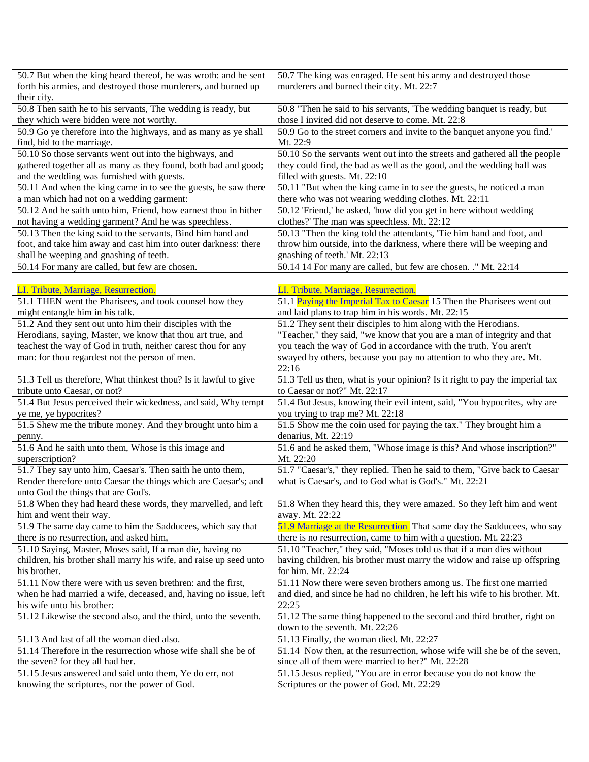| 50.7 But when the king heard thereof, he was wroth: and he sent    | 50.7 The king was enraged. He sent his army and destroyed those              |
|--------------------------------------------------------------------|------------------------------------------------------------------------------|
| forth his armies, and destroyed those murderers, and burned up     | murderers and burned their city. Mt. 22:7                                    |
| their city.                                                        |                                                                              |
| 50.8 Then saith he to his servants, The wedding is ready, but      | 50.8 "Then he said to his servants, 'The wedding banquet is ready, but       |
| they which were bidden were not worthy.                            | those I invited did not deserve to come. Mt. 22:8                            |
| 50.9 Go ye therefore into the highways, and as many as ye shall    | 50.9 Go to the street corners and invite to the banquet anyone you find.'    |
| find, bid to the marriage.                                         | Mt. 22:9                                                                     |
| 50.10 So those servants went out into the highways, and            | 50.10 So the servants went out into the streets and gathered all the people  |
| gathered together all as many as they found, both bad and good;    | they could find, the bad as well as the good, and the wedding hall was       |
| and the wedding was furnished with guests.                         | filled with guests. Mt. 22:10                                                |
| 50.11 And when the king came in to see the guests, he saw there    | 50.11 "But when the king came in to see the guests, he noticed a man         |
| a man which had not on a wedding garment:                          | there who was not wearing wedding clothes. Mt. 22:11                         |
| 50.12 And he saith unto him, Friend, how earnest thou in hither    | 50.12 'Friend,' he asked, 'how did you get in here without wedding           |
| not having a wedding garment? And he was speechless.               | clothes?' The man was speechless. Mt. 22:12                                  |
| 50.13 Then the king said to the servants, Bind him hand and        | 50.13 "Then the king told the attendants, 'Tie him hand and foot, and        |
| foot, and take him away and cast him into outer darkness: there    | throw him outside, into the darkness, where there will be weeping and        |
| shall be weeping and gnashing of teeth.                            | gnashing of teeth.' Mt. 22:13                                                |
| 50.14 For many are called, but few are chosen.                     | 50.14 14 For many are called, but few are chosen. ." Mt. 22:14               |
|                                                                    |                                                                              |
| LI. Tribute, Marriage, Resurrection.                               | LI. Tribute, Marriage, Resurrection.                                         |
| 51.1 THEN went the Pharisees, and took counsel how they            | 51.1 Paying the Imperial Tax to Caesar 15 Then the Pharisees went out        |
| might entangle him in his talk.                                    | and laid plans to trap him in his words. Mt. 22:15                           |
| 51.2 And they sent out unto him their disciples with the           | 51.2 They sent their disciples to him along with the Herodians.              |
| Herodians, saying, Master, we know that thou art true, and         | "Teacher," they said, "we know that you are a man of integrity and that      |
| teachest the way of God in truth, neither carest thou for any      | you teach the way of God in accordance with the truth. You aren't            |
| man: for thou regardest not the person of men.                     | swayed by others, because you pay no attention to who they are. Mt.          |
|                                                                    | 22:16                                                                        |
| 51.3 Tell us therefore, What thinkest thou? Is it lawful to give   | 51.3 Tell us then, what is your opinion? Is it right to pay the imperial tax |
| tribute unto Caesar, or not?                                       | to Caesar or not?" Mt. 22:17                                                 |
| 51.4 But Jesus perceived their wickedness, and said, Why tempt     | 51.4 But Jesus, knowing their evil intent, said, "You hypocrites, why are    |
| ye me, ye hypocrites?                                              | you trying to trap me? Mt. 22:18                                             |
| 51.5 Shew me the tribute money. And they brought unto him a        | 51.5 Show me the coin used for paying the tax." They brought him a           |
| penny.                                                             | denarius, Mt. 22:19                                                          |
| 51.6 And he saith unto them, Whose is this image and               | 51.6 and he asked them, "Whose image is this? And whose inscription?"        |
| superscription?                                                    | Mt. 22:20                                                                    |
| 51.7 They say unto him, Caesar's. Then saith he unto them,         | 51.7 "Caesar's," they replied. Then he said to them, "Give back to Caesar    |
| Render therefore unto Caesar the things which are Caesar's; and    | what is Caesar's, and to God what is God's." Mt. 22:21                       |
| unto God the things that are God's.                                |                                                                              |
| 51.8 When they had heard these words, they marvelled, and left     | 51.8 When they heard this, they were amazed. So they left him and went       |
| him and went their way.                                            | away. Mt. 22:22                                                              |
| 51.9 The same day came to him the Sadducees, which say that        | 51.9 Marriage at the Resurrection That same day the Sadducees, who say       |
| there is no resurrection, and asked him,                           | there is no resurrection, came to him with a question. Mt. 22:23             |
| 51.10 Saying, Master, Moses said, If a man die, having no          | 51.10 "Teacher," they said, "Moses told us that if a man dies without        |
| children, his brother shall marry his wife, and raise up seed unto | having children, his brother must marry the widow and raise up offspring     |
| his brother.                                                       | for him. Mt. 22:24                                                           |
| 51.11 Now there were with us seven brethren: and the first,        | 51.11 Now there were seven brothers among us. The first one married          |
| when he had married a wife, deceased, and, having no issue, left   | and died, and since he had no children, he left his wife to his brother. Mt. |
| his wife unto his brother:                                         | 22:25                                                                        |
| 51.12 Likewise the second also, and the third, unto the seventh.   | 51.12 The same thing happened to the second and third brother, right on      |
|                                                                    | down to the seventh. Mt. 22:26                                               |
| 51.13 And last of all the woman died also.                         | 51.13 Finally, the woman died. Mt. 22:27                                     |
| 51.14 Therefore in the resurrection whose wife shall she be of     | 51.14 Now then, at the resurrection, whose wife will she be of the seven,    |
|                                                                    |                                                                              |
| the seven? for they all had her.                                   | since all of them were married to her?" Mt. 22:28                            |
| 51.15 Jesus answered and said unto them, Ye do err, not            | 51.15 Jesus replied, "You are in error because you do not know the           |
| knowing the scriptures, nor the power of God.                      | Scriptures or the power of God. Mt. 22:29                                    |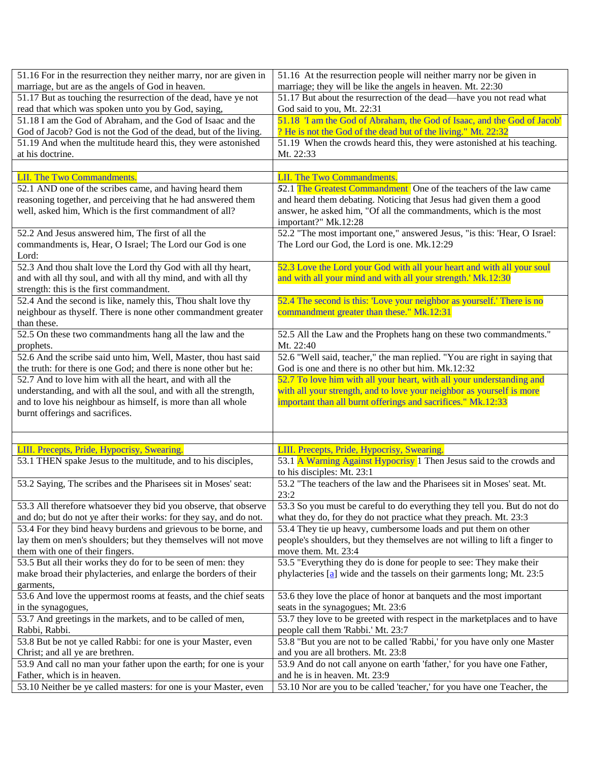| 51.16 For in the resurrection they neither marry, nor are given in | 51.16 At the resurrection people will neither marry nor be given in            |
|--------------------------------------------------------------------|--------------------------------------------------------------------------------|
| marriage, but are as the angels of God in heaven.                  | marriage; they will be like the angels in heaven. Mt. 22:30                    |
| 51.17 But as touching the resurrection of the dead, have ye not    | 51.17 But about the resurrection of the dead-have you not read what            |
| read that which was spoken unto you by God, saying,                | God said to you, Mt. 22:31                                                     |
| 51.18 I am the God of Abraham, and the God of Isaac and the        | 51.18 'I am the God of Abraham, the God of Isaac, and the God of Jacob'        |
| God of Jacob? God is not the God of the dead, but of the living.   | ? He is not the God of the dead but of the living." Mt. 22:32                  |
| 51.19 And when the multitude heard this, they were astonished      | 51.19 When the crowds heard this, they were astonished at his teaching.        |
| at his doctrine.                                                   | Mt. 22:33                                                                      |
|                                                                    |                                                                                |
| LII. The Two Commandments.                                         | <b>LII. The Two Commandments.</b>                                              |
| 52.1 AND one of the scribes came, and having heard them            | 52.1 The Greatest Commandment One of the teachers of the law came              |
| reasoning together, and perceiving that he had answered them       | and heard them debating. Noticing that Jesus had given them a good             |
| well, asked him, Which is the first commandment of all?            | answer, he asked him, "Of all the commandments, which is the most              |
|                                                                    | important?" Mk.12:28                                                           |
| 52.2 And Jesus answered him, The first of all the                  | 52.2 "The most important one," answered Jesus, "is this: 'Hear, O Israel:      |
| commandments is, Hear, O Israel; The Lord our God is one           | The Lord our God, the Lord is one. Mk.12:29                                    |
| Lord:                                                              |                                                                                |
| 52.3 And thou shalt love the Lord thy God with all thy heart,      | 52.3 Love the Lord your God with all your heart and with all your soul         |
| and with all thy soul, and with all thy mind, and with all thy     | and with all your mind and with all your strength.' Mk.12:30                   |
| strength: this is the first commandment.                           |                                                                                |
| 52.4 And the second is like, namely this, Thou shalt love thy      | 52.4 The second is this: 'Love your neighbor as yourself.' There is no         |
| neighbour as thyself. There is none other commandment greater      | commandment greater than these." Mk.12:31                                      |
| than these.                                                        |                                                                                |
| 52.5 On these two commandments hang all the law and the            | 52.5 All the Law and the Prophets hang on these two commandments."             |
| prophets.                                                          | Mt. 22:40                                                                      |
| 52.6 And the scribe said unto him, Well, Master, thou hast said    | 52.6 "Well said, teacher," the man replied. "You are right in saying that      |
| the truth: for there is one God; and there is none other but he:   | God is one and there is no other but him. Mk.12:32                             |
| 52.7 And to love him with all the heart, and with all the          | 52.7 To love him with all your heart, with all your understanding and          |
| understanding, and with all the soul, and with all the strength,   | with all your strength, and to love your neighbor as yourself is more          |
| and to love his neighbour as himself, is more than all whole       | important than all burnt offerings and sacrifices." Mk.12:33                   |
| burnt offerings and sacrifices.                                    |                                                                                |
|                                                                    |                                                                                |
| LIII. Precepts, Pride, Hypocrisy, Swearing.                        | LIII. Precepts, Pride, Hypocrisy, Swearing.                                    |
| 53.1 THEN spake Jesus to the multitude, and to his disciples,      | 53.1 A Warning Against Hypocrisy 1 Then Jesus said to the crowds and           |
|                                                                    | to his disciples: Mt. 23:1                                                     |
| 53.2 Saying, The scribes and the Pharisees sit in Moses' seat:     | 53.2 "The teachers of the law and the Pharisees sit in Moses' seat. Mt.        |
|                                                                    | 23:2                                                                           |
| 53.3 All therefore whatsoever they bid you observe, that observe   | 53.3 So you must be careful to do everything they tell you. But do not do      |
| and do; but do not ye after their works: for they say, and do not. | what they do, for they do not practice what they preach. Mt. 23:3              |
| 53.4 For they bind heavy burdens and grievous to be borne, and     | 53.4 They tie up heavy, cumbersome loads and put them on other                 |
| lay them on men's shoulders; but they themselves will not move     | people's shoulders, but they themselves are not willing to lift a finger to    |
| them with one of their fingers.                                    | move them. Mt. 23:4                                                            |
| 53.5 But all their works they do for to be seen of men: they       | 53.5 "Everything they do is done for people to see: They make their            |
| make broad their phylacteries, and enlarge the borders of their    | phylacteries $\boxed{a}$ wide and the tassels on their garments long; Mt. 23:5 |
| garments,                                                          |                                                                                |
| 53.6 And love the uppermost rooms at feasts, and the chief seats   | 53.6 they love the place of honor at banquets and the most important           |
| in the synagogues,                                                 | seats in the synagogues; Mt. 23:6                                              |
| 53.7 And greetings in the markets, and to be called of men,        | 53.7 they love to be greeted with respect in the marketplaces and to have      |
| Rabbi, Rabbi.                                                      | people call them 'Rabbi.' Mt. 23:7                                             |
| 53.8 But be not ye called Rabbi: for one is your Master, even      | 53.8 "But you are not to be called 'Rabbi,' for you have only one Master       |
| Christ; and all ye are brethren.                                   | and you are all brothers. Mt. 23:8                                             |
| 53.9 And call no man your father upon the earth; for one is your   | 53.9 And do not call anyone on earth 'father,' for you have one Father,        |
| Father, which is in heaven.                                        | and he is in heaven. Mt. 23:9                                                  |
| 53.10 Neither be ye called masters: for one is your Master, even   | 53.10 Nor are you to be called 'teacher,' for you have one Teacher, the        |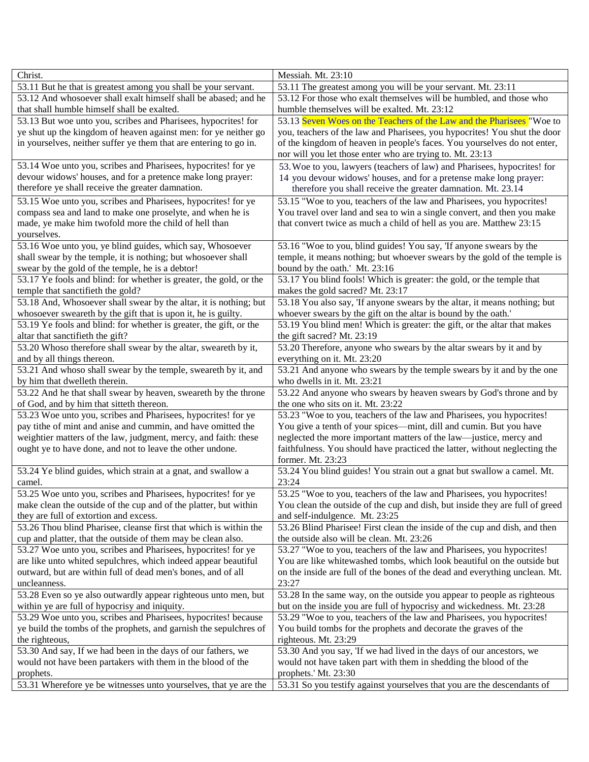| Christ.                                                                        | Messiah. Mt. 23:10                                                                      |
|--------------------------------------------------------------------------------|-----------------------------------------------------------------------------------------|
| 53.11 But he that is greatest among you shall be your servant.                 | 53.11 The greatest among you will be your servant. Mt. 23:11                            |
| 53.12 And whosoever shall exalt himself shall be abased; and he                | 53.12 For those who exalt themselves will be humbled, and those who                     |
| that shall humble himself shall be exalted.                                    | humble themselves will be exalted. Mt. 23:12                                            |
| 53.13 But woe unto you, scribes and Pharisees, hypocrites! for                 | 53.13 Seven Woes on the Teachers of the Law and the Pharisees "Woe to                   |
| ye shut up the kingdom of heaven against men: for ye neither go                | you, teachers of the law and Pharisees, you hypocrites! You shut the door               |
| in yourselves, neither suffer ye them that are entering to go in.              | of the kingdom of heaven in people's faces. You yourselves do not enter,                |
|                                                                                | nor will you let those enter who are trying to. Mt. 23:13                               |
| 53.14 Woe unto you, scribes and Pharisees, hypocrites! for ye                  | 53. Woe to you, lawyers (teachers of law) and Pharisees, hypocrites! for                |
| devour widows' houses, and for a pretence make long prayer:                    | 14 you devour widows' houses, and for a pretense make long prayer:                      |
| therefore ye shall receive the greater damnation.                              | therefore you shall receive the greater damnation. Mt. 23.14                            |
| 53.15 Woe unto you, scribes and Pharisees, hypocrites! for ye                  | 53.15 "Woe to you, teachers of the law and Pharisees, you hypocrites!                   |
| compass sea and land to make one proselyte, and when he is                     | You travel over land and sea to win a single convert, and then you make                 |
| made, ye make him twofold more the child of hell than                          | that convert twice as much a child of hell as you are. Matthew 23:15                    |
| yourselves.                                                                    |                                                                                         |
| 53.16 Woe unto you, ye blind guides, which say, Whosoever                      | 53.16 "Woe to you, blind guides! You say, 'If anyone swears by the                      |
| shall swear by the temple, it is nothing; but whosoever shall                  | temple, it means nothing; but whoever swears by the gold of the temple is               |
| swear by the gold of the temple, he is a debtor!                               | bound by the oath.' Mt. 23:16                                                           |
| 53.17 Ye fools and blind: for whether is greater, the gold, or the             | 53.17 You blind fools! Which is greater: the gold, or the temple that                   |
| temple that sanctifieth the gold?                                              | makes the gold sacred? Mt. 23:17                                                        |
| 53.18 And, Whosoever shall swear by the altar, it is nothing; but              | 53.18 You also say, 'If anyone swears by the altar, it means nothing; but               |
| whosoever sweareth by the gift that is upon it, he is guilty.                  | whoever swears by the gift on the altar is bound by the oath.'                          |
| 53.19 Ye fools and blind: for whether is greater, the gift, or the             | 53.19 You blind men! Which is greater: the gift, or the altar that makes                |
| altar that sanctifieth the gift?                                               | the gift sacred? Mt. 23:19                                                              |
| 53.20 Whoso therefore shall swear by the altar, sweareth by it,                | 53.20 Therefore, anyone who swears by the altar swears by it and by                     |
| and by all things thereon.                                                     | everything on it. Mt. 23:20                                                             |
| 53.21 And whoso shall swear by the temple, sweareth by it, and                 | 53.21 And anyone who swears by the temple swears by it and by the one                   |
| by him that dwelleth therein.                                                  | who dwells in it. Mt. 23:21                                                             |
| 53.22 And he that shall swear by heaven, sweareth by the throne                | 53.22 And anyone who swears by heaven swears by God's throne and by                     |
| of God, and by him that sitteth thereon.                                       | the one who sits on it. Mt. 23:22                                                       |
| 53.23 Woe unto you, scribes and Pharisees, hypocrites! for ye                  | 53.23 "Woe to you, teachers of the law and Pharisees, you hypocrites!                   |
| pay tithe of mint and anise and cummin, and have omitted the                   | You give a tenth of your spices—mint, dill and cumin. But you have                      |
| weightier matters of the law, judgment, mercy, and faith: these                | neglected the more important matters of the law—justice, mercy and                      |
| ought ye to have done, and not to leave the other undone.                      | faithfulness. You should have practiced the latter, without neglecting the              |
|                                                                                | former. Mt. 23:23                                                                       |
| 53.24 Ye blind guides, which strain at a gnat, and swallow a                   | 53.24 You blind guides! You strain out a gnat but swallow a camel. Mt.                  |
| camel.                                                                         | 23:24                                                                                   |
| 53.25 Woe unto you, scribes and Pharisees, hypocrites! for ye                  | 53.25 "Woe to you, teachers of the law and Pharisees, you hypocrites!                   |
| make clean the outside of the cup and of the platter, but within               | You clean the outside of the cup and dish, but inside they are full of greed            |
| they are full of extortion and excess.                                         | and self-indulgence. Mt. 23:25                                                          |
| 53.26 Thou blind Pharisee, cleanse first that which is within the              | 53.26 Blind Pharisee! First clean the inside of the cup and dish, and then              |
| cup and platter, that the outside of them may be clean also.                   | the outside also will be clean. Mt. 23:26                                               |
| 53.27 Woe unto you, scribes and Pharisees, hypocrites! for ye                  | 53.27 "Woe to you, teachers of the law and Pharisees, you hypocrites!                   |
| are like unto whited sepulchres, which indeed appear beautiful                 | You are like whitewashed tombs, which look beautiful on the outside but                 |
| outward, but are within full of dead men's bones, and of all                   | on the inside are full of the bones of the dead and everything unclean. Mt.             |
| uncleanness.                                                                   | 23:27                                                                                   |
| 53.28 Even so ye also outwardly appear righteous unto men, but                 | 53.28 In the same way, on the outside you appear to people as righteous                 |
| within ye are full of hypocrisy and iniquity.                                  | but on the inside you are full of hypocrisy and wickedness. Mt. 23:28                   |
| 53.29 Woe unto you, scribes and Pharisees, hypocrites! because                 |                                                                                         |
|                                                                                | 53.29 "Woe to you, teachers of the law and Pharisees, you hypocrites!                   |
| ye build the tombs of the prophets, and garnish the sepulchres of              | You build tombs for the prophets and decorate the graves of the<br>righteous. Mt. 23:29 |
| the righteous,<br>53.30 And say, If we had been in the days of our fathers, we | 53.30 And you say, 'If we had lived in the days of our ancestors, we                    |
| would not have been partakers with them in the blood of the                    | would not have taken part with them in shedding the blood of the                        |
| prophets.                                                                      | prophets.' Mt. 23:30                                                                    |
| 53.31 Wherefore ye be witnesses unto yourselves, that ye are the               |                                                                                         |
|                                                                                | 53.31 So you testify against yourselves that you are the descendants of                 |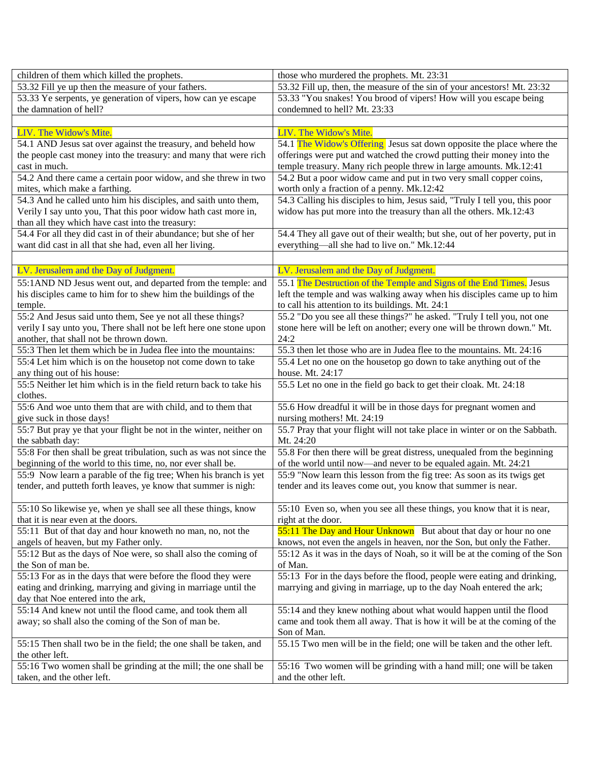| children of them which killed the prophets.                                                          | those who murdered the prophets. Mt. 23:31                                             |
|------------------------------------------------------------------------------------------------------|----------------------------------------------------------------------------------------|
| 53.32 Fill ye up then the measure of your fathers.                                                   | 53.32 Fill up, then, the measure of the sin of your ancestors! Mt. 23:32               |
| 53.33 Ye serpents, ye generation of vipers, how can ye escape                                        | 53.33 "You snakes! You brood of vipers! How will you escape being                      |
| the damnation of hell?                                                                               | condemned to hell? Mt. 23:33                                                           |
|                                                                                                      |                                                                                        |
| LIV. The Widow's Mite.                                                                               | LIV. The Widow's Mite.                                                                 |
| 54.1 AND Jesus sat over against the treasury, and beheld how                                         | 54.1 The Widow's Offering Jesus sat down opposite the place where the                  |
| the people cast money into the treasury: and many that were rich                                     | offerings were put and watched the crowd putting their money into the                  |
| cast in much.                                                                                        | temple treasury. Many rich people threw in large amounts. Mk.12:41                     |
| 54.2 And there came a certain poor widow, and she threw in two                                       | 54.2 But a poor widow came and put in two very small copper coins,                     |
| mites, which make a farthing.                                                                        | worth only a fraction of a penny. Mk.12:42                                             |
| 54.3 And he called unto him his disciples, and saith unto them,                                      | 54.3 Calling his disciples to him, Jesus said, "Truly I tell you, this poor            |
| Verily I say unto you, That this poor widow hath cast more in,                                       | widow has put more into the treasury than all the others. Mk.12:43                     |
| than all they which have cast into the treasury:                                                     |                                                                                        |
| 54.4 For all they did cast in of their abundance; but she of her                                     | 54.4 They all gave out of their wealth; but she, out of her poverty, put in            |
| want did cast in all that she had, even all her living.                                              | everything—all she had to live on." Mk.12:44                                           |
|                                                                                                      |                                                                                        |
| LV. Jerusalem and the Day of Judgment.                                                               | LV. Jerusalem and the Day of Judgment.                                                 |
| 55:1 AND ND Jesus went out, and departed from the temple: and                                        | 55.1 The Destruction of the Temple and Signs of the End Times. Jesus                   |
| his disciples came to him for to shew him the buildings of the                                       | left the temple and was walking away when his disciples came up to him                 |
| temple.                                                                                              | to call his attention to its buildings. Mt. 24:1                                       |
| 55:2 And Jesus said unto them, See ye not all these things?                                          | 55.2 "Do you see all these things?" he asked. "Truly I tell you, not one               |
| verily I say unto you, There shall not be left here one stone upon                                   | stone here will be left on another; every one will be thrown down." Mt.                |
| another, that shall not be thrown down.                                                              | 24:2                                                                                   |
| 55:3 Then let them which be in Judea flee into the mountains:                                        | 55.3 then let those who are in Judea flee to the mountains. Mt. 24:16                  |
| 55:4 Let him which is on the housetop not come down to take                                          | 55.4 Let no one on the housetop go down to take anything out of the                    |
| any thing out of his house:                                                                          | house. Mt. 24:17                                                                       |
| 55:5 Neither let him which is in the field return back to take his                                   | 55.5 Let no one in the field go back to get their cloak. Mt. 24:18                     |
| clothes.                                                                                             |                                                                                        |
| 55:6 And woe unto them that are with child, and to them that                                         | 55.6 How dreadful it will be in those days for pregnant women and                      |
| give suck in those days!                                                                             | nursing mothers! Mt. 24:19                                                             |
| 55:7 But pray ye that your flight be not in the winter, neither on                                   | 55.7 Pray that your flight will not take place in winter or on the Sabbath.            |
| the sabbath day:                                                                                     | Mt. 24:20                                                                              |
| 55:8 For then shall be great tribulation, such as was not since the                                  | 55.8 For then there will be great distress, unequaled from the beginning               |
| beginning of the world to this time, no, nor ever shall be.                                          | of the world until now—and never to be equaled again. Mt. 24:21                        |
| 55:9 Now learn a parable of the fig tree; When his branch is yet                                     | 55:9 "Now learn this lesson from the fig tree: As soon as its twigs get                |
| tender, and putteth forth leaves, ye know that summer is nigh:                                       | tender and its leaves come out, you know that summer is near.                          |
|                                                                                                      |                                                                                        |
| 55:10 So likewise ye, when ye shall see all these things, know                                       | 55:10 Even so, when you see all these things, you know that it is near,                |
| that it is near even at the doors.                                                                   | right at the door.                                                                     |
| 55:11 But of that day and hour knoweth no man, no, not the                                           | 55:11 The Day and Hour Unknown But about that day or hour no one                       |
| angels of heaven, but my Father only.                                                                | knows, not even the angels in heaven, nor the Son, but only the Father.                |
| 55:12 But as the days of Noe were, so shall also the coming of                                       | 55:12 As it was in the days of Noah, so it will be at the coming of the Son<br>of Man. |
| the Son of man be.<br>55:13 For as in the days that were before the flood they were                  | 55:13 For in the days before the flood, people were eating and drinking,               |
|                                                                                                      | marrying and giving in marriage, up to the day Noah entered the ark;                   |
| eating and drinking, marrying and giving in marriage until the<br>day that Noe entered into the ark, |                                                                                        |
| 55:14 And knew not until the flood came, and took them all                                           | 55:14 and they knew nothing about what would happen until the flood                    |
| away; so shall also the coming of the Son of man be.                                                 | came and took them all away. That is how it will be at the coming of the               |
|                                                                                                      | Son of Man.                                                                            |
| 55:15 Then shall two be in the field; the one shall be taken, and                                    | 55.15 Two men will be in the field; one will be taken and the other left.              |
| the other left.                                                                                      |                                                                                        |
| 55:16 Two women shall be grinding at the mill; the one shall be                                      | 55:16 Two women will be grinding with a hand mill; one will be taken                   |
| taken, and the other left.                                                                           | and the other left.                                                                    |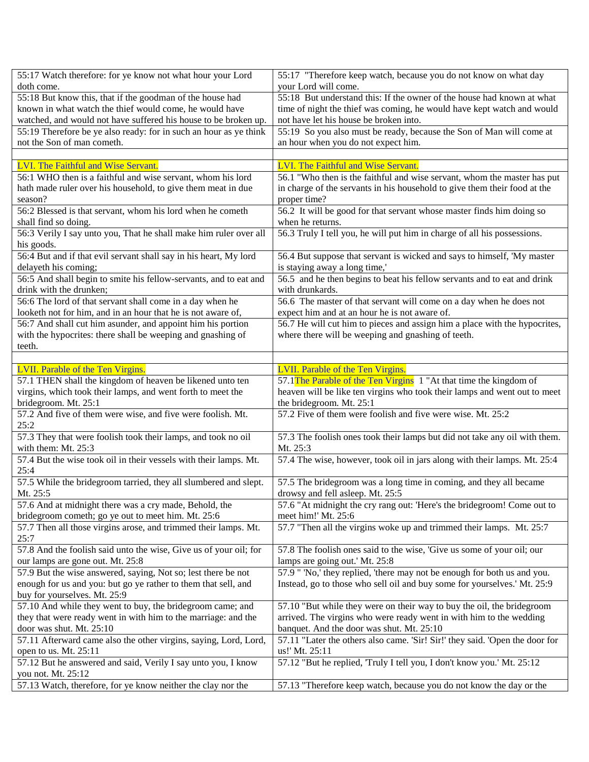| 55:17 Watch therefore: for ye know not what hour your Lord                         | 55:17 "Therefore keep watch, because you do not know on what day             |
|------------------------------------------------------------------------------------|------------------------------------------------------------------------------|
| doth come.                                                                         | your Lord will come.                                                         |
| 55:18 But know this, that if the goodman of the house had                          | 55:18 But understand this: If the owner of the house had known at what       |
| known in what watch the thief would come, he would have                            | time of night the thief was coming, he would have kept watch and would       |
| watched, and would not have suffered his house to be broken up.                    | not have let his house be broken into.                                       |
| 55:19 Therefore be ye also ready: for in such an hour as ye think                  | 55:19 So you also must be ready, because the Son of Man will come at         |
| not the Son of man cometh.                                                         | an hour when you do not expect him.                                          |
|                                                                                    |                                                                              |
| LVI. The Faithful and Wise Servant.                                                | LVI. The Faithful and Wise Servant.                                          |
| 56:1 WHO then is a faithful and wise servant, whom his lord                        | 56.1 "Who then is the faithful and wise servant, whom the master has put     |
| hath made ruler over his household, to give them meat in due                       | in charge of the servants in his household to give them their food at the    |
| season?                                                                            | proper time?                                                                 |
| 56:2 Blessed is that servant, whom his lord when he cometh                         | 56.2 It will be good for that servant whose master finds him doing so        |
| shall find so doing.                                                               | when he returns.                                                             |
| 56:3 Verily I say unto you, That he shall make him ruler over all                  | 56.3 Truly I tell you, he will put him in charge of all his possessions.     |
| his goods.                                                                         |                                                                              |
| 56:4 But and if that evil servant shall say in his heart, My lord                  | 56.4 But suppose that servant is wicked and says to himself, 'My master      |
| delayeth his coming;                                                               | is staying away a long time,'                                                |
| 56:5 And shall begin to smite his fellow-servants, and to eat and                  | 56.5 and he then begins to beat his fellow servants and to eat and drink     |
| drink with the drunken;                                                            | with drunkards.                                                              |
| 56:6 The lord of that servant shall come in a day when he                          | 56.6 The master of that servant will come on a day when he does not          |
| looketh not for him, and in an hour that he is not aware of,                       | expect him and at an hour he is not aware of.                                |
| 56:7 And shall cut him asunder, and appoint him his portion                        | 56.7 He will cut him to pieces and assign him a place with the hypocrites,   |
| with the hypocrites: there shall be weeping and gnashing of                        | where there will be weeping and gnashing of teeth.                           |
| teeth.                                                                             |                                                                              |
|                                                                                    |                                                                              |
| LVII. Parable of the Ten Virgins.                                                  | LVII. Parable of the Ten Virgins.                                            |
|                                                                                    |                                                                              |
|                                                                                    |                                                                              |
| 57.1 THEN shall the kingdom of heaven be likened unto ten                          | 57.1 The Parable of the Ten Virgins 1 "At that time the kingdom of           |
| virgins, which took their lamps, and went forth to meet the                        | heaven will be like ten virgins who took their lamps and went out to meet    |
| bridegroom. Mt. 25:1                                                               | the bridegroom. Mt. 25:1                                                     |
| 57.2 And five of them were wise, and five were foolish. Mt.                        | 57.2 Five of them were foolish and five were wise. Mt. 25:2                  |
| 25:2                                                                               |                                                                              |
| 57.3 They that were foolish took their lamps, and took no oil                      | 57.3 The foolish ones took their lamps but did not take any oil with them.   |
| with them: Mt. 25:3                                                                | Mt. 25:3                                                                     |
| 57.4 But the wise took oil in their vessels with their lamps. Mt.                  | 57.4 The wise, however, took oil in jars along with their lamps. Mt. 25:4    |
| 25:4                                                                               |                                                                              |
| 57.5 While the bridegroom tarried, they all slumbered and slept.                   | 57.5 The bridegroom was a long time in coming, and they all became           |
| Mt. 25:5                                                                           | drowsy and fell asleep. Mt. 25:5                                             |
| 57.6 And at midnight there was a cry made, Behold, the                             | 57.6 "At midnight the cry rang out: 'Here's the bridegroom! Come out to      |
| bridegroom cometh; go ye out to meet him. Mt. 25:6                                 | meet him!' Mt. 25:6                                                          |
| 57.7 Then all those virgins arose, and trimmed their lamps. Mt.                    | 57.7 "Then all the virgins woke up and trimmed their lamps. Mt. 25:7         |
| 25:7                                                                               |                                                                              |
| 57.8 And the foolish said unto the wise, Give us of your oil; for                  | 57.8 The foolish ones said to the wise, 'Give us some of your oil; our       |
| our lamps are gone out. Mt. 25:8                                                   | lamps are going out.' Mt. 25:8                                               |
| 57.9 But the wise answered, saying, Not so; lest there be not                      | 57.9 " 'No,' they replied, 'there may not be enough for both us and you.     |
| enough for us and you: but go ye rather to them that sell, and                     | Instead, go to those who sell oil and buy some for yourselves.' Mt. 25:9     |
| buy for yourselves. Mt. 25:9                                                       |                                                                              |
| 57.10 And while they went to buy, the bridegroom came; and                         | 57.10 "But while they were on their way to buy the oil, the bridegroom       |
| they that were ready went in with him to the marriage: and the                     | arrived. The virgins who were ready went in with him to the wedding          |
| door was shut. Mt. 25:10                                                           | banquet. And the door was shut. Mt. 25:10                                    |
| 57.11 Afterward came also the other virgins, saying, Lord, Lord,                   | 57.11 "Later the others also came. 'Sir! Sir!' they said. 'Open the door for |
| open to us. Mt. 25:11                                                              | us!' Mt. 25:11                                                               |
| 57.12 But he answered and said, Verily I say unto you, I know                      | 57.12 "But he replied, 'Truly I tell you, I don't know you.' Mt. 25:12       |
|                                                                                    |                                                                              |
|                                                                                    |                                                                              |
| you not. Mt. 25:12<br>57.13 Watch, therefore, for ye know neither the clay nor the |                                                                              |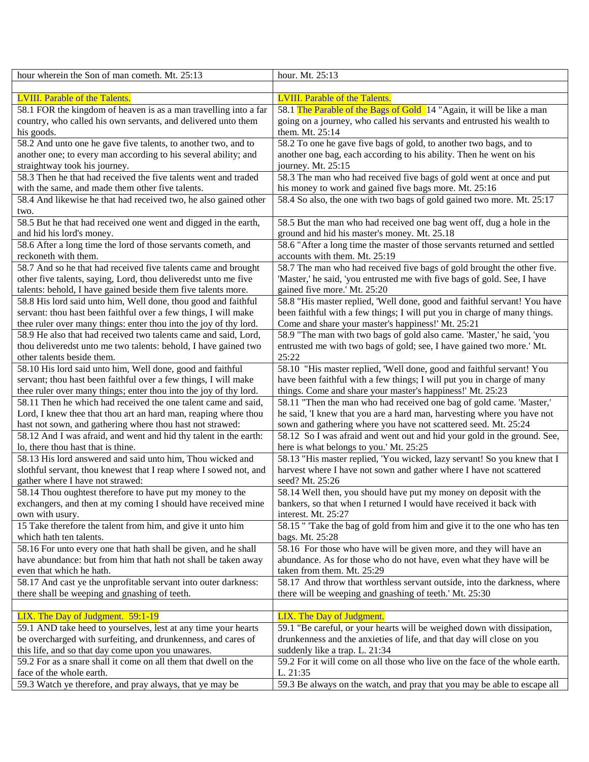| hour wherein the Son of man cometh. Mt. 25:13                     | hour. Mt. 25:13                                                             |
|-------------------------------------------------------------------|-----------------------------------------------------------------------------|
|                                                                   |                                                                             |
| <b>LVIII.</b> Parable of the Talents.                             | <b>LVIII.</b> Parable of the Talents.                                       |
| 58.1 FOR the kingdom of heaven is as a man travelling into a far  | 58.1 The Parable of the Bags of Gold 14 "Again, it will be like a man       |
| country, who called his own servants, and delivered unto them     | going on a journey, who called his servants and entrusted his wealth to     |
| his goods.                                                        | them. Mt. 25:14                                                             |
| 58.2 And unto one he gave five talents, to another two, and to    | 58.2 To one he gave five bags of gold, to another two bags, and to          |
| another one; to every man according to his several ability; and   | another one bag, each according to his ability. Then he went on his         |
| straightway took his journey.                                     | journey. Mt. 25:15                                                          |
| 58.3 Then he that had received the five talents went and traded   | 58.3 The man who had received five bags of gold went at once and put        |
| with the same, and made them other five talents.                  | his money to work and gained five bags more. Mt. 25:16                      |
| 58.4 And likewise he that had received two, he also gained other  | 58.4 So also, the one with two bags of gold gained two more. Mt. 25:17      |
| two.                                                              |                                                                             |
| 58.5 But he that had received one went and digged in the earth,   | 58.5 But the man who had received one bag went off, dug a hole in the       |
| and hid his lord's money.                                         | ground and hid his master's money. Mt. 25.18                                |
| 58.6 After a long time the lord of those servants cometh, and     | 58.6 "After a long time the master of those servants returned and settled   |
| reckoneth with them.                                              | accounts with them. Mt. 25:19                                               |
| 58.7 And so he that had received five talents came and brought    | 58.7 The man who had received five bags of gold brought the other five.     |
| other five talents, saying, Lord, thou deliveredst unto me five   | 'Master,' he said, 'you entrusted me with five bags of gold. See, I have    |
| talents: behold, I have gained beside them five talents more.     | gained five more.' Mt. 25:20                                                |
| 58.8 His lord said unto him, Well done, thou good and faithful    | 58.8 "His master replied, 'Well done, good and faithful servant! You have   |
| servant: thou hast been faithful over a few things, I will make   | been faithful with a few things; I will put you in charge of many things.   |
| thee ruler over many things: enter thou into the joy of thy lord. | Come and share your master's happiness!' Mt. 25:21                          |
| 58.9 He also that had received two talents came and said, Lord,   | 58.9 "The man with two bags of gold also came. 'Master,' he said, 'you      |
| thou deliveredst unto me two talents: behold, I have gained two   | entrusted me with two bags of gold; see, I have gained two more.' Mt.       |
| other talents beside them.                                        | 25:22                                                                       |
| 58.10 His lord said unto him, Well done, good and faithful        | 58.10 "His master replied, 'Well done, good and faithful servant! You       |
| servant; thou hast been faithful over a few things, I will make   | have been faithful with a few things; I will put you in charge of many      |
| thee ruler over many things; enter thou into the joy of thy lord. | things. Come and share your master's happiness!' Mt. 25:23                  |
| 58.11 Then he which had received the one talent came and said,    | 58.11 "Then the man who had received one bag of gold came. 'Master,'        |
| Lord, I knew thee that thou art an hard man, reaping where thou   | he said, 'I knew that you are a hard man, harvesting where you have not     |
| hast not sown, and gathering where thou hast not strawed:         | sown and gathering where you have not scattered seed. Mt. 25:24             |
| 58.12 And I was afraid, and went and hid thy talent in the earth: | 58.12 So I was afraid and went out and hid your gold in the ground. See,    |
| lo, there thou hast that is thine.                                | here is what belongs to you.' Mt. 25:25                                     |
| 58.13 His lord answered and said unto him, Thou wicked and        | 58.13 "His master replied, 'You wicked, lazy servant! So you knew that I    |
| slothful servant, thou knewest that I reap where I sowed not, and | harvest where I have not sown and gather where I have not scattered         |
| gather where I have not strawed:                                  | seed? Mt. 25:26                                                             |
| 58.14 Thou oughtest therefore to have put my money to the         | 58.14 Well then, you should have put my money on deposit with the           |
| exchangers, and then at my coming I should have received mine     | bankers, so that when I returned I would have received it back with         |
| own with usury.                                                   | interest. Mt. 25:27                                                         |
| 15 Take therefore the talent from him, and give it unto him       | 58.15 " Take the bag of gold from him and give it to the one who has ten    |
| which hath ten talents.                                           | bags. Mt. 25:28                                                             |
| 58.16 For unto every one that hath shall be given, and he shall   | 58.16 For those who have will be given more, and they will have an          |
| have abundance: but from him that hath not shall be taken away    | abundance. As for those who do not have, even what they have will be        |
| even that which he hath.                                          | taken from them. Mt. 25:29                                                  |
| 58.17 And cast ye the unprofitable servant into outer darkness:   | 58.17 And throw that worthless servant outside, into the darkness, where    |
| there shall be weeping and gnashing of teeth.                     | there will be weeping and gnashing of teeth.' Mt. 25:30                     |
|                                                                   |                                                                             |
| LIX. The Day of Judgment. 59:1-19                                 | LIX. The Day of Judgment.                                                   |
| 59.1 AND take heed to yourselves, lest at any time your hearts    | 59.1 "Be careful, or your hearts will be weighed down with dissipation,     |
| be overcharged with surfeiting, and drunkenness, and cares of     | drunkenness and the anxieties of life, and that day will close on you       |
| this life, and so that day come upon you unawares.                | suddenly like a trap. L. 21:34                                              |
| 59.2 For as a snare shall it come on all them that dwell on the   | 59.2 For it will come on all those who live on the face of the whole earth. |
| face of the whole earth.                                          | L. 21:35                                                                    |
| 59.3 Watch ye therefore, and pray always, that ye may be          | 59.3 Be always on the watch, and pray that you may be able to escape all    |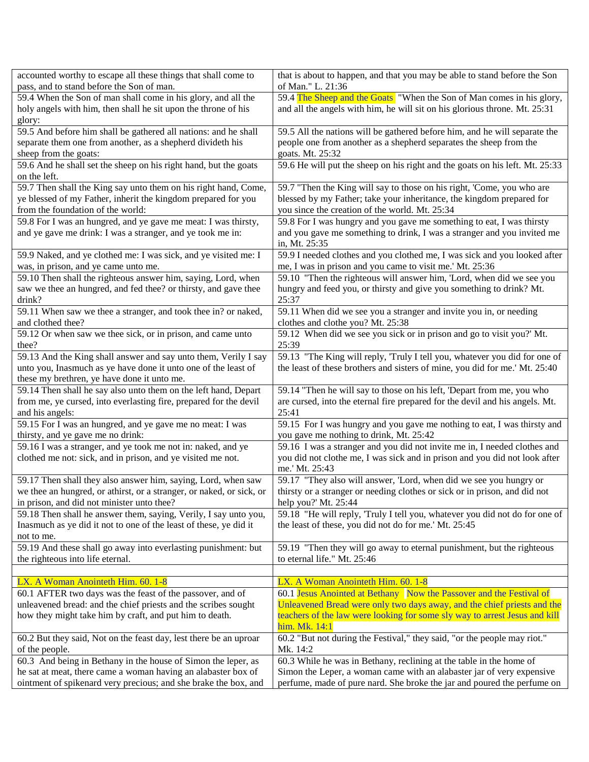| accounted worthy to escape all these things that shall come to       | that is about to happen, and that you may be able to stand before the Son    |
|----------------------------------------------------------------------|------------------------------------------------------------------------------|
| pass, and to stand before the Son of man.                            | of Man." L. 21:36                                                            |
| 59.4 When the Son of man shall come in his glory, and all the        | 59.4 The Sheep and the Goats "When the Son of Man comes in his glory,        |
| holy angels with him, then shall he sit upon the throne of his       | and all the angels with him, he will sit on his glorious throne. Mt. 25:31   |
| glory:                                                               |                                                                              |
| 59.5 And before him shall be gathered all nations: and he shall      | 59.5 All the nations will be gathered before him, and he will separate the   |
| separate them one from another, as a shepherd divideth his           | people one from another as a shepherd separates the sheep from the           |
| sheep from the goats:                                                | goats. Mt. 25:32                                                             |
| 59.6 And he shall set the sheep on his right hand, but the goats     | 59.6 He will put the sheep on his right and the goats on his left. Mt. 25:33 |
| on the left.                                                         |                                                                              |
| 59.7 Then shall the King say unto them on his right hand, Come,      | 59.7 "Then the King will say to those on his right, 'Come, you who are       |
| ye blessed of my Father, inherit the kingdom prepared for you        | blessed by my Father; take your inheritance, the kingdom prepared for        |
| from the foundation of the world:                                    | you since the creation of the world. Mt. 25:34                               |
| 59.8 For I was an hungred, and ye gave me meat: I was thirsty,       | 59.8 For I was hungry and you gave me something to eat, I was thirsty        |
| and ye gave me drink: I was a stranger, and ye took me in:           | and you gave me something to drink, I was a stranger and you invited me      |
|                                                                      | in, Mt. 25:35                                                                |
| 59.9 Naked, and ye clothed me: I was sick, and ye visited me: I      | 59.9 I needed clothes and you clothed me, I was sick and you looked after    |
| was, in prison, and ye came unto me.                                 | me, I was in prison and you came to visit me.' Mt. 25:36                     |
| 59.10 Then shall the righteous answer him, saying, Lord, when        | 59.10 "Then the righteous will answer him, 'Lord, when did we see you        |
| saw we thee an hungred, and fed thee? or thirsty, and gave thee      | hungry and feed you, or thirsty and give you something to drink? Mt.         |
| drink?                                                               | 25:37                                                                        |
| 59.11 When saw we thee a stranger, and took thee in? or naked,       | 59.11 When did we see you a stranger and invite you in, or needing           |
| and clothed thee?                                                    | clothes and clothe you? Mt. 25:38                                            |
| 59.12 Or when saw we thee sick, or in prison, and came unto          | 59.12 When did we see you sick or in prison and go to visit you?' Mt.        |
| thee?                                                                | 25:39                                                                        |
| 59.13 And the King shall answer and say unto them, Verily I say      | 59.13 "The King will reply, 'Truly I tell you, whatever you did for one of   |
| unto you, Inasmuch as ye have done it unto one of the least of       | the least of these brothers and sisters of mine, you did for me.' Mt. 25:40  |
| these my brethren, ye have done it unto me.                          |                                                                              |
| 59.14 Then shall he say also unto them on the left hand, Depart      | 59.14 "Then he will say to those on his left, 'Depart from me, you who       |
| from me, ye cursed, into everlasting fire, prepared for the devil    | are cursed, into the eternal fire prepared for the devil and his angels. Mt. |
| and his angels:                                                      | 25:41                                                                        |
| 59.15 For I was an hungred, and ye gave me no meat: I was            | 59.15 For I was hungry and you gave me nothing to eat, I was thirsty and     |
| thirsty, and ye gave me no drink:                                    | you gave me nothing to drink, Mt. 25:42                                      |
| 59.16 I was a stranger, and ye took me not in: naked, and ye         | 59.16 I was a stranger and you did not invite me in, I needed clothes and    |
| clothed me not: sick, and in prison, and ye visited me not.          | you did not clothe me, I was sick and in prison and you did not look after   |
|                                                                      | me.' Mt. 25:43                                                               |
| 59.17 Then shall they also answer him, saying, Lord, when saw        | 59.17 "They also will answer, 'Lord, when did we see you hungry or           |
| we thee an hungred, or athirst, or a stranger, or naked, or sick, or | thirsty or a stranger or needing clothes or sick or in prison, and did not   |
| in prison, and did not minister unto thee?                           | help you?' Mt. 25:44                                                         |
| 59.18 Then shall he answer them, saying, Verily, I say unto you,     | 59.18 "He will reply, 'Truly I tell you, whatever you did not do for one of  |
| Inasmuch as ye did it not to one of the least of these, ye did it    | the least of these, you did not do for me.' Mt. 25:45                        |
| not to me.                                                           |                                                                              |
| 59.19 And these shall go away into everlasting punishment: but       | 59.19 "Then they will go away to eternal punishment, but the righteous       |
| the righteous into life eternal.                                     | to eternal life." Mt. 25:46                                                  |
|                                                                      |                                                                              |
| LX. A Woman Anointeth Him. 60. 1-8                                   | LX. A Woman Anointeth Him. 60. 1-8                                           |
| 60.1 AFTER two days was the feast of the passover, and of            | 60.1 Jesus Anointed at Bethany Now the Passover and the Festival of          |
| unleavened bread: and the chief priests and the scribes sought       | Unleavened Bread were only two days away, and the chief priests and the      |
| how they might take him by craft, and put him to death.              | teachers of the law were looking for some sly way to arrest Jesus and kill   |
|                                                                      | him. Mk. 14:1                                                                |
| 60.2 But they said, Not on the feast day, lest there be an uproar    | 60.2 "But not during the Festival," they said, "or the people may riot."     |
| of the people.                                                       | Mk. 14:2                                                                     |
| 60.3 And being in Bethany in the house of Simon the leper, as        | 60.3 While he was in Bethany, reclining at the table in the home of          |
| he sat at meat, there came a woman having an alabaster box of        | Simon the Leper, a woman came with an alabaster jar of very expensive        |
| ointment of spikenard very precious; and she brake the box, and      | perfume, made of pure nard. She broke the jar and poured the perfume on      |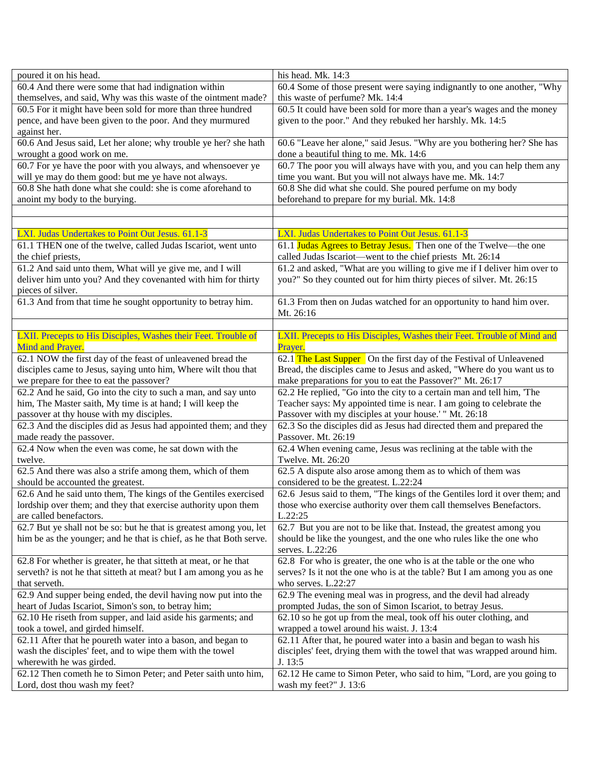| poured it on his head.                                              | his head. Mk. 14:3                                                         |
|---------------------------------------------------------------------|----------------------------------------------------------------------------|
| 60.4 And there were some that had indignation within                | 60.4 Some of those present were saying indignantly to one another, "Why    |
| themselves, and said, Why was this waste of the ointment made?      | this waste of perfume? Mk. 14:4                                            |
| 60.5 For it might have been sold for more than three hundred        | 60.5 It could have been sold for more than a year's wages and the money    |
| pence, and have been given to the poor. And they murmured           | given to the poor." And they rebuked her harshly. Mk. 14:5                 |
| against her.                                                        |                                                                            |
| 60.6 And Jesus said, Let her alone; why trouble ye her? she hath    | 60.6 "Leave her alone," said Jesus. "Why are you bothering her? She has    |
| wrought a good work on me.                                          | done a beautiful thing to me. Mk. 14:6                                     |
| 60.7 For ye have the poor with you always, and whensoever ye        | 60.7 The poor you will always have with you, and you can help them any     |
| will ye may do them good: but me ye have not always.                | time you want. But you will not always have me. Mk. 14:7                   |
| 60.8 She hath done what she could: she is come aforehand to         | 60.8 She did what she could. She poured perfume on my body                 |
| anoint my body to the burying.                                      |                                                                            |
|                                                                     | beforehand to prepare for my burial. Mk. 14:8                              |
|                                                                     |                                                                            |
|                                                                     |                                                                            |
| LXI. Judas Undertakes to Point Out Jesus. 61.1-3                    | LXI. Judas Undertakes to Point Out Jesus. 61.1-3                           |
| 61.1 THEN one of the twelve, called Judas Iscariot, went unto       | 61.1 Judas Agrees to Betray Jesus. Then one of the Twelve—the one          |
| the chief priests,                                                  | called Judas Iscariot—went to the chief priests Mt. 26:14                  |
| 61.2 And said unto them, What will ye give me, and I will           | 61.2 and asked, "What are you willing to give me if I deliver him over to  |
| deliver him unto you? And they covenanted with him for thirty       | you?" So they counted out for him thirty pieces of silver. Mt. 26:15       |
| pieces of silver.                                                   |                                                                            |
| 61.3 And from that time he sought opportunity to betray him.        | 61.3 From then on Judas watched for an opportunity to hand him over.       |
|                                                                     | Mt. 26:16                                                                  |
|                                                                     |                                                                            |
| LXII. Precepts to His Disciples, Washes their Feet. Trouble of      | LXII. Precepts to His Disciples, Washes their Feet. Trouble of Mind and    |
| Mind and Prayer.                                                    | Prayer.                                                                    |
| 62.1 NOW the first day of the feast of unleavened bread the         | 62.1 The Last Supper On the first day of the Festival of Unleavened        |
| disciples came to Jesus, saying unto him, Where wilt thou that      | Bread, the disciples came to Jesus and asked, "Where do you want us to     |
| we prepare for thee to eat the passover?                            | make preparations for you to eat the Passover?" Mt. 26:17                  |
| 62.2 And he said, Go into the city to such a man, and say unto      | 62.2 He replied, "Go into the city to a certain man and tell him, 'The     |
| him, The Master saith, My time is at hand; I will keep the          | Teacher says: My appointed time is near. I am going to celebrate the       |
| passover at thy house with my disciples.                            | Passover with my disciples at your house.' " Mt. 26:18                     |
| 62.3 And the disciples did as Jesus had appointed them; and they    | 62.3 So the disciples did as Jesus had directed them and prepared the      |
| made ready the passover.                                            | Passover. Mt. 26:19                                                        |
| 62.4 Now when the even was come, he sat down with the               | 62.4 When evening came, Jesus was reclining at the table with the          |
| twelve.                                                             | Twelve. Mt. 26:20                                                          |
| 62.5 And there was also a strife among them, which of them          | 62.5 A dispute also arose among them as to which of them was               |
| should be accounted the greatest.                                   | considered to be the greatest. L.22:24                                     |
| 62.6 And he said unto them, The kings of the Gentiles exercised     | 62.6 Jesus said to them, "The kings of the Gentiles lord it over them; and |
| lordship over them; and they that exercise authority upon them      | those who exercise authority over them call themselves Benefactors.        |
| are called benefactors.                                             | L.22:25                                                                    |
|                                                                     |                                                                            |
| 62.7 But ye shall not be so: but he that is greatest among you, let | 62.7 But you are not to be like that. Instead, the greatest among you      |
| him be as the younger; and he that is chief, as he that Both serve. | should be like the youngest, and the one who rules like the one who        |
|                                                                     | serves. L.22:26                                                            |
| 62.8 For whether is greater, he that sitteth at meat, or he that    | 62.8 For who is greater, the one who is at the table or the one who        |
| serveth? is not he that sitteth at meat? but I am among you as he   | serves? Is it not the one who is at the table? But I am among you as one   |
| that serveth.                                                       | who serves. L.22:27                                                        |
| 62.9 And supper being ended, the devil having now put into the      | 62.9 The evening meal was in progress, and the devil had already           |
| heart of Judas Iscariot, Simon's son, to betray him;                | prompted Judas, the son of Simon Iscariot, to betray Jesus.                |
| 62.10 He riseth from supper, and laid aside his garments; and       | 62.10 so he got up from the meal, took off his outer clothing, and         |
| took a towel, and girded himself.                                   | wrapped a towel around his waist. J. 13:4                                  |
| 62.11 After that he poureth water into a bason, and began to        | 62.11 After that, he poured water into a basin and began to wash his       |
| wash the disciples' feet, and to wipe them with the towel           | disciples' feet, drying them with the towel that was wrapped around him.   |
| wherewith he was girded.                                            | J. 13:5                                                                    |
| 62.12 Then cometh he to Simon Peter; and Peter saith unto him,      | 62.12 He came to Simon Peter, who said to him, "Lord, are you going to     |
| Lord, dost thou wash my feet?                                       | wash my feet?" J. 13:6                                                     |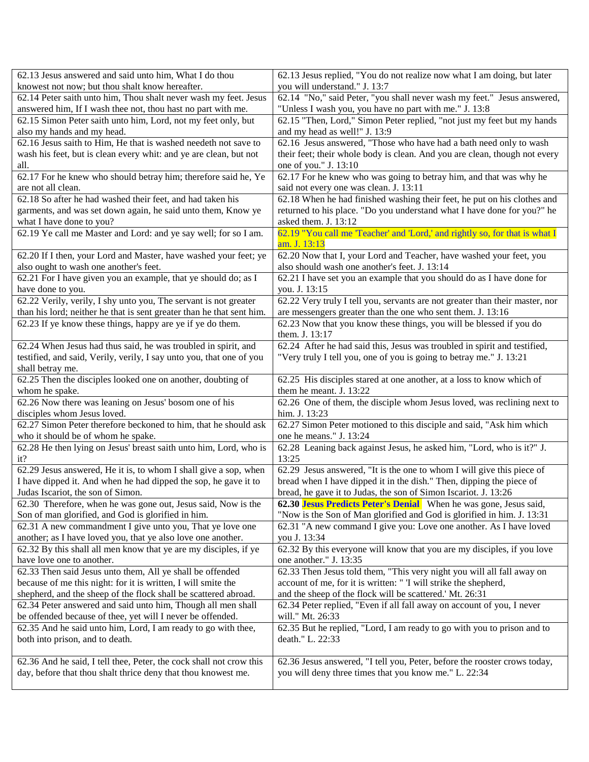| 62.13 Jesus answered and said unto him, What I do thou                | 62.13 Jesus replied, "You do not realize now what I am doing, but later      |
|-----------------------------------------------------------------------|------------------------------------------------------------------------------|
| knowest not now; but thou shalt know hereafter.                       | you will understand." J. 13:7                                                |
| 62.14 Peter saith unto him, Thou shalt never wash my feet. Jesus      | 62.14 "No," said Peter, "you shall never wash my feet." Jesus answered,      |
| answered him, If I wash thee not, thou hast no part with me.          | "Unless I wash you, you have no part with me." J. 13:8                       |
| 62.15 Simon Peter saith unto him, Lord, not my feet only, but         | 62.15 "Then, Lord," Simon Peter replied, "not just my feet but my hands      |
| also my hands and my head.                                            | and my head as well!" J. 13:9                                                |
| 62.16 Jesus saith to Him, He that is washed needeth not save to       | 62.16 Jesus answered, "Those who have had a bath need only to wash           |
| wash his feet, but is clean every whit: and ye are clean, but not     | their feet; their whole body is clean. And you are clean, though not every   |
| all.                                                                  | one of you." J. 13:10                                                        |
| 62.17 For he knew who should betray him; therefore said he, Ye        | 62.17 For he knew who was going to betray him, and that was why he           |
| are not all clean.                                                    | said not every one was clean. J. 13:11                                       |
| 62.18 So after he had washed their feet, and had taken his            | 62.18 When he had finished washing their feet, he put on his clothes and     |
| garments, and was set down again, he said unto them, Know ye          | returned to his place. "Do you understand what I have done for you?" he      |
| what I have done to you?                                              | asked them. J. 13:12                                                         |
| 62.19 Ye call me Master and Lord: and ye say well; for so I am.       | 62.19 "You call me 'Teacher' and 'Lord,' and rightly so, for that is what I  |
|                                                                       | am. J. 13:13                                                                 |
| 62.20 If I then, your Lord and Master, have washed your feet; ye      | 62.20 Now that I, your Lord and Teacher, have washed your feet, you          |
| also ought to wash one another's feet.                                | also should wash one another's feet. J. 13:14                                |
| 62.21 For I have given you an example, that ye should do; as I        | 62.21 I have set you an example that you should do as I have done for        |
| have done to you.                                                     | you. J. 13:15                                                                |
| 62.22 Verily, verily, I shy unto you, The servant is not greater      | 62.22 Very truly I tell you, servants are not greater than their master, nor |
| than his lord; neither he that is sent greater than he that sent him. | are messengers greater than the one who sent them. J. 13:16                  |
| 62.23 If ye know these things, happy are ye if ye do them.            | 62.23 Now that you know these things, you will be blessed if you do          |
|                                                                       | them. J. 13:17                                                               |
| 62.24 When Jesus had thus said, he was troubled in spirit, and        | 62.24 After he had said this, Jesus was troubled in spirit and testified,    |
| testified, and said, Verily, verily, I say unto you, that one of you  | "Very truly I tell you, one of you is going to betray me." J. 13:21          |
| shall betray me.                                                      |                                                                              |
| 62.25 Then the disciples looked one on another, doubting of           | 62.25 His disciples stared at one another, at a loss to know which of        |
| whom he spake.                                                        | them he meant. J. 13:22                                                      |
| 62.26 Now there was leaning on Jesus' bosom one of his                | 62.26 One of them, the disciple whom Jesus loved, was reclining next to      |
| disciples whom Jesus loved.                                           | him. J. 13:23                                                                |
| 62.27 Simon Peter therefore beckoned to him, that he should ask       | 62.27 Simon Peter motioned to this disciple and said, "Ask him which         |
| who it should be of whom he spake.                                    | one he means." J. 13:24                                                      |
| 62.28 He then lying on Jesus' breast saith unto him, Lord, who is     | 62.28 Leaning back against Jesus, he asked him, "Lord, who is it?" J.        |
| it?                                                                   | 13:25                                                                        |
| 62.29 Jesus answered, He it is, to whom I shall give a sop, when      | 62.29 Jesus answered, "It is the one to whom I will give this piece of       |
| I have dipped it. And when he had dipped the sop, he gave it to       | bread when I have dipped it in the dish." Then, dipping the piece of         |
| Judas Iscariot, the son of Simon.                                     | bread, he gave it to Judas, the son of Simon Iscariot. J. 13:26              |
| 62.30 Therefore, when he was gone out, Jesus said, Now is the         | 62.30 Jesus Predicts Peter's Denial When he was gone, Jesus said,            |
| Son of man glorified, and God is glorified in him.                    | "Now is the Son of Man glorified and God is glorified in him. J. 13:31       |
| 62.31 A new commandment I give unto you, That ye love one             | 62.31 "A new command I give you: Love one another. As I have loved           |
| another; as I have loved you, that ye also love one another.          | you J. 13:34                                                                 |
| 62.32 By this shall all men know that ye are my disciples, if ye      | 62.32 By this everyone will know that you are my disciples, if you love      |
| have love one to another.                                             | one another." J. 13:35                                                       |
| 62.33 Then said Jesus unto them, All ye shall be offended             | 62.33 Then Jesus told them, "This very night you will all fall away on       |
| because of me this night: for it is written, I will smite the         | account of me, for it is written: "I will strike the shepherd,               |
| shepherd, and the sheep of the flock shall be scattered abroad.       | and the sheep of the flock will be scattered.' Mt. 26:31                     |
| 62.34 Peter answered and said unto him, Though all men shall          | 62.34 Peter replied, "Even if all fall away on account of you, I never       |
| be offended because of thee, yet will I never be offended.            | will." Mt. 26:33                                                             |
| 62.35 And he said unto him, Lord, I am ready to go with thee,         | 62.35 But he replied, "Lord, I am ready to go with you to prison and to      |
| both into prison, and to death.                                       | death." L. 22:33                                                             |
|                                                                       |                                                                              |
| 62.36 And he said, I tell thee, Peter, the cock shall not crow this   | 62.36 Jesus answered, "I tell you, Peter, before the rooster crows today,    |
| day, before that thou shalt thrice deny that thou knowest me.         | you will deny three times that you know me." L. 22:34                        |
|                                                                       |                                                                              |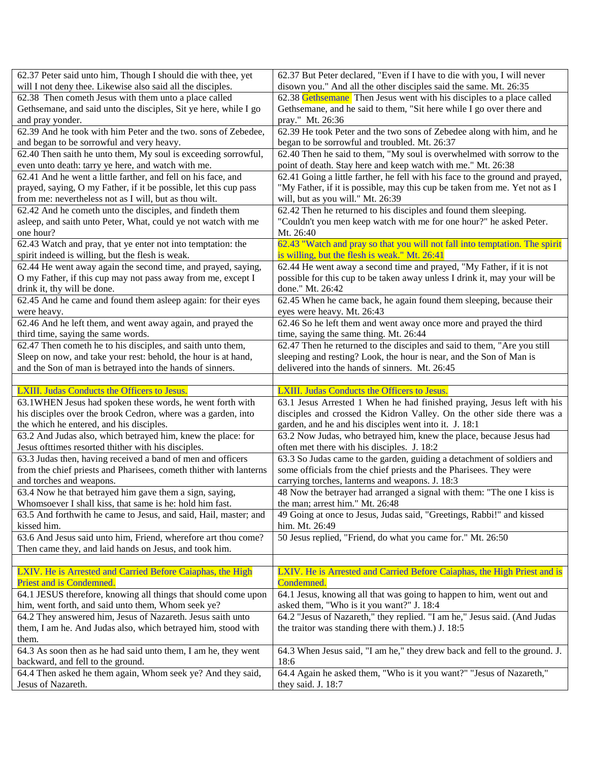| 62.37 Peter said unto him, Though I should die with thee, yet                     | 62.37 But Peter declared, "Even if I have to die with you, I will never                    |
|-----------------------------------------------------------------------------------|--------------------------------------------------------------------------------------------|
| will I not deny thee. Likewise also said all the disciples.                       | disown you." And all the other disciples said the same. Mt. 26:35                          |
| 62.38 Then cometh Jesus with them unto a place called                             | 62.38 Gethsemane Then Jesus went with his disciples to a place called                      |
| Gethsemane, and said unto the disciples, Sit ye here, while I go                  | Gethsemane, and he said to them, "Sit here while I go over there and                       |
| and pray yonder.                                                                  | pray." Mt. 26:36                                                                           |
| 62.39 And he took with him Peter and the two. sons of Zebedee,                    | 62.39 He took Peter and the two sons of Zebedee along with him, and he                     |
| and began to be sorrowful and very heavy.                                         | began to be sorrowful and troubled. Mt. 26:37                                              |
| 62.40 Then saith he unto them, My soul is exceeding sorrowful,                    | 62.40 Then he said to them, "My soul is overwhelmed with sorrow to the                     |
| even unto death: tarry ye here, and watch with me.                                | point of death. Stay here and keep watch with me." Mt. 26:38                               |
| 62.41 And he went a little farther, and fell on his face, and                     | 62.41 Going a little farther, he fell with his face to the ground and prayed,              |
| prayed, saying, O my Father, if it be possible, let this cup pass                 | "My Father, if it is possible, may this cup be taken from me. Yet not as I                 |
| from me: nevertheless not as I will, but as thou wilt.                            | will, but as you will." Mt. 26:39                                                          |
| 62.42 And he cometh unto the disciples, and findeth them                          | 62.42 Then he returned to his disciples and found them sleeping.                           |
| asleep, and saith unto Peter, What, could ye not watch with me                    | "Couldn't you men keep watch with me for one hour?" he asked Peter.                        |
| one hour?                                                                         | Mt. 26:40                                                                                  |
| 62.43 Watch and pray, that ye enter not into temptation: the                      | 62.43 "Watch and pray so that you will not fall into temptation. The spirit                |
| spirit indeed is willing, but the flesh is weak.                                  | is willing, but the flesh is weak." Mt. 26:41                                              |
| 62.44 He went away again the second time, and prayed, saying,                     | 62.44 He went away a second time and prayed, "My Father, if it is not                      |
| O my Father, if this cup may not pass away from me, except I                      | possible for this cup to be taken away unless I drink it, may your will be                 |
| drink it, thy will be done.                                                       | done." Mt. 26:42                                                                           |
| 62.45 And he came and found them asleep again: for their eyes                     | 62.45 When he came back, he again found them sleeping, because their                       |
| were heavy.                                                                       | eyes were heavy. Mt. 26:43                                                                 |
| 62.46 And he left them, and went away again, and prayed the                       | 62.46 So he left them and went away once more and prayed the third                         |
| third time, saying the same words.                                                | time, saying the same thing. Mt. 26:44                                                     |
| 62.47 Then cometh he to his disciples, and saith unto them,                       | 62.47 Then he returned to the disciples and said to them, "Are you still                   |
| Sleep on now, and take your rest: behold, the hour is at hand,                    | sleeping and resting? Look, the hour is near, and the Son of Man is                        |
| and the Son of man is betrayed into the hands of sinners.                         | delivered into the hands of sinners. Mt. 26:45                                             |
|                                                                                   |                                                                                            |
|                                                                                   |                                                                                            |
|                                                                                   |                                                                                            |
| LXIII. Judas Conducts the Officers to Jesus.                                      | LXIII. Judas Conducts the Officers to Jesus.                                               |
| 63.1WHEN Jesus had spoken these words, he went forth with                         | 63.1 Jesus Arrested 1 When he had finished praying, Jesus left with his                    |
| his disciples over the brook Cedron, where was a garden, into                     | disciples and crossed the Kidron Valley. On the other side there was a                     |
| the which he entered, and his disciples.                                          | garden, and he and his disciples went into it. J. 18:1                                     |
| 63.2 And Judas also, which betrayed him, knew the place: for                      | 63.2 Now Judas, who betrayed him, knew the place, because Jesus had                        |
| Jesus of ttimes resorted thither with his disciples.                              | often met there with his disciples. J. 18:2                                                |
| 63.3 Judas then, having received a band of men and officers                       | 63.3 So Judas came to the garden, guiding a detachment of soldiers and                     |
| from the chief priests and Pharisees, cometh thither with lanterns                | some officials from the chief priests and the Pharisees. They were                         |
| and torches and weapons.                                                          | carrying torches, lanterns and weapons. J. 18:3                                            |
| 63.4 Now he that betrayed him gave them a sign, saying,                           | 48 Now the betrayer had arranged a signal with them: "The one I kiss is                    |
| Whomsoever I shall kiss, that same is he: hold him fast.                          | the man; arrest him." Mt. 26:48                                                            |
| 63.5 And forthwith he came to Jesus, and said, Hail, master; and                  | 49 Going at once to Jesus, Judas said, "Greetings, Rabbi!" and kissed                      |
| kissed him.                                                                       | him. Mt. 26:49                                                                             |
| 63.6 And Jesus said unto him, Friend, wherefore art thou come?                    | 50 Jesus replied, "Friend, do what you came for." Mt. 26:50                                |
| Then came they, and laid hands on Jesus, and took him.                            |                                                                                            |
|                                                                                   |                                                                                            |
| LXIV. He is Arrested and Carried Before Caiaphas, the High                        | LXIV. He is Arrested and Carried Before Caiaphas, the High Priest and is                   |
| Priest and is Condemned.                                                          | Condemned.                                                                                 |
| 64.1 JESUS therefore, knowing all things that should come upon                    | 64.1 Jesus, knowing all that was going to happen to him, went out and                      |
| him, went forth, and said unto them, Whom seek ye?                                | asked them, "Who is it you want?" J. 18:4                                                  |
| 64.2 They answered him, Jesus of Nazareth. Jesus saith unto                       | 64.2 "Jesus of Nazareth," they replied. "I am he," Jesus said. (And Judas                  |
| them, I am he. And Judas also, which betrayed him, stood with                     | the traitor was standing there with them.) J. 18:5                                         |
| them.                                                                             |                                                                                            |
| 64.3 As soon then as he had said unto them, I am he, they went                    | 64.3 When Jesus said, "I am he," they drew back and fell to the ground. J.                 |
| backward, and fell to the ground.                                                 | 18:6                                                                                       |
| 64.4 Then asked he them again, Whom seek ye? And they said,<br>Jesus of Nazareth. | 64.4 Again he asked them, "Who is it you want?" "Jesus of Nazareth,"<br>they said. J. 18:7 |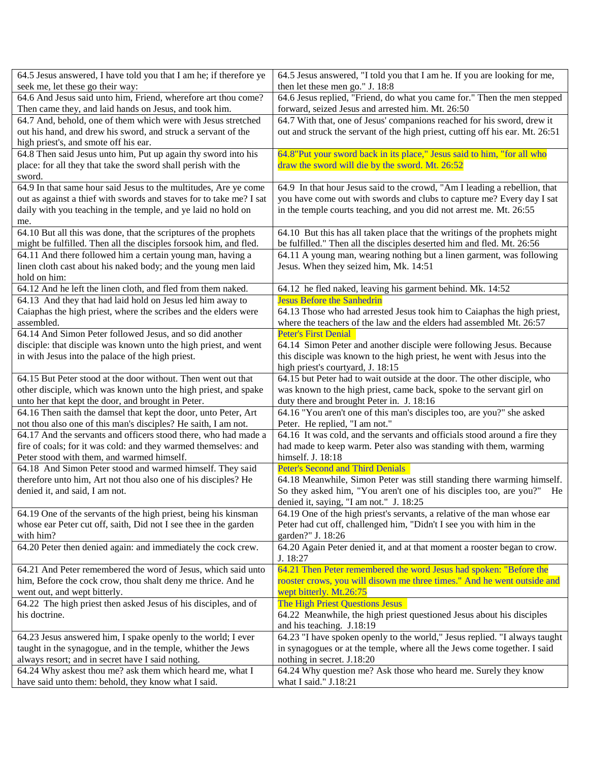| 64.5 Jesus answered, I have told you that I am he; if therefore ye                                                    | 64.5 Jesus answered, "I told you that I am he. If you are looking for me,                                |
|-----------------------------------------------------------------------------------------------------------------------|----------------------------------------------------------------------------------------------------------|
| seek me, let these go their way:                                                                                      | then let these men go." J. 18:8                                                                          |
| 64.6 And Jesus said unto him, Friend, wherefore art thou come?                                                        | 64.6 Jesus replied, "Friend, do what you came for." Then the men stepped                                 |
| Then came they, and laid hands on Jesus, and took him.                                                                | forward, seized Jesus and arrested him. Mt. 26:50                                                        |
| 64.7 And, behold, one of them which were with Jesus stretched                                                         | 64.7 With that, one of Jesus' companions reached for his sword, drew it                                  |
| out his hand, and drew his sword, and struck a servant of the                                                         | out and struck the servant of the high priest, cutting off his ear. Mt. 26:51                            |
| high priest's, and smote off his ear.                                                                                 |                                                                                                          |
| 64.8 Then said Jesus unto him, Put up again thy sword into his                                                        | 64.8"Put your sword back in its place," Jesus said to him, "for all who                                  |
| place: for all they that take the sword shall perish with the                                                         | draw the sword will die by the sword. Mt. 26:52                                                          |
| sword.                                                                                                                |                                                                                                          |
| 64.9 In that same hour said Jesus to the multitudes, Are ye come                                                      | 64.9 In that hour Jesus said to the crowd, "Am I leading a rebellion, that                               |
| out as against a thief with swords and staves for to take me? I sat                                                   | you have come out with swords and clubs to capture me? Every day I sat                                   |
| daily with you teaching in the temple, and ye laid no hold on                                                         | in the temple courts teaching, and you did not arrest me. Mt. 26:55                                      |
| me.                                                                                                                   |                                                                                                          |
| 64.10 But all this was done, that the scriptures of the prophets                                                      | 64.10 But this has all taken place that the writings of the prophets might                               |
| might be fulfilled. Then all the disciples forsook him, and fled.                                                     | be fulfilled." Then all the disciples deserted him and fled. Mt. 26:56                                   |
| 64.11 And there followed him a certain young man, having a                                                            | 64.11 A young man, wearing nothing but a linen garment, was following                                    |
| linen cloth cast about his naked body; and the young men laid                                                         | Jesus. When they seized him, Mk. 14:51                                                                   |
| hold on him:                                                                                                          |                                                                                                          |
| 64.12 And he left the linen cloth, and fled from them naked.                                                          | 64.12 he fled naked, leaving his garment behind. Mk. 14:52                                               |
| 64.13 And they that had laid hold on Jesus led him away to                                                            | <b>Jesus Before the Sanhedrin</b>                                                                        |
| Caiaphas the high priest, where the scribes and the elders were                                                       | 64.13 Those who had arrested Jesus took him to Caiaphas the high priest,                                 |
| assembled.                                                                                                            | where the teachers of the law and the elders had assembled Mt. 26:57                                     |
| 64.14 And Simon Peter followed Jesus, and so did another                                                              | <b>Peter's First Denial</b>                                                                              |
| disciple: that disciple was known unto the high priest, and went                                                      | 64.14 Simon Peter and another disciple were following Jesus. Because                                     |
| in with Jesus into the palace of the high priest.                                                                     | this disciple was known to the high priest, he went with Jesus into the                                  |
|                                                                                                                       | high priest's courtyard, J. 18:15                                                                        |
| 64.15 But Peter stood at the door without. Then went out that                                                         | 64.15 but Peter had to wait outside at the door. The other disciple, who                                 |
| other disciple, which was known unto the high priest, and spake                                                       | was known to the high priest, came back, spoke to the servant girl on                                    |
| unto her that kept the door, and brought in Peter.<br>64.16 Then saith the damsel that kept the door, unto Peter, Art | duty there and brought Peter in. J. 18:16                                                                |
| not thou also one of this man's disciples? He saith, I am not.                                                        | 64.16 "You aren't one of this man's disciples too, are you?" she asked<br>Peter. He replied, "I am not." |
| 64.17 And the servants and officers stood there, who had made a                                                       | 64.16 It was cold, and the servants and officials stood around a fire they                               |
| fire of coals; for it was cold: and they warmed themselves: and                                                       | had made to keep warm. Peter also was standing with them, warming                                        |
| Peter stood with them, and warmed himself.                                                                            | himself. J. 18:18                                                                                        |
| 64.18 And Simon Peter stood and warmed himself. They said                                                             | <b>Peter's Second and Third Denials</b>                                                                  |
| therefore unto him, Art not thou also one of his disciples? He                                                        | 64.18 Meanwhile, Simon Peter was still standing there warming himself.                                   |
| denied it, and said, I am not.                                                                                        | So they asked him, "You aren't one of his disciples too, are you?" He                                    |
|                                                                                                                       | denied it, saying, "I am not." J. 18:25                                                                  |
| 64.19 One of the servants of the high priest, being his kinsman                                                       | 64.19 One of the high priest's servants, a relative of the man whose ear                                 |
| whose ear Peter cut off, saith, Did not I see thee in the garden                                                      | Peter had cut off, challenged him, "Didn't I see you with him in the                                     |
| with him?                                                                                                             | garden?" J. 18:26                                                                                        |
| 64.20 Peter then denied again: and immediately the cock crew.                                                         | 64.20 Again Peter denied it, and at that moment a rooster began to crow.                                 |
|                                                                                                                       | J. 18:27                                                                                                 |
| 64.21 And Peter remembered the word of Jesus, which said unto                                                         | 64.21 Then Peter remembered the word Jesus had spoken: "Before the                                       |
| him, Before the cock crow, thou shalt deny me thrice. And he                                                          | rooster crows, you will disown me three times." And he went outside and                                  |
| went out, and wept bitterly.                                                                                          | wept bitterly. Mt.26:75                                                                                  |
| 64.22 The high priest then asked Jesus of his disciples, and of                                                       | The High Priest Questions Jesus                                                                          |
| his doctrine.                                                                                                         | 64.22 Meanwhile, the high priest questioned Jesus about his disciples                                    |
|                                                                                                                       | and his teaching. J.18:19                                                                                |
| 64.23 Jesus answered him, I spake openly to the world; I ever                                                         | 64.23 "I have spoken openly to the world," Jesus replied. "I always taught                               |
| taught in the synagogue, and in the temple, whither the Jews                                                          | in synagogues or at the temple, where all the Jews come together. I said                                 |
| always resort; and in secret have I said nothing.                                                                     | nothing in secret. J.18:20                                                                               |
| 64.24 Why askest thou me? ask them which heard me, what I                                                             | 64.24 Why question me? Ask those who heard me. Surely they know                                          |
| have said unto them: behold, they know what I said.                                                                   | what I said." J.18:21                                                                                    |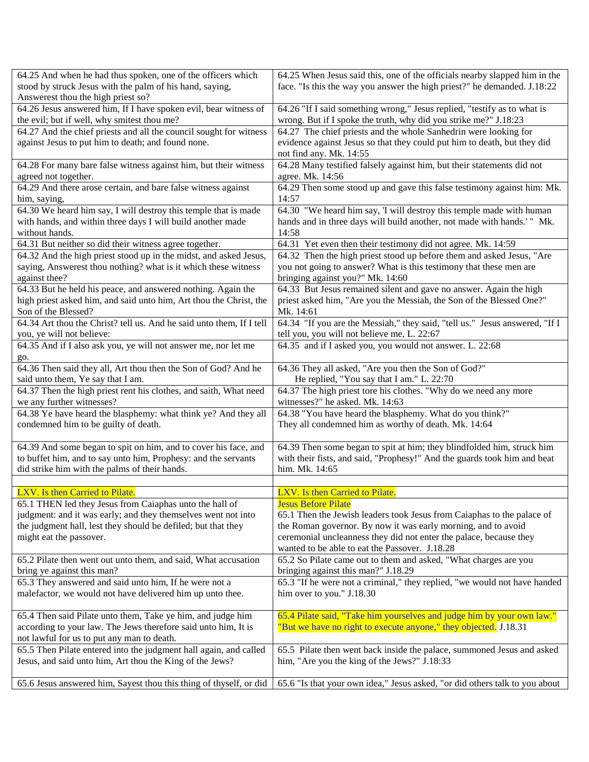| 64.25 And when he had thus spoken, one of the officers which         | 64.25 When Jesus said this, one of the officials nearby slapped him in the  |
|----------------------------------------------------------------------|-----------------------------------------------------------------------------|
| stood by struck Jesus with the palm of his hand, saying,             | face. "Is this the way you answer the high priest?" he demanded. J.18:22    |
| Answerest thou the high priest so?                                   |                                                                             |
| 64.26 Jesus answered him, If I have spoken evil, bear witness of     | 64.26 "If I said something wrong," Jesus replied, "testify as to what is    |
| the evil; but if well, why smitest thou me?                          | wrong. But if I spoke the truth, why did you strike me?" J.18:23            |
| 64.27 And the chief priests and all the council sought for witness   | 64.27 The chief priests and the whole Sanhedrin were looking for            |
| against Jesus to put him to death; and found none.                   | evidence against Jesus so that they could put him to death, but they did    |
|                                                                      | not find any. Mk. 14:55                                                     |
| 64.28 For many bare false witness against him, but their witness     | 64.28 Many testified falsely against him, but their statements did not      |
| agreed not together.                                                 | agree. Mk. 14:56                                                            |
| 64.29 And there arose certain, and bare false witness against        | 64.29 Then some stood up and gave this false testimony against him: Mk.     |
| him, saying,                                                         | 14:57                                                                       |
| 64.30 We heard him say, I will destroy this temple that is made      | 64.30 "We heard him say, 'I will destroy this temple made with human        |
| with hands, and within three days I will build another made          | hands and in three days will build another, not made with hands.'" Mk.      |
| without hands.                                                       | 14:58                                                                       |
| 64.31 But neither so did their witness agree together.               | 64.31 Yet even then their testimony did not agree. Mk. 14:59                |
| 64.32 And the high priest stood up in the midst, and asked Jesus,    | 64.32 Then the high priest stood up before them and asked Jesus, "Are       |
| saying, Answerest thou nothing? what is it which these witness       | you not going to answer? What is this testimony that these men are          |
| against thee?                                                        | bringing against you?" Mk. 14:60                                            |
| 64.33 But he held his peace, and answered nothing. Again the         | 64.33 But Jesus remained silent and gave no answer. Again the high          |
| high priest asked him, and said unto him, Art thou the Christ, the   | priest asked him, "Are you the Messiah, the Son of the Blessed One?"        |
| Son of the Blessed?                                                  | Mk. 14:61                                                                   |
| 64.34 Art thou the Christ? tell us. And he said unto them, If I tell | 64.34 "If you are the Messiah," they said, "tell us." Jesus answered, "If I |
| you, ye will not believe:                                            | tell you, you will not believe me, L. 22:67                                 |
| 64.35 And if I also ask you, ye will not answer me, nor let me       | 64.35 and if I asked you, you would not answer. L. 22:68                    |
| go.                                                                  |                                                                             |
| 64.36 Then said they all, Art thou then the Son of God? And he       | 64.36 They all asked, "Are you then the Son of God?"                        |
| said unto them, Ye say that I am.                                    | He replied, "You say that I am." L. 22:70                                   |
| 64.37 Then the high priest rent his clothes, and saith, What need    | 64.37 The high priest tore his clothes. "Why do we need any more            |
| we any further witnesses?                                            | witnesses?" he asked. Mk. 14:63                                             |
| 64.38 Ye have heard the blasphemy: what think ye? And they all       | 64.38 "You have heard the blasphemy. What do you think?"                    |
| condemned him to be guilty of death.                                 | They all condemned him as worthy of death. Mk. 14:64                        |
|                                                                      |                                                                             |
| 64.39 And some began to spit on him, and to cover his face, and      | 64.39 Then some began to spit at him; they blindfolded him, struck him      |
| to buffet him, and to say unto him, Prophesy: and the servants       | with their fists, and said, "Prophesy!" And the guards took him and beat    |
| did strike him with the palms of their hands.                        | him. Mk. 14:65                                                              |
|                                                                      |                                                                             |
| LXV. Is then Carried to Pilate.                                      | LXV. Is then Carried to Pilate.                                             |
| 65.1 THEN led they Jesus from Caiaphas unto the hall of              | <b>Jesus Before Pilate</b>                                                  |
| judgment: and it was early; and they themselves went not into        | 65.1 Then the Jewish leaders took Jesus from Caiaphas to the palace of      |
| the judgment hall, lest they should be defiled; but that they        | the Roman governor. By now it was early morning, and to avoid               |
| might eat the passover.                                              | ceremonial uncleanness they did not enter the palace, because they          |
|                                                                      | wanted to be able to eat the Passover. J.18.28                              |
| 65.2 Pilate then went out unto them, and said, What accusation       | 65.2 So Pilate came out to them and asked, "What charges are you            |
| bring ye against this man?                                           | bringing against this man?" J.18.29                                         |
| 65.3 They answered and said unto him, If he were not a               | 65.3 "If he were not a criminal," they replied, "we would not have handed   |
| malefactor, we would not have delivered him up unto thee.            | him over to you." J.18.30                                                   |
|                                                                      |                                                                             |
| 65.4 Then said Pilate unto them, Take ye him, and judge him          | 65.4 Pilate said, "Take him yourselves and judge him by your own law."      |
| according to your law. The Jews therefore said unto him, It is       | "But we have no right to execute anyone," they objected. J.18.31            |
| not lawful for us to put any man to death.                           |                                                                             |
| 65.5 Then Pilate entered into the judgment hall again, and called    | 65.5 Pilate then went back inside the palace, summoned Jesus and asked      |
| Jesus, and said unto him, Art thou the King of the Jews?             | him, "Are you the king of the Jews?" J.18:33                                |
|                                                                      |                                                                             |
| 65.6 Jesus answered him, Sayest thou this thing of thyself, or did   | 65.6 "Is that your own idea," Jesus asked, "or did others talk to you about |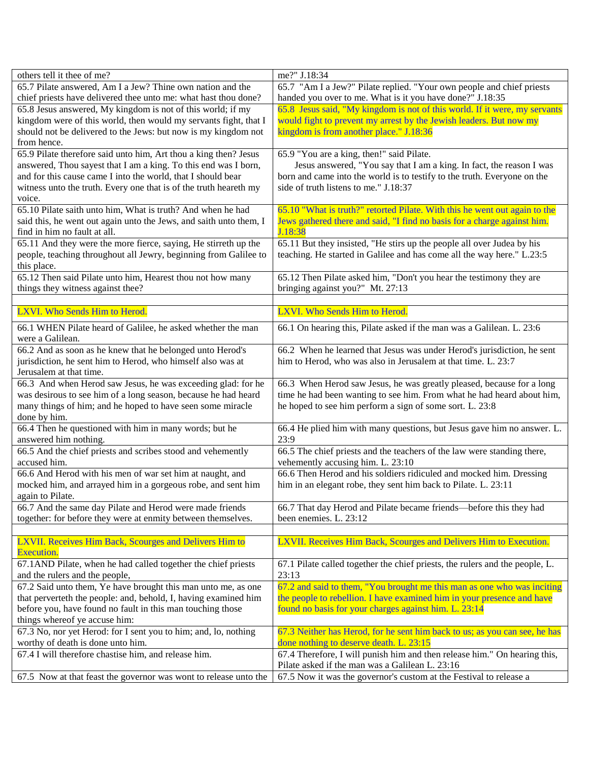| others tell it thee of me?                                                  | me?" J.18:34                                                                                            |
|-----------------------------------------------------------------------------|---------------------------------------------------------------------------------------------------------|
| 65.7 Pilate answered, Am I a Jew? Thine own nation and the                  | 65.7 "Am I a Jew?" Pilate replied. "Your own people and chief priests                                   |
| chief priests have delivered thee unto me: what hast thou done?             | handed you over to me. What is it you have done?" J.18:35                                               |
| 65.8 Jesus answered, My kingdom is not of this world; if my                 | 65.8 Jesus said, "My kingdom is not of this world. If it were, my servants                              |
| kingdom were of this world, then would my servants fight, that I            | would fight to prevent my arrest by the Jewish leaders. But now my                                      |
| should not be delivered to the Jews: but now is my kingdom not              | kingdom is from another place." J.18:36                                                                 |
| from hence.                                                                 |                                                                                                         |
| 65.9 Pilate therefore said unto him, Art thou a king then? Jesus            | 65.9 "You are a king, then!" said Pilate.                                                               |
| answered, Thou sayest that I am a king. To this end was I born,             | Jesus answered, "You say that I am a king. In fact, the reason I was                                    |
| and for this cause came I into the world, that I should bear                | born and came into the world is to testify to the truth. Everyone on the                                |
| witness unto the truth. Every one that is of the truth heareth my           | side of truth listens to me." J.18:37                                                                   |
| voice.                                                                      |                                                                                                         |
| 65.10 Pilate saith unto him, What is truth? And when he had                 | 65.10 "What is truth?" retorted Pilate. With this he went out again to the                              |
| said this, he went out again unto the Jews, and saith unto them, I          | Jews gathered there and said, "I find no basis for a charge against him.                                |
| find in him no fault at all.                                                | J.18:38                                                                                                 |
| 65.11 And they were the more fierce, saying, He stirreth up the             | 65.11 But they insisted, "He stirs up the people all over Judea by his                                  |
| people, teaching throughout all Jewry, beginning from Galilee to            | teaching. He started in Galilee and has come all the way here." L.23:5                                  |
| this place.                                                                 |                                                                                                         |
| 65.12 Then said Pilate unto him, Hearest thou not how many                  | 65.12 Then Pilate asked him, "Don't you hear the testimony they are<br>bringing against you?" Mt. 27:13 |
| things they witness against thee?                                           |                                                                                                         |
| LXVI. Who Sends Him to Herod.                                               | LXVI. Who Sends Him to Herod.                                                                           |
| 66.1 WHEN Pilate heard of Galilee, he asked whether the man                 | 66.1 On hearing this, Pilate asked if the man was a Galilean. L. 23:6                                   |
| were a Galilean.                                                            |                                                                                                         |
| 66.2 And as soon as he knew that he belonged unto Herod's                   | 66.2 When he learned that Jesus was under Herod's jurisdiction, he sent                                 |
| jurisdiction, he sent him to Herod, who himself also was at                 | him to Herod, who was also in Jerusalem at that time. L. 23:7                                           |
| Jerusalem at that time.                                                     |                                                                                                         |
| 66.3 And when Herod saw Jesus, he was exceeding glad: for he                | 66.3 When Herod saw Jesus, he was greatly pleased, because for a long                                   |
| was desirous to see him of a long season, because he had heard              | time he had been wanting to see him. From what he had heard about him,                                  |
| many things of him; and he hoped to have seen some miracle                  | he hoped to see him perform a sign of some sort. L. 23:8                                                |
| done by him.                                                                |                                                                                                         |
| 66.4 Then he questioned with him in many words; but he                      | 66.4 He plied him with many questions, but Jesus gave him no answer. L.                                 |
| answered him nothing.                                                       | 23:9                                                                                                    |
| 66.5 And the chief priests and scribes stood and vehemently                 | 66.5 The chief priests and the teachers of the law were standing there,                                 |
| accused him.                                                                | vehemently accusing him. L. 23:10                                                                       |
| 66.6 And Herod with his men of war set him at naught, and                   | 66.6 Then Herod and his soldiers ridiculed and mocked him. Dressing                                     |
| mocked him, and arrayed him in a gorgeous robe, and sent him                | him in an elegant robe, they sent him back to Pilate. L. 23:11                                          |
| again to Pilate.                                                            |                                                                                                         |
| 66.7 And the same day Pilate and Herod were made friends                    | 66.7 That day Herod and Pilate became friends—before this they had                                      |
| together: for before they were at enmity between themselves.                | been enemies. L. 23:12                                                                                  |
|                                                                             |                                                                                                         |
| LXVII. Receives Him Back, Scourges and Delivers Him to<br><b>Execution.</b> | LXVII. Receives Him Back, Scourges and Delivers Him to Execution.                                       |
| 67.1 AND Pilate, when he had called together the chief priests              | 67.1 Pilate called together the chief priests, the rulers and the people, L.                            |
| and the rulers and the people,                                              | 23:13                                                                                                   |
| 67.2 Said unto them, Ye have brought this man unto me, as one               | 67.2 and said to them, "You brought me this man as one who was inciting                                 |
| that perverteth the people: and, behold, I, having examined him             | the people to rebellion. I have examined him in your presence and have                                  |
| before you, have found no fault in this man touching those                  | found no basis for your charges against him. L. 23:14                                                   |
| things whereof ye accuse him:                                               |                                                                                                         |
| 67.3 No, nor yet Herod: for I sent you to him; and, lo, nothing             | 67.3 Neither has Herod, for he sent him back to us; as you can see, he has                              |
| worthy of death is done unto him.                                           | done nothing to deserve death. L. 23:15                                                                 |
| 67.4 I will therefore chastise him, and release him.                        | 67.4 Therefore, I will punish him and then release him." On hearing this,                               |
|                                                                             | Pilate asked if the man was a Galilean L. 23:16                                                         |
| 67.5 Now at that feast the governor was wont to release unto the            | 67.5 Now it was the governor's custom at the Festival to release a                                      |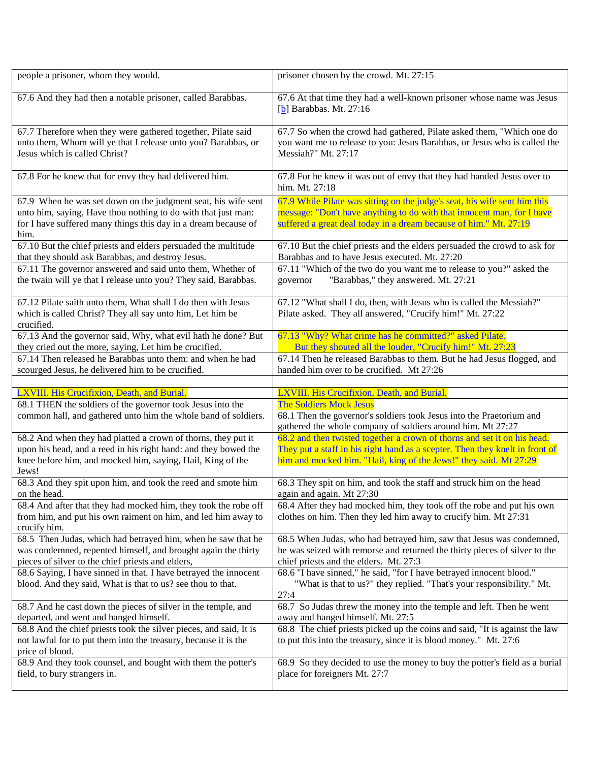| people a prisoner, whom they would.                                                                                                                                                                                                        | prisoner chosen by the crowd. Mt. 27:15                                                                                                                                                                                                     |
|--------------------------------------------------------------------------------------------------------------------------------------------------------------------------------------------------------------------------------------------|---------------------------------------------------------------------------------------------------------------------------------------------------------------------------------------------------------------------------------------------|
| 67.6 And they had then a notable prisoner, called Barabbas.                                                                                                                                                                                | 67.6 At that time they had a well-known prisoner whose name was Jesus<br>$[b]$ Barabbas. Mt. 27:16                                                                                                                                          |
| 67.7 Therefore when they were gathered together, Pilate said<br>unto them, Whom will ye that I release unto you? Barabbas, or<br>Jesus which is called Christ?                                                                             | 67.7 So when the crowd had gathered, Pilate asked them, "Which one do<br>you want me to release to you: Jesus Barabbas, or Jesus who is called the<br>Messiah?" Mt. 27:17                                                                   |
| 67.8 For he knew that for envy they had delivered him.                                                                                                                                                                                     | 67.8 For he knew it was out of envy that they had handed Jesus over to<br>him. Mt. 27:18                                                                                                                                                    |
| 67.9 When he was set down on the judgment seat, his wife sent<br>unto him, saying, Have thou nothing to do with that just man:<br>for I have suffered many things this day in a dream because of<br>him.                                   | 67.9 While Pilate was sitting on the judge's seat, his wife sent him this<br>message: "Don't have anything to do with that innocent man, for I have<br>suffered a great deal today in a dream because of him." Mt. 27:19                    |
| 67.10 But the chief priests and elders persuaded the multitude<br>that they should ask Barabbas, and destroy Jesus.                                                                                                                        | 67.10 But the chief priests and the elders persuaded the crowd to ask for<br>Barabbas and to have Jesus executed. Mt. 27:20                                                                                                                 |
| 67.11 The governor answered and said unto them, Whether of<br>the twain will ye that I release unto you? They said, Barabbas.                                                                                                              | 67.11 "Which of the two do you want me to release to you?" asked the<br>"Barabbas," they answered. Mt. 27:21<br>governor                                                                                                                    |
| 67.12 Pilate saith unto them, What shall I do then with Jesus<br>which is called Christ? They all say unto him, Let him be<br>crucified.                                                                                                   | 67.12 "What shall I do, then, with Jesus who is called the Messiah?"<br>Pilate asked. They all answered, "Crucify him!" Mt. 27:22                                                                                                           |
| 67.13 And the governor said, Why, what evil hath he done? But<br>they cried out the more, saying, Let him be crucified.<br>67.14 Then released he Barabbas unto them: and when he had<br>scourged Jesus, he delivered him to be crucified. | 67.13 "Why? What crime has he committed?" asked Pilate.<br>But they shouted all the louder, "Crucify him!" Mt. 27:23<br>67.14 Then he released Barabbas to them. But he had Jesus flogged, and<br>handed him over to be crucified. Mt 27:26 |
|                                                                                                                                                                                                                                            |                                                                                                                                                                                                                                             |
|                                                                                                                                                                                                                                            |                                                                                                                                                                                                                                             |
| LXVIII. His Crucifixion, Death, and Burial.<br>68.1 THEN the soldiers of the governor took Jesus into the<br>common hall, and gathered unto him the whole band of soldiers.                                                                | LXVIII. His Crucifixion, Death, and Burial.<br><b>The Soldiers Mock Jesus</b><br>68.1 Then the governor's soldiers took Jesus into the Praetorium and<br>gathered the whole company of soldiers around him. Mt 27:27                        |
| 68.2 And when they had platted a crown of thorns, they put it<br>upon his head, and a reed in his right hand: and they bowed the<br>knee before him, and mocked him, saying, Hail, King of the<br>Jews!                                    | 68.2 and then twisted together a crown of thorns and set it on his head.<br>They put a staff in his right hand as a scepter. Then they knelt in front of<br>him and mocked him. "Hail, king of the Jews!" they said. Mt 27:29               |
| 68.3 And they spit upon him, and took the reed and smote him<br>on the head.                                                                                                                                                               | 68.3 They spit on him, and took the staff and struck him on the head<br>again and again. Mt 27:30                                                                                                                                           |
| 68.4 And after that they had mocked him, they took the robe off<br>from him, and put his own raiment on him, and led him away to<br>crucify him.                                                                                           | 68.4 After they had mocked him, they took off the robe and put his own<br>clothes on him. Then they led him away to crucify him. Mt 27:31                                                                                                   |
| 68.5 Then Judas, which had betrayed him, when he saw that he<br>was condemned, repented himself, and brought again the thirty<br>pieces of silver to the chief priests and elders,                                                         | 68.5 When Judas, who had betrayed him, saw that Jesus was condemned,<br>he was seized with remorse and returned the thirty pieces of silver to the<br>chief priests and the elders. Mt. 27:3                                                |
| 68.6 Saying, I have sinned in that. I have betrayed the innocent<br>blood. And they said, What is that to us? see thou to that.                                                                                                            | 68.6 "I have sinned," he said, "for I have betrayed innocent blood."<br>"What is that to us?" they replied. "That's your responsibility." Mt.<br>27:4                                                                                       |
| 68.7 And he cast down the pieces of silver in the temple, and<br>departed, and went and hanged himself.                                                                                                                                    | 68.7 So Judas threw the money into the temple and left. Then he went<br>away and hanged himself. Mt. 27:5                                                                                                                                   |
| 68.8 And the chief priests took the silver pieces, and said, It is<br>not lawful for to put them into the treasury, because it is the<br>price of blood.<br>68.9 And they took counsel, and bought with them the potter's                  | 68.8 The chief priests picked up the coins and said, "It is against the law<br>to put this into the treasury, since it is blood money." Mt. 27:6<br>68.9 So they decided to use the money to buy the potter's field as a burial             |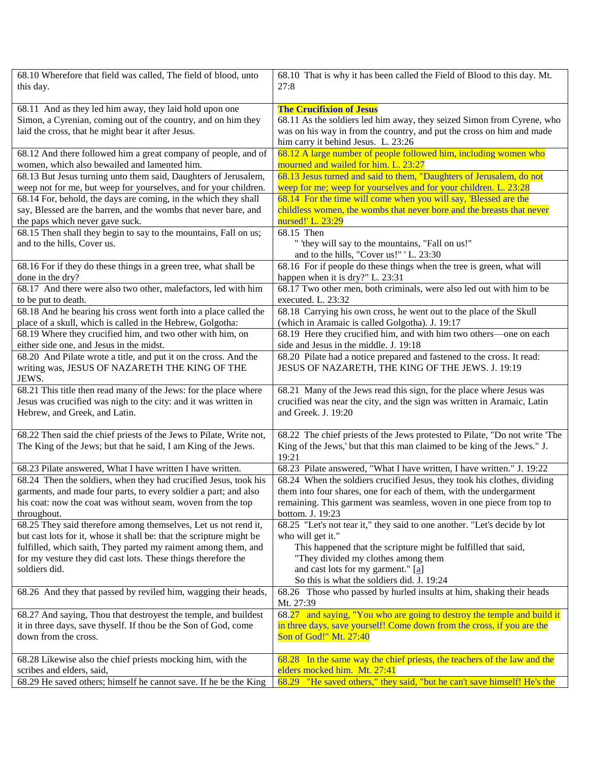| 68.10 Wherefore that field was called, The field of blood, unto<br>this day.                                                          | 68.10 That is why it has been called the Field of Blood to this day. Mt.<br>27:8                                                                                 |
|---------------------------------------------------------------------------------------------------------------------------------------|------------------------------------------------------------------------------------------------------------------------------------------------------------------|
| 68.11 And as they led him away, they laid hold upon one                                                                               | <b>The Crucifixion of Jesus</b>                                                                                                                                  |
| Simon, a Cyrenian, coming out of the country, and on him they                                                                         | 68.11 As the soldiers led him away, they seized Simon from Cyrene, who                                                                                           |
| laid the cross, that he might bear it after Jesus.                                                                                    | was on his way in from the country, and put the cross on him and made                                                                                            |
|                                                                                                                                       | him carry it behind Jesus. L. 23:26                                                                                                                              |
| 68.12 And there followed him a great company of people, and of<br>women, which also bewailed and lamented him.                        | 68.12 A large number of people followed him, including women who<br>mourned and wailed for him. L. 23:27                                                         |
| 68.13 But Jesus turning unto them said, Daughters of Jerusalem,                                                                       | 68.13 Jesus turned and said to them, "Daughters of Jerusalem, do not                                                                                             |
| weep not for me, but weep for yourselves, and for your children.                                                                      | weep for me; weep for yourselves and for your children. L. 23:28                                                                                                 |
| 68.14 For, behold, the days are coming, in the which they shall                                                                       | 68.14 For the time will come when you will say, 'Blessed are the                                                                                                 |
| say, Blessed are the barren, and the wombs that never bare, and                                                                       | childless women, the wombs that never bore and the breasts that never                                                                                            |
| the paps which never gave suck.                                                                                                       | nursed!' L. 23:29                                                                                                                                                |
| 68.15 Then shall they begin to say to the mountains, Fall on us;                                                                      | 68.15 Then                                                                                                                                                       |
| and to the hills, Cover us.                                                                                                           | " 'they will say to the mountains, "Fall on us!"                                                                                                                 |
|                                                                                                                                       | and to the hills, "Cover us!" 'L. 23:30                                                                                                                          |
| 68.16 For if they do these things in a green tree, what shall be<br>done in the dry?                                                  | 68.16 For if people do these things when the tree is green, what will<br>happen when it is dry?" L. 23:31                                                        |
| 68.17 And there were also two other, malefactors, led with him                                                                        | 68.17 Two other men, both criminals, were also led out with him to be                                                                                            |
| to be put to death.                                                                                                                   | executed. L. 23:32                                                                                                                                               |
| 68.18 And he bearing his cross went forth into a place called the                                                                     | 68.18 Carrying his own cross, he went out to the place of the Skull                                                                                              |
| place of a skull, which is called in the Hebrew, Golgotha:                                                                            | (which in Aramaic is called Golgotha). J. 19:17                                                                                                                  |
| 68.19 Where they crucified him, and two other with him, on<br>either side one, and Jesus in the midst.                                | 68.19 Here they crucified him, and with him two others—one on each<br>side and Jesus in the middle. J. 19:18                                                     |
| 68.20 And Pilate wrote a title, and put it on the cross. And the                                                                      | 68.20 Pilate had a notice prepared and fastened to the cross. It read:                                                                                           |
| writing was, JESUS OF NAZARETH THE KING OF THE<br>JEWS.                                                                               | JESUS OF NAZARETH, THE KING OF THE JEWS. J. 19:19                                                                                                                |
| 68.21 This title then read many of the Jews: for the place where                                                                      | 68.21 Many of the Jews read this sign, for the place where Jesus was                                                                                             |
| Jesus was crucified was nigh to the city: and it was written in                                                                       | crucified was near the city, and the sign was written in Aramaic, Latin                                                                                          |
| Hebrew, and Greek, and Latin.                                                                                                         | and Greek. J. 19:20                                                                                                                                              |
| 68.22 Then said the chief priests of the Jews to Pilate, Write not,<br>The King of the Jews; but that he said, I am King of the Jews. | 68.22 The chief priests of the Jews protested to Pilate, "Do not write 'The<br>King of the Jews,' but that this man claimed to be king of the Jews." J.<br>19:21 |
| 68.23 Pilate answered, What I have written I have written.                                                                            | 68.23 Pilate answered, "What I have written, I have written." J. 19:22                                                                                           |
| 68.24 Then the soldiers, when they had crucified Jesus, took his                                                                      | 68.24 When the soldiers crucified Jesus, they took his clothes, dividing                                                                                         |
| garments, and made four parts, to every soldier a part; and also                                                                      | them into four shares, one for each of them, with the undergarment                                                                                               |
| his coat: now the coat was without seam, woven from the top<br>throughout.                                                            | remaining. This garment was seamless, woven in one piece from top to<br>bottom. J. 19:23                                                                         |
| 68.25 They said therefore among themselves, Let us not rend it,                                                                       | 68.25 "Let's not tear it," they said to one another. "Let's decide by lot                                                                                        |
| but cast lots for it, whose it shall be: that the scripture might be                                                                  | who will get it."                                                                                                                                                |
| fulfilled, which saith, They parted my raiment among them, and                                                                        | This happened that the scripture might be fulfilled that said,                                                                                                   |
| for my vesture they did cast lots. These things therefore the                                                                         | "They divided my clothes among them                                                                                                                              |
| soldiers did.                                                                                                                         | and cast lots for my garment." [a]                                                                                                                               |
|                                                                                                                                       | So this is what the soldiers did. J. 19:24                                                                                                                       |
| 68.26 And they that passed by reviled him, wagging their heads,                                                                       | 68.26 Those who passed by hurled insults at him, shaking their heads<br>Mt. 27:39                                                                                |
| 68.27 And saying, Thou that destroyest the temple, and buildest                                                                       | 68.27 and saying, "You who are going to destroy the temple and build it                                                                                          |
| it in three days, save thyself. If thou be the Son of God, come                                                                       | in three days, save yourself! Come down from the cross, if you are the                                                                                           |
| down from the cross.                                                                                                                  | Son of God!" Mt. 27:40                                                                                                                                           |
|                                                                                                                                       |                                                                                                                                                                  |
|                                                                                                                                       |                                                                                                                                                                  |
| 68.28 Likewise also the chief priests mocking him, with the<br>scribes and elders, said,                                              | 68.28 In the same way the chief priests, the teachers of the law and the<br>elders mocked him. Mt. 27:41                                                         |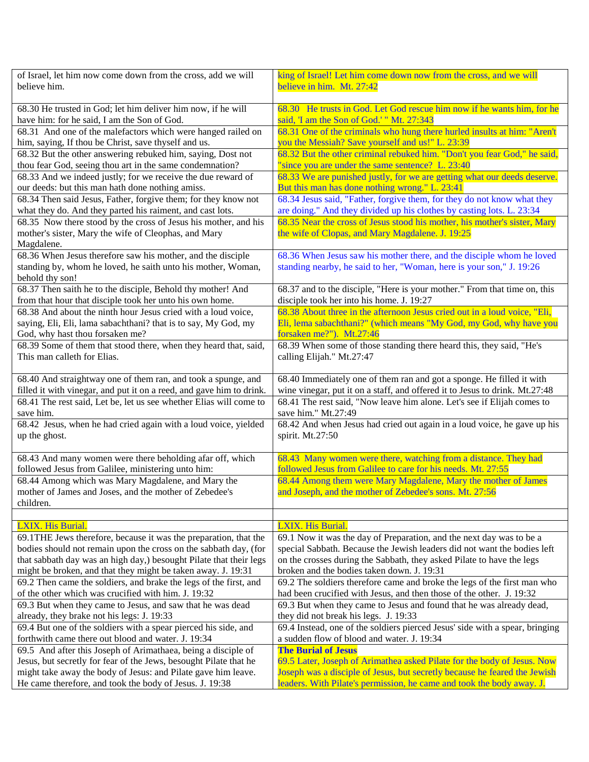| of Israel, let him now come down from the cross, add we will         | king of Israel! Let him come down now from the cross, and we will            |
|----------------------------------------------------------------------|------------------------------------------------------------------------------|
| believe him.                                                         | believe in him. Mt. 27:42                                                    |
|                                                                      |                                                                              |
| 68.30 He trusted in God; let him deliver him now, if he will         | 68.30 He trusts in God. Let God rescue him now if he wants him, for he       |
| have him: for he said, I am the Son of God.                          | said, 'I am the Son of God.' " Mt. 27:343                                    |
| 68.31 And one of the malefactors which were hanged railed on         | 68.31 One of the criminals who hung there hurled insults at him: "Aren't     |
| him, saying, If thou be Christ, save thyself and us.                 | you the Messiah? Save yourself and us!" L. 23:39                             |
| 68.32 But the other answering rebuked him, saying, Dost not          | 68.32 But the other criminal rebuked him. "Don't you fear God," he said,     |
| thou fear God, seeing thou art in the same condemnation?             | "since you are under the same sentence? L. 23:40                             |
| 68.33 And we indeed justly; for we receive the due reward of         | 68.33 We are punished justly, for we are getting what our deeds deserve.     |
| our deeds: but this man hath done nothing amiss.                     | But this man has done nothing wrong." L. 23:41                               |
| 68.34 Then said Jesus, Father, forgive them; for they know not       | 68.34 Jesus said, "Father, for give them, for they do not know what they     |
| what they do. And they parted his raiment, and cast lots.            | are doing." And they divided up his clothes by casting lots. L. 23:34        |
| 68.35 Now there stood by the cross of Jesus his mother, and his      | 68.35 Near the cross of Jesus stood his mother, his mother's sister, Mary    |
| mother's sister, Mary the wife of Cleophas, and Mary                 | the wife of Clopas, and Mary Magdalene. J. 19:25                             |
| Magdalene.                                                           |                                                                              |
| 68.36 When Jesus therefore saw his mother, and the disciple          | 68.36 When Jesus saw his mother there, and the disciple whom he loved        |
| standing by, whom he loved, he saith unto his mother, Woman,         | standing nearby, he said to her, "Woman, here is your son," J. 19:26         |
| behold thy son!                                                      |                                                                              |
| 68.37 Then saith he to the disciple, Behold thy mother! And          | 68.37 and to the disciple, "Here is your mother." From that time on, this    |
| from that hour that disciple took her unto his own home.             | disciple took her into his home. J. 19:27                                    |
| 68.38 And about the ninth hour Jesus cried with a loud voice,        | 68.38 About three in the afternoon Jesus cried out in a loud voice, "Eli,    |
| saying, Eli, Eli, lama sabachthani? that is to say, My God, my       | Eli, lema sabachthani?" (which means "My God, my God, why have you           |
| God, why hast thou forsaken me?                                      | forsaken me?"). Mt.27:46                                                     |
| 68.39 Some of them that stood there, when they heard that, said,     | 68.39 When some of those standing there heard this, they said, "He's         |
| This man calleth for Elias.                                          | calling Elijah." Mt.27:47                                                    |
|                                                                      |                                                                              |
| 68.40 And straightway one of them ran, and took a spunge, and        | 68.40 Immediately one of them ran and got a sponge. He filled it with        |
| filled it with vinegar, and put it on a reed, and gave him to drink. | wine vinegar, put it on a staff, and offered it to Jesus to drink. Mt.27:48  |
| 68.41 The rest said, Let be, let us see whether Elias will come to   | 68.41 The rest said, "Now leave him alone. Let's see if Elijah comes to      |
| save him.                                                            | save him." Mt.27:49                                                          |
| 68.42 Jesus, when he had cried again with a loud voice, yielded      | 68.42 And when Jesus had cried out again in a loud voice, he gave up his     |
| up the ghost.                                                        | spirit. Mt.27:50                                                             |
| 68.43 And many women were there beholding afar off, which            | 68.43 Many women were there, watching from a distance. They had              |
| followed Jesus from Galilee, ministering unto him:                   | followed Jesus from Galilee to care for his needs. Mt. 27:55                 |
| 68.44 Among which was Mary Magdalene, and Mary the                   | 68.44 Among them were Mary Magdalene, Mary the mother of James               |
| mother of James and Joses, and the mother of Zebedee's               | and Joseph, and the mother of Zebedee's sons. Mt. 27:56                      |
| children.                                                            |                                                                              |
|                                                                      |                                                                              |
| LXIX. His Burial.                                                    | <b>LXIX.</b> His Burial.                                                     |
| 69.1THE Jews therefore, because it was the preparation, that the     | 69.1 Now it was the day of Preparation, and the next day was to be a         |
| bodies should not remain upon the cross on the sabbath day, (for     | special Sabbath. Because the Jewish leaders did not want the bodies left     |
| that sabbath day was an high day,) besought Pilate that their legs   | on the crosses during the Sabbath, they asked Pilate to have the legs        |
| might be broken, and that they might be taken away. J. 19:31         | broken and the bodies taken down. J. 19:31                                   |
| 69.2 Then came the soldiers, and brake the legs of the first, and    | 69.2 The soldiers therefore came and broke the legs of the first man who     |
| of the other which was crucified with him. J. 19:32                  | had been crucified with Jesus, and then those of the other. J. 19:32         |
| 69.3 But when they came to Jesus, and saw that he was dead           | 69.3 But when they came to Jesus and found that he was already dead,         |
| already, they brake not his legs: J. 19:33                           | they did not break his legs. J. 19:33                                        |
| 69.4 But one of the soldiers with a spear pierced his side, and      | 69.4 Instead, one of the soldiers pierced Jesus' side with a spear, bringing |
| forthwith came there out blood and water. J. 19:34                   | a sudden flow of blood and water. J. 19:34                                   |
| 69.5 And after this Joseph of Arimathaea, being a disciple of        | <b>The Burial of Jesus</b>                                                   |
| Jesus, but secretly for fear of the Jews, besought Pilate that he    | 69.5 Later, Joseph of Arimathea asked Pilate for the body of Jesus. Now      |
| might take away the body of Jesus: and Pilate gave him leave.        | Joseph was a disciple of Jesus, but secretly because he feared the Jewish    |
| He came therefore, and took the body of Jesus. J. 19:38              | leaders. With Pilate's permission, he came and took the body away. J.        |